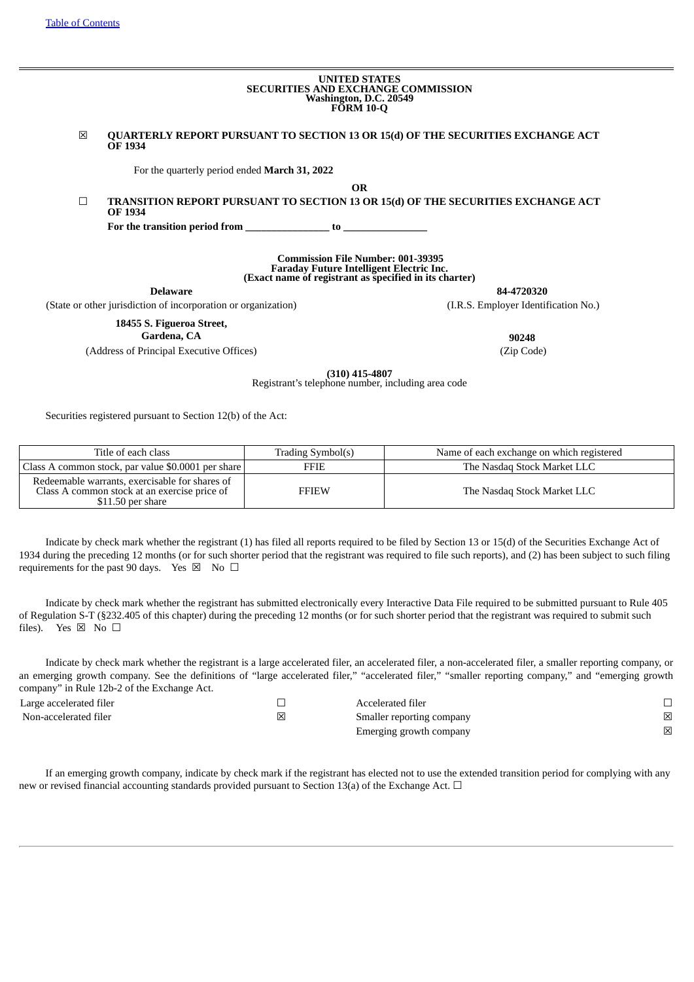|   | <b>UNITED STATES</b><br><b>SECURITIES AND EXCHANGE COMMISSION</b><br>Washington, D.C. 20549<br>FÖRM 10-Q                                              |
|---|-------------------------------------------------------------------------------------------------------------------------------------------------------|
| ⊠ | <b>QUARTERLY REPORT PURSUANT TO SECTION 13 OR 15(d) OF THE SECURITIES EXCHANGE ACT</b><br><b>OF 1934</b>                                              |
|   | For the quarterly period ended <b>March 31, 2022</b>                                                                                                  |
|   | <b>OR</b>                                                                                                                                             |
|   | TRANSITION REPORT PURSUANT TO SECTION 13 OR 15(d) OF THE SECURITIES EXCHANGE ACT<br><b>OF 1934</b>                                                    |
|   |                                                                                                                                                       |
|   | <b>Commission File Number: 001-39395</b><br><b>Faraday Future Intelligent Electric Inc.</b><br>(Exact name of registrant as specified in its charter) |

**Delaware 84-4720320**

(State or other jurisdiction of incorporation or organization) (I.R.S. Employer Identification No.)

**18455 S. Figueroa Street,**

**Gardena, CA 90248**

(Address of Principal Executive Offices) (Zip Code)

**(310) 415-4807**

Registrant's telephone number, including area code

Securities registered pursuant to Section 12(b) of the Act:

| Title of each class                                                                                                  | Trading Symbol(s) | Name of each exchange on which registered |
|----------------------------------------------------------------------------------------------------------------------|-------------------|-------------------------------------------|
| Class A common stock, par value \$0.0001 per share                                                                   | FFIE              | The Nasdag Stock Market LLC               |
| Redeemable warrants, exercisable for shares of<br>Class A common stock at an exercise price of<br>$$11.50$ per share | <b>FFIEW</b>      | The Nasdaq Stock Market LLC               |

Indicate by check mark whether the registrant (1) has filed all reports required to be filed by Section 13 or 15(d) of the Securities Exchange Act of 1934 during the preceding 12 months (or for such shorter period that the registrant was required to file such reports), and (2) has been subject to such filing requirements for the past 90 days. Yes  $\boxtimes$  No  $\Box$ 

Indicate by check mark whether the registrant has submitted electronically every Interactive Data File required to be submitted pursuant to Rule 405 of Regulation S-T (§232.405 of this chapter) during the preceding 12 months (or for such shorter period that the registrant was required to submit such files). Yes  $\boxtimes$  No  $\square$ 

Indicate by check mark whether the registrant is a large accelerated filer, an accelerated filer, a non-accelerated filer, a smaller reporting company, or an emerging growth company. See the definitions of "large accelerated filer," "accelerated filer," "smaller reporting company," and "emerging growth company" in Rule 12b-2 of the Exchange Act.

| Large accelerated filer | Accelerated filer         |   |
|-------------------------|---------------------------|---|
| Non-accelerated filer   | Smaller reporting company | 冈 |
|                         | Emerging growth company   | 冈 |

If an emerging growth company, indicate by check mark if the registrant has elected not to use the extended transition period for complying with any new or revised financial accounting standards provided pursuant to Section 13(a) of the Exchange Act.  $\Box$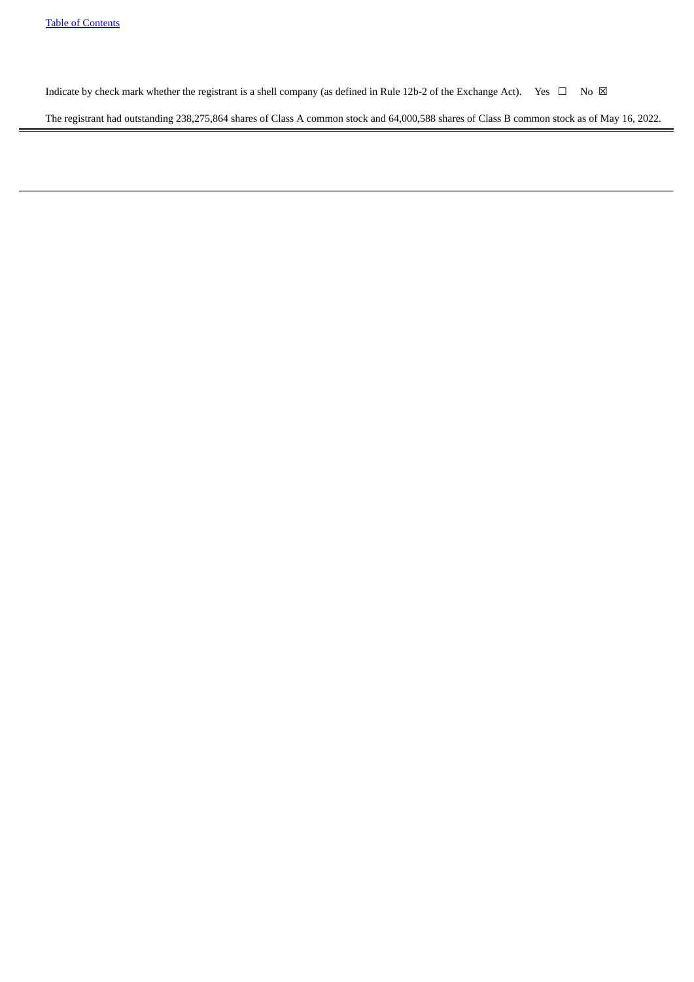Indicate by check mark whether the registrant is a shell company (as defined in Rule 12b-2 of the Exchange Act). Yes  $\Box$  No  $\boxtimes$ 

<span id="page-1-0"></span>The registrant had outstanding 238,275,864 shares of Class A common stock and 64,000,588 shares of Class B common stock as of May 16, 2022.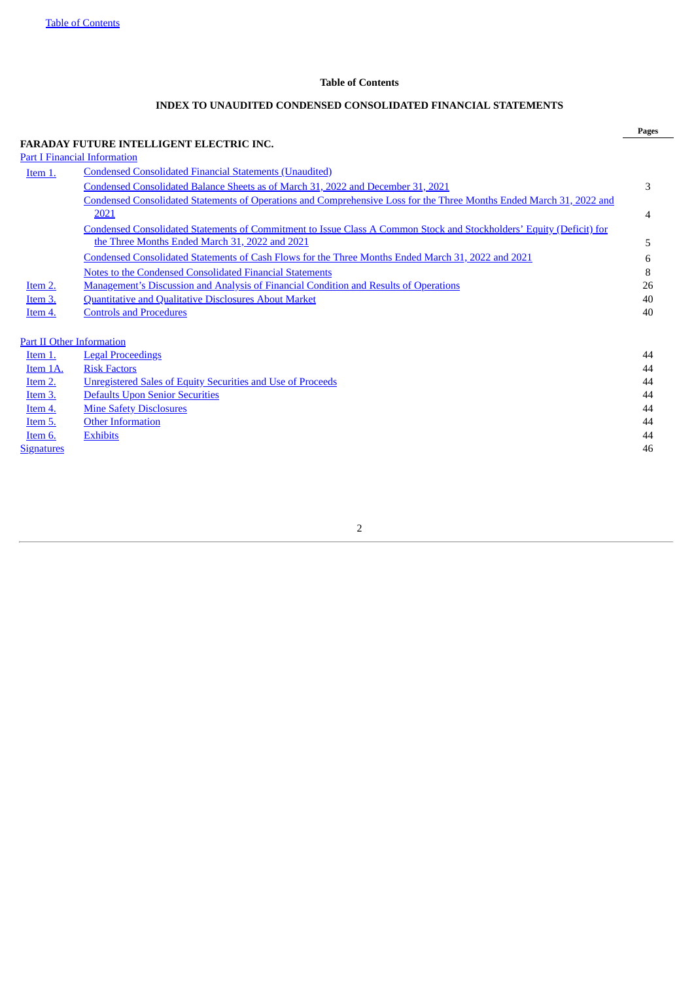## **Table of Contents**

# **INDEX TO UNAUDITED CONDENSED CONSOLIDATED FINANCIAL STATEMENTS**

<span id="page-2-0"></span>

|                                  |                                                                                                                      | Pages |
|----------------------------------|----------------------------------------------------------------------------------------------------------------------|-------|
|                                  | <b>FARADAY FUTURE INTELLIGENT ELECTRIC INC.</b>                                                                      |       |
|                                  | <b>Part I Financial Information</b>                                                                                  |       |
| Item 1.                          | <b>Condensed Consolidated Financial Statements (Unaudited)</b>                                                       |       |
|                                  | Condensed Consolidated Balance Sheets as of March 31, 2022 and December 31, 2021                                     | 3     |
|                                  | Condensed Consolidated Statements of Operations and Comprehensive Loss for the Three Months Ended March 31, 2022 and |       |
|                                  | 2021                                                                                                                 | 4     |
|                                  | Condensed Consolidated Statements of Commitment to Issue Class A Common Stock and Stockholders' Equity (Deficit) for |       |
|                                  | the Three Months Ended March 31, 2022 and 2021                                                                       | 5     |
|                                  | Condensed Consolidated Statements of Cash Flows for the Three Months Ended March 31, 2022 and 2021                   | 6     |
|                                  | <b>Notes to the Condensed Consolidated Financial Statements</b>                                                      | 8     |
| Item 2.                          | <b>Management's Discussion and Analysis of Financial Condition and Results of Operations</b>                         | 26    |
| Item 3.                          | <b>Quantitative and Qualitative Disclosures About Market</b>                                                         | 40    |
| Item 4.                          | <b>Controls and Procedures</b>                                                                                       | 40    |
| <b>Part II Other Information</b> |                                                                                                                      |       |
| Item 1.                          | <b>Legal Proceedings</b>                                                                                             | 44    |
| Item 1A.                         | <b>Risk Factors</b>                                                                                                  | 44    |
| Item 2.                          | Unregistered Sales of Equity Securities and Use of Proceeds                                                          | 44    |
| Item 3.                          | <b>Defaults Upon Senior Securities</b>                                                                               | 44    |
| Item 4.                          | <b>Mine Safety Disclosures</b>                                                                                       | 44    |
| Item 5.                          | <b>Other Information</b>                                                                                             | 44    |
| Item 6.                          | <b>Exhibits</b>                                                                                                      | 44    |
| <b>Signatures</b>                |                                                                                                                      | 46    |
|                                  |                                                                                                                      |       |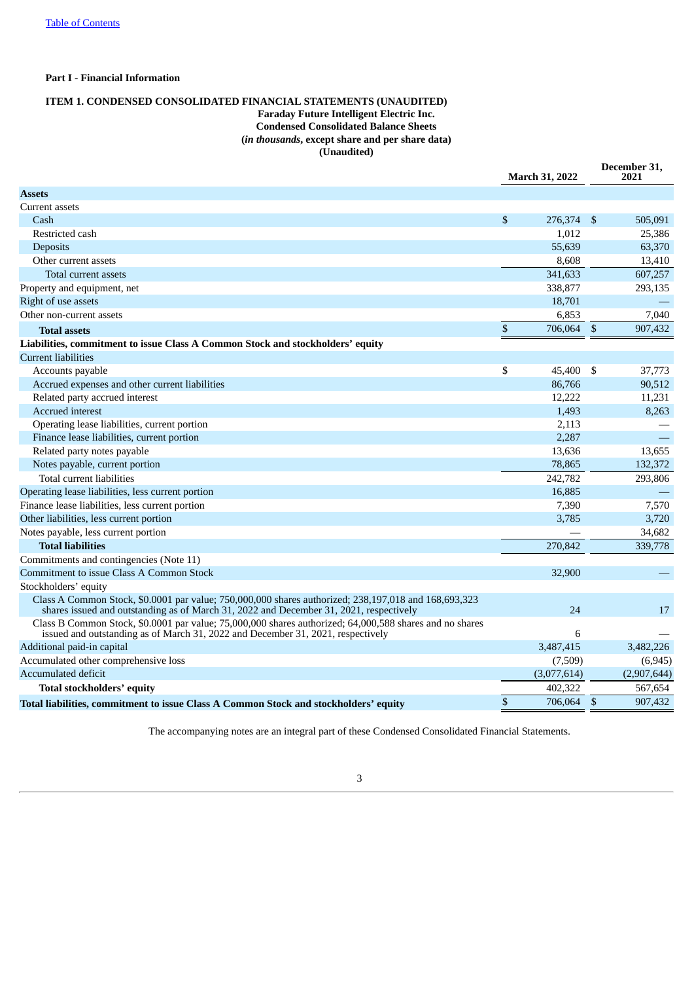## **Part I - Financial Information**

## <span id="page-3-1"></span><span id="page-3-0"></span>**ITEM 1. CONDENSED CONSOLIDATED FINANCIAL STATEMENTS (UNAUDITED) Faraday Future Intelligent Electric Inc. Condensed Consolidated Balance Sheets (***in thousands***, except share and per share data) (Unaudited)**

|                                                                                                                                                                                                |              | <b>March 31, 2022</b> |                | December 31,<br>2021 |
|------------------------------------------------------------------------------------------------------------------------------------------------------------------------------------------------|--------------|-----------------------|----------------|----------------------|
| <b>Assets</b>                                                                                                                                                                                  |              |                       |                |                      |
| <b>Current assets</b>                                                                                                                                                                          |              |                       |                |                      |
| Cash                                                                                                                                                                                           | $\mathbb{S}$ | 276,374 \$            |                | 505,091              |
| Restricted cash                                                                                                                                                                                |              | 1.012                 |                | 25,386               |
| <b>Deposits</b>                                                                                                                                                                                |              | 55,639                |                | 63,370               |
| Other current assets                                                                                                                                                                           |              | 8.608                 |                | 13,410               |
| Total current assets                                                                                                                                                                           |              | 341,633               |                | 607,257              |
| Property and equipment, net                                                                                                                                                                    |              | 338,877               |                | 293,135              |
| Right of use assets                                                                                                                                                                            |              | 18,701                |                |                      |
| Other non-current assets                                                                                                                                                                       |              | 6,853                 |                | 7,040                |
| <b>Total assets</b>                                                                                                                                                                            | \$           | 706,064               | $\mathfrak{S}$ | 907,432              |
| Liabilities, commitment to issue Class A Common Stock and stockholders' equity                                                                                                                 |              |                       |                |                      |
| <b>Current liabilities</b>                                                                                                                                                                     |              |                       |                |                      |
| Accounts payable                                                                                                                                                                               | \$           | 45,400                | - \$           | 37,773               |
| Accrued expenses and other current liabilities                                                                                                                                                 |              | 86,766                |                | 90,512               |
| Related party accrued interest                                                                                                                                                                 |              | 12,222                |                | 11,231               |
| Accrued interest                                                                                                                                                                               |              | 1,493                 |                | 8,263                |
| Operating lease liabilities, current portion                                                                                                                                                   |              | 2,113                 |                |                      |
| Finance lease liabilities, current portion                                                                                                                                                     |              | 2,287                 |                |                      |
| Related party notes payable                                                                                                                                                                    |              | 13,636                |                | 13,655               |
| Notes payable, current portion                                                                                                                                                                 |              | 78,865                |                | 132,372              |
| Total current liabilities                                                                                                                                                                      |              | 242,782               |                | 293,806              |
| Operating lease liabilities, less current portion                                                                                                                                              |              | 16,885                |                |                      |
| Finance lease liabilities, less current portion                                                                                                                                                |              | 7,390                 |                | 7,570                |
| Other liabilities, less current portion                                                                                                                                                        |              | 3,785                 |                | 3,720                |
| Notes payable, less current portion                                                                                                                                                            |              |                       |                | 34,682               |
| <b>Total liabilities</b>                                                                                                                                                                       |              | 270,842               |                | 339,778              |
| Commitments and contingencies (Note 11)                                                                                                                                                        |              |                       |                |                      |
| Commitment to issue Class A Common Stock                                                                                                                                                       |              | 32,900                |                |                      |
| Stockholders' equity                                                                                                                                                                           |              |                       |                |                      |
| Class A Common Stock, \$0.0001 par value; 750,000,000 shares authorized; 238,197,018 and 168,693,323<br>shares issued and outstanding as of March 31, 2022 and December 31, 2021, respectively |              | 24                    |                | 17                   |
| Class B Common Stock, \$0.0001 par value; 75,000,000 shares authorized; 64,000,588 shares and no shares<br>issued and outstanding as of March 31, 2022 and December 31, 2021, respectively     |              | 6                     |                |                      |
| Additional paid-in capital                                                                                                                                                                     |              | 3,487,415             |                | 3,482,226            |
| Accumulated other comprehensive loss                                                                                                                                                           |              | (7,509)               |                | (6, 945)             |
| <b>Accumulated deficit</b>                                                                                                                                                                     |              | (3,077,614)           |                | (2,907,644)          |
| <b>Total stockholders' equity</b>                                                                                                                                                              |              | 402,322               |                | 567,654              |
| Total liabilities, commitment to issue Class A Common Stock and stockholders' equity                                                                                                           | \$           | 706,064               | -\$            | 907,432              |

<span id="page-3-2"></span>The accompanying notes are an integral part of these Condensed Consolidated Financial Statements.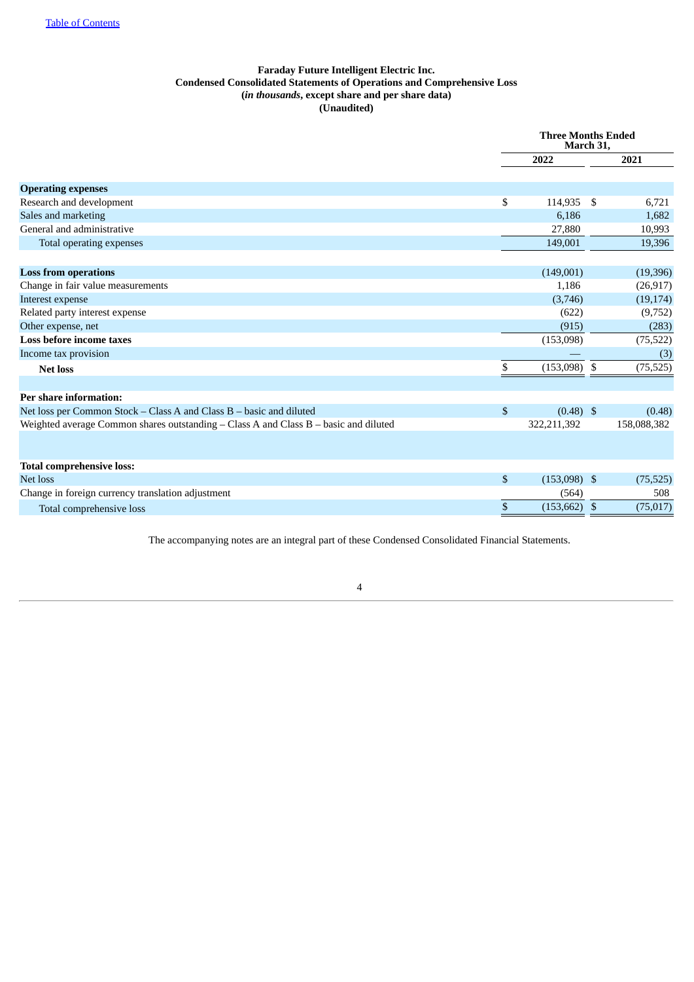## **Faraday Future Intelligent Electric Inc. Condensed Consolidated Statements of Operations and Comprehensive Loss (***in thousands***, except share and per share data) (Unaudited)**

|                                                                                      |                | <b>Three Months Ended</b><br>March 31, |      |             |  |
|--------------------------------------------------------------------------------------|----------------|----------------------------------------|------|-------------|--|
|                                                                                      |                | 2022                                   |      | 2021        |  |
| <b>Operating expenses</b>                                                            |                |                                        |      |             |  |
| Research and development                                                             | \$             | 114,935 \$                             |      | 6,721       |  |
| Sales and marketing                                                                  |                | 6,186                                  |      | 1,682       |  |
| General and administrative                                                           |                | 27,880                                 |      | 10,993      |  |
| Total operating expenses                                                             |                | 149,001                                |      | 19,396      |  |
|                                                                                      |                |                                        |      |             |  |
| <b>Loss from operations</b>                                                          |                | (149,001)                              |      | (19,396)    |  |
| Change in fair value measurements                                                    |                | 1,186                                  |      | (26, 917)   |  |
| Interest expense                                                                     |                | (3,746)                                |      | (19, 174)   |  |
| Related party interest expense                                                       |                | (622)                                  |      | (9,752)     |  |
| Other expense, net                                                                   |                | (915)                                  |      | (283)       |  |
| Loss before income taxes                                                             |                | (153,098)                              |      | (75, 522)   |  |
| Income tax provision                                                                 |                |                                        |      | (3)         |  |
| <b>Net loss</b>                                                                      | \$             | $(153,098)$ \$                         |      | (75, 525)   |  |
|                                                                                      |                |                                        |      |             |  |
| <b>Per share information:</b>                                                        |                |                                        |      |             |  |
| Net loss per Common Stock - Class A and Class B - basic and diluted                  | $\mathfrak{s}$ | $(0.48)$ \$                            |      | (0.48)      |  |
| Weighted average Common shares outstanding - Class A and Class B - basic and diluted |                | 322,211,392                            |      | 158,088,382 |  |
|                                                                                      |                |                                        |      |             |  |
| <b>Total comprehensive loss:</b>                                                     |                |                                        |      |             |  |
| Net loss                                                                             | \$             | $(153,098)$ \$                         |      | (75, 525)   |  |
| Change in foreign currency translation adjustment                                    |                | (564)                                  |      | 508         |  |
| Total comprehensive loss                                                             | \$             | (153, 662)                             | - \$ | (75, 017)   |  |
|                                                                                      |                |                                        |      |             |  |

<span id="page-4-0"></span>The accompanying notes are an integral part of these Condensed Consolidated Financial Statements.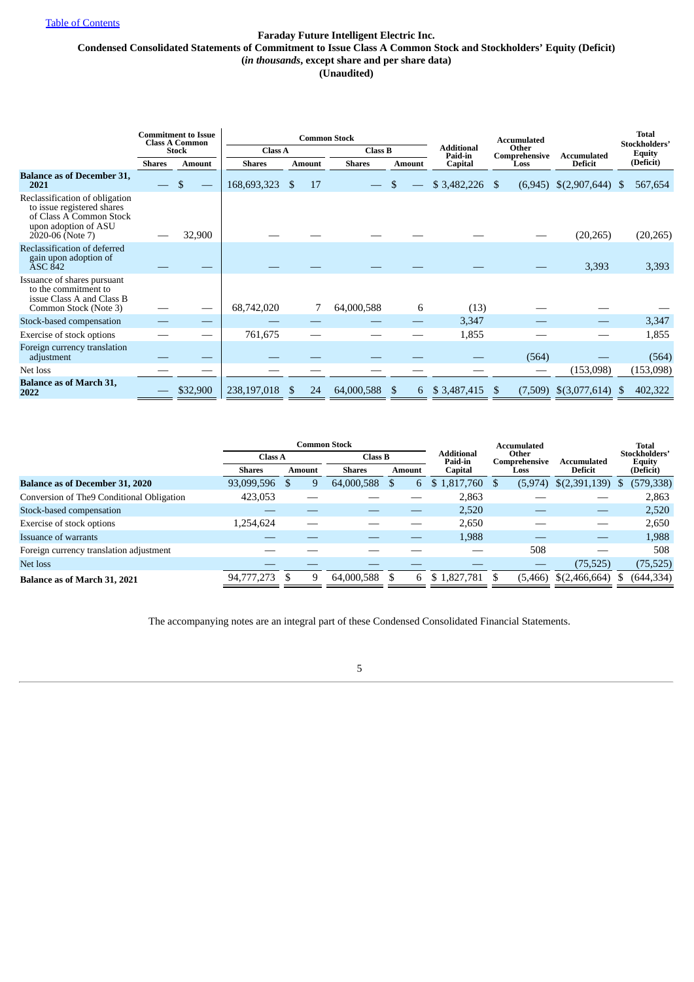## **Faraday Future Intelligent Electric Inc. Condensed Consolidated Statements of Commitment to Issue Class A Common Stock and Stockholders' Equity (Deficit) (***in thousands***, except share and per share data)**

**(Unaudited)**

| <b>Commitment to Issue</b><br><b>Class A Common</b>                                                                                 |               |               |                                |                | <b>Common Stock</b>            |            | <b>Additional</b>                            |   | <b>Accumulated</b> |                        | <b>Total</b><br>Stockholders' |                               |               |
|-------------------------------------------------------------------------------------------------------------------------------------|---------------|---------------|--------------------------------|----------------|--------------------------------|------------|----------------------------------------------|---|--------------------|------------------------|-------------------------------|-------------------------------|---------------|
|                                                                                                                                     | <b>Stock</b>  |               |                                | Class A        |                                |            | <b>Class B</b>                               |   |                    | Other<br>Comprehensive |                               | Accumulated                   | <b>Equity</b> |
|                                                                                                                                     | <b>Shares</b> | <b>Amount</b> | <b>Shares</b><br><b>Amount</b> |                | <b>Shares</b><br><b>Amount</b> |            | Paid-in<br><b>Deficit</b><br>Capital<br>Loss |   |                    |                        |                               | (Deficit)                     |               |
| <b>Balance as of December 31,</b><br>2021                                                                                           |               | <sup>\$</sup> | 168,693,323                    | $\mathfrak{S}$ | 17                             |            |                                              |   | $$3,482,226$ \;    |                        |                               | $(6,945)$ \$ $(2,907,644)$ \$ | 567,654       |
| Reclassification of obligation<br>to issue registered shares<br>of Class A Common Stock<br>upon adoption of ASU<br>2020-06 (Note 7) |               | 32,900        |                                |                |                                |            |                                              |   |                    |                        |                               | (20, 265)                     | (20, 265)     |
| Reclassification of deferred<br>gain upon adoption of<br>$\overline{A}$ SC 842                                                      |               |               |                                |                |                                |            |                                              |   |                    |                        |                               | 3,393                         | 3,393         |
| Issuance of shares pursuant<br>to the commitment to<br>issue Class A and Class B<br>Common Stock (Note 3)                           |               |               | 68,742,020                     |                |                                | 64,000,588 |                                              | 6 | (13)               |                        |                               |                               |               |
| Stock-based compensation                                                                                                            |               |               |                                |                |                                |            |                                              |   | 3,347              |                        |                               |                               | 3,347         |
| Exercise of stock options                                                                                                           |               |               | 761,675                        |                |                                |            |                                              |   | 1,855              |                        |                               |                               | 1,855         |
| Foreign currency translation<br>adjustment                                                                                          |               |               |                                |                |                                |            |                                              |   |                    |                        | (564)                         |                               | (564)         |
| Net loss                                                                                                                            |               |               |                                |                |                                |            |                                              |   |                    |                        |                               | (153,098)                     | (153,098)     |
| <b>Balance as of March 31,</b><br>2022                                                                                              |               | \$32,900      | 238,197,018                    | \$             | 24                             | 64,000,588 | -S                                           | 6 | \$3,487,415        | -S                     |                               | $(7,509)$ \$ $(3,077,614)$ \$ | 402,322       |

|                                           |                                                                                                           |               | <b>Common Stock</b> |         |             | <b>Accumulated</b>      |                | Total      |
|-------------------------------------------|-----------------------------------------------------------------------------------------------------------|---------------|---------------------|---------|-------------|-------------------------|----------------|------------|
|                                           | <b>Additional</b><br>Other<br><b>Class B</b><br><b>Class A</b><br>Paid-in<br>Comprehensive<br>Accumulated |               |                     |         |             | Stockholders'<br>Equity |                |            |
|                                           | <b>Shares</b>                                                                                             | <b>Amount</b> | <b>Shares</b>       | Amount  | Capital     | Loss                    | <b>Deficit</b> | (Deficit)  |
| <b>Balance as of December 31, 2020</b>    | 93,099,596 \$                                                                                             | 9             | 64,000,588          | 6<br>-S | \$1,817,760 | <b>S</b><br>(5,974)     | \$(2,391,139)  | (579, 338) |
| Conversion of The9 Conditional Obligation | 423,053                                                                                                   |               |                     |         | 2,863       |                         |                | 2,863      |
| Stock-based compensation                  |                                                                                                           |               |                     |         | 2,520       |                         |                | 2,520      |
| Exercise of stock options                 | 1,254,624                                                                                                 |               |                     |         | 2,650       |                         |                | 2,650      |
| Issuance of warrants                      |                                                                                                           |               |                     |         | 1,988       |                         |                | 1,988      |
| Foreign currency translation adjustment   |                                                                                                           |               |                     |         |             | 508                     |                | 508        |
| Net loss                                  |                                                                                                           |               |                     |         |             |                         | (75, 525)      | (75, 525)  |
| Balance as of March 31, 2021              | 94,777,273 \$                                                                                             |               | 64,000,588          | 6       | \$1,827,781 | (5, 466)                | \$(2,466,664)  | (644,334)  |

<span id="page-5-0"></span>The accompanying notes are an integral part of these Condensed Consolidated Financial Statements.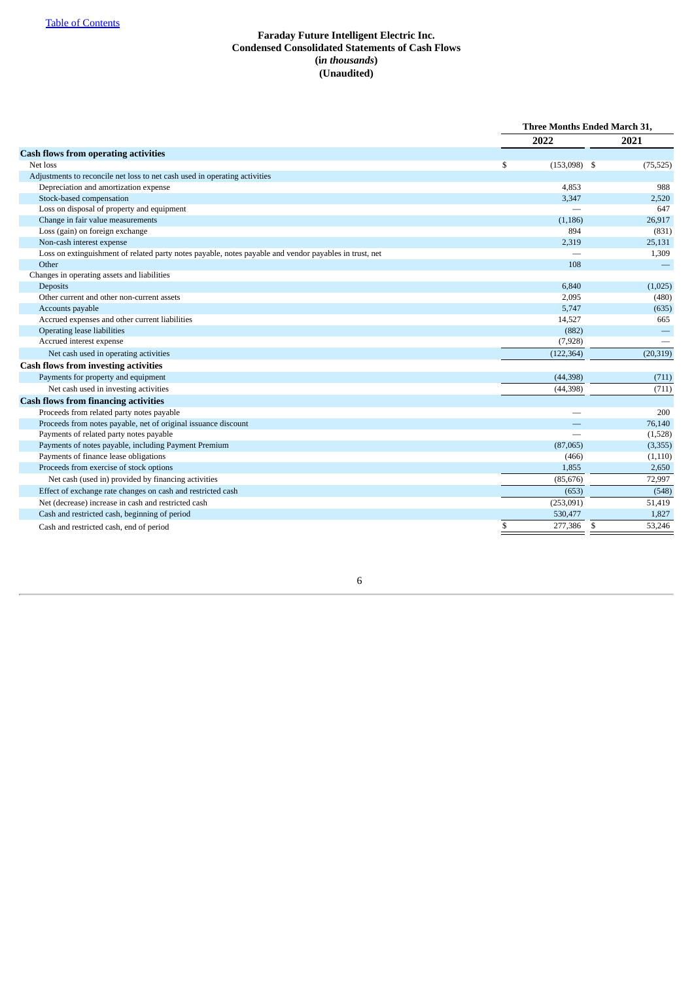## **Faraday Future Intelligent Electric Inc. Condensed Consolidated Statements of Cash Flows (i***n thousands***) (Unaudited)**

|                                                                                                        | Three Months Ended March 31, |                |  |  |
|--------------------------------------------------------------------------------------------------------|------------------------------|----------------|--|--|
|                                                                                                        | 2022                         | 2021           |  |  |
| <b>Cash flows from operating activities</b>                                                            |                              |                |  |  |
| Net loss                                                                                               | \$<br>$(153,098)$ \$         | (75, 525)      |  |  |
| Adjustments to reconcile net loss to net cash used in operating activities                             |                              |                |  |  |
| Depreciation and amortization expense                                                                  | 4,853                        | 988            |  |  |
| Stock-based compensation                                                                               | 3,347                        | 2,520          |  |  |
| Loss on disposal of property and equipment                                                             |                              | 647            |  |  |
| Change in fair value measurements                                                                      | (1, 186)                     | 26,917         |  |  |
| Loss (gain) on foreign exchange                                                                        | 894                          | (831)          |  |  |
| Non-cash interest expense                                                                              | 2,319                        | 25,131         |  |  |
| Loss on extinguishment of related party notes payable, notes payable and vendor payables in trust, net |                              | 1,309          |  |  |
| Other                                                                                                  | 108                          |                |  |  |
| Changes in operating assets and liabilities                                                            |                              |                |  |  |
| <b>Deposits</b>                                                                                        | 6,840                        | (1,025)        |  |  |
| Other current and other non-current assets                                                             | 2,095                        | (480)          |  |  |
| Accounts payable                                                                                       | 5,747                        | (635)          |  |  |
| Accrued expenses and other current liabilities                                                         | 14,527                       | 665            |  |  |
| Operating lease liabilities                                                                            | (882)                        |                |  |  |
| Accrued interest expense                                                                               | (7,928)                      |                |  |  |
| Net cash used in operating activities                                                                  | (122, 364)                   | (20, 319)      |  |  |
| <b>Cash flows from investing activities</b>                                                            |                              |                |  |  |
| Payments for property and equipment                                                                    | (44, 398)                    | (711)          |  |  |
| Net cash used in investing activities                                                                  | (44, 398)                    | (711)          |  |  |
| <b>Cash flows from financing activities</b>                                                            |                              |                |  |  |
| Proceeds from related party notes payable                                                              |                              | 200            |  |  |
| Proceeds from notes payable, net of original issuance discount                                         |                              | 76,140         |  |  |
| Payments of related party notes payable                                                                |                              | (1,528)        |  |  |
| Payments of notes payable, including Payment Premium                                                   | (87,065)                     | (3, 355)       |  |  |
| Payments of finance lease obligations                                                                  | (466)                        | (1,110)        |  |  |
| Proceeds from exercise of stock options                                                                | 1,855                        | 2,650          |  |  |
| Net cash (used in) provided by financing activities                                                    | (85, 676)                    | 72,997         |  |  |
| Effect of exchange rate changes on cash and restricted cash                                            | (653)                        | (548)          |  |  |
| Net (decrease) increase in cash and restricted cash                                                    | (253,091)                    | 51,419         |  |  |
| Cash and restricted cash, beginning of period                                                          | 530,477                      | 1,827          |  |  |
| Cash and restricted cash, end of period                                                                | \$<br>277,386                | - \$<br>53,246 |  |  |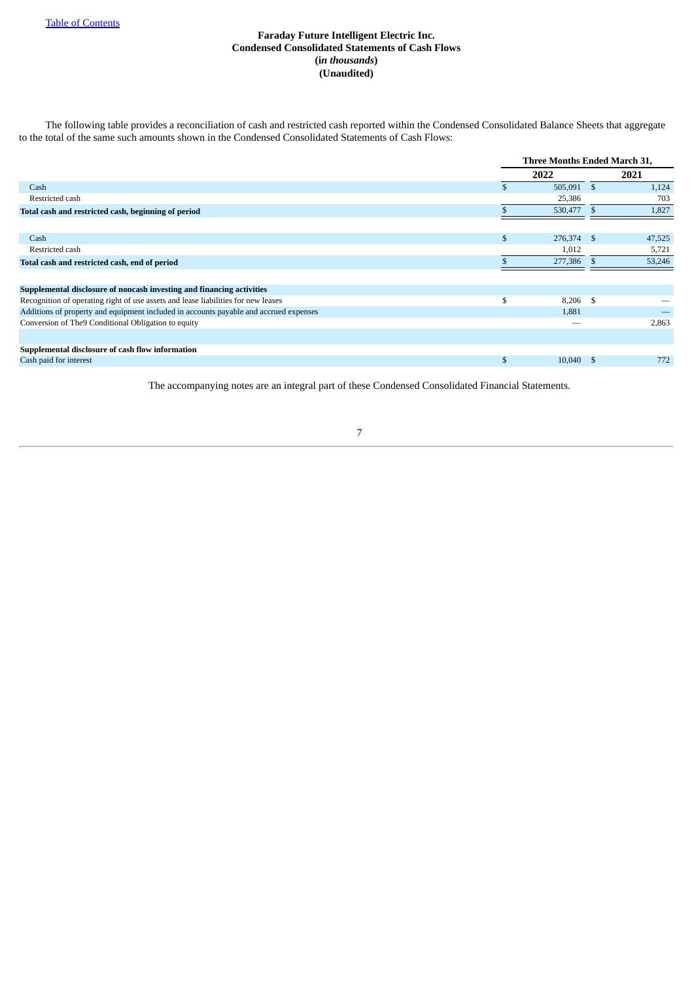## **Faraday Future Intelligent Electric Inc. Condensed Consolidated Statements of Cash Flows (i***n thousands***) (Unaudited)**

The following table provides a reconciliation of cash and restricted cash reported within the Condensed Consolidated Balance Sheets that aggregate to the total of the same such amounts shown in the Condensed Consolidated Statements of Cash Flows:

|                                                                                       |              | Three Months Ended March 31. |      |        |  |  |
|---------------------------------------------------------------------------------------|--------------|------------------------------|------|--------|--|--|
|                                                                                       |              | 2022                         |      | 2021   |  |  |
| Cash                                                                                  |              | 505,091                      | - \$ | 1,124  |  |  |
| Restricted cash                                                                       |              | 25,386                       |      | 703    |  |  |
| Total cash and restricted cash, beginning of period                                   |              | 530,477                      | -S   | 1,827  |  |  |
|                                                                                       |              |                              |      |        |  |  |
| Cash                                                                                  | $\mathbb{S}$ | 276,374 \$                   |      | 47,525 |  |  |
| Restricted cash                                                                       |              | 1,012                        |      | 5,721  |  |  |
| Total cash and restricted cash, end of period                                         |              | 277,386                      | £.   | 53,246 |  |  |
|                                                                                       |              |                              |      |        |  |  |
| Supplemental disclosure of noncash investing and financing activities                 |              |                              |      |        |  |  |
| Recognition of operating right of use assets and lease liabilities for new leases     | \$           | 8,206                        | - \$ |        |  |  |
| Additions of property and equipment included in accounts payable and accrued expenses |              | 1,881                        |      |        |  |  |
| Conversion of The9 Conditional Obligation to equity                                   |              |                              |      | 2,863  |  |  |
|                                                                                       |              |                              |      |        |  |  |
| Supplemental disclosure of cash flow information                                      |              |                              |      |        |  |  |
| Cash paid for interest                                                                | \$           | 10,040                       | - \$ | 772    |  |  |
|                                                                                       |              |                              |      |        |  |  |

<span id="page-7-0"></span>The accompanying notes are an integral part of these Condensed Consolidated Financial Statements.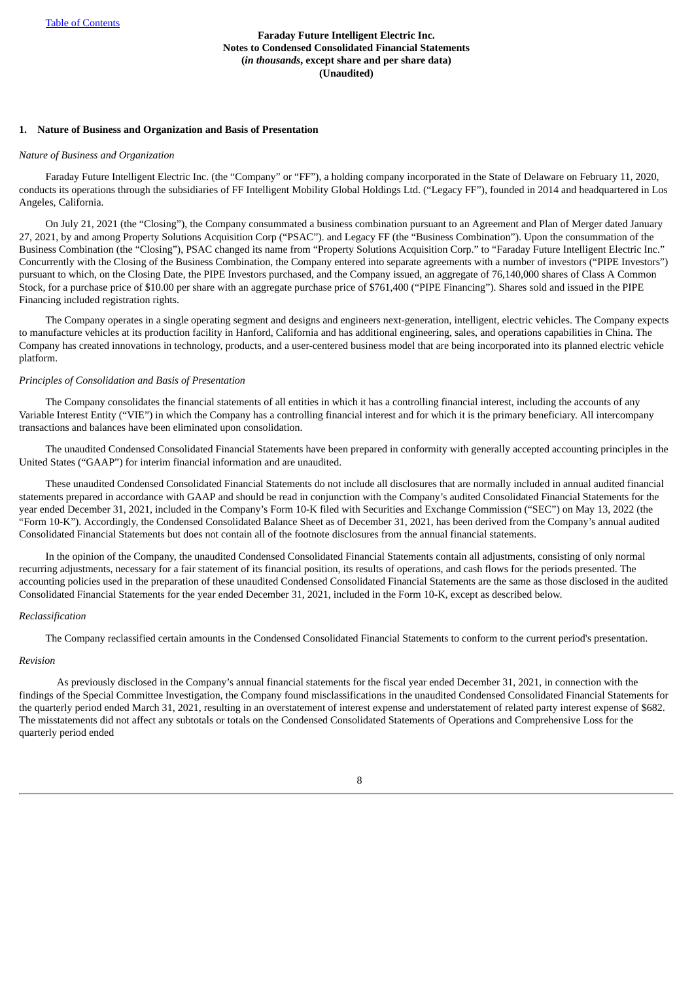### **1. Nature of Business and Organization and Basis of Presentation**

#### *Nature of Business and Organization*

Faraday Future Intelligent Electric Inc. (the "Company" or "FF"), a holding company incorporated in the State of Delaware on February 11, 2020, conducts its operations through the subsidiaries of FF Intelligent Mobility Global Holdings Ltd. ("Legacy FF"), founded in 2014 and headquartered in Los Angeles, California.

On July 21, 2021 (the "Closing"), the Company consummated a business combination pursuant to an Agreement and Plan of Merger dated January 27, 2021, by and among Property Solutions Acquisition Corp ("PSAC"). and Legacy FF (the "Business Combination"). Upon the consummation of the Business Combination (the "Closing"), PSAC changed its name from "Property Solutions Acquisition Corp." to "Faraday Future Intelligent Electric Inc." Concurrently with the Closing of the Business Combination, the Company entered into separate agreements with a number of investors ("PIPE Investors") pursuant to which, on the Closing Date, the PIPE Investors purchased, and the Company issued, an aggregate of 76,140,000 shares of Class A Common Stock, for a purchase price of \$10.00 per share with an aggregate purchase price of \$761,400 ("PIPE Financing"). Shares sold and issued in the PIPE Financing included registration rights.

The Company operates in a single operating segment and designs and engineers next-generation, intelligent, electric vehicles. The Company expects to manufacture vehicles at its production facility in Hanford, California and has additional engineering, sales, and operations capabilities in China. The Company has created innovations in technology, products, and a user-centered business model that are being incorporated into its planned electric vehicle platform.

### *Principles of Consolidation and Basis of Presentation*

The Company consolidates the financial statements of all entities in which it has a controlling financial interest, including the accounts of any Variable Interest Entity ("VIE") in which the Company has a controlling financial interest and for which it is the primary beneficiary. All intercompany transactions and balances have been eliminated upon consolidation.

The unaudited Condensed Consolidated Financial Statements have been prepared in conformity with generally accepted accounting principles in the United States ("GAAP") for interim financial information and are unaudited.

These unaudited Condensed Consolidated Financial Statements do not include all disclosures that are normally included in annual audited financial statements prepared in accordance with GAAP and should be read in conjunction with the Company's audited Consolidated Financial Statements for the year ended December 31, 2021, included in the Company's Form 10-K filed with Securities and Exchange Commission ("SEC") on May 13, 2022 (the "Form 10-K"). Accordingly, the Condensed Consolidated Balance Sheet as of December 31, 2021, has been derived from the Company's annual audited Consolidated Financial Statements but does not contain all of the footnote disclosures from the annual financial statements.

In the opinion of the Company, the unaudited Condensed Consolidated Financial Statements contain all adjustments, consisting of only normal recurring adjustments, necessary for a fair statement of its financial position, its results of operations, and cash flows for the periods presented. The accounting policies used in the preparation of these unaudited Condensed Consolidated Financial Statements are the same as those disclosed in the audited Consolidated Financial Statements for the year ended December 31, 2021, included in the Form 10-K, except as described below.

### *Reclassification*

The Company reclassified certain amounts in the Condensed Consolidated Financial Statements to conform to the current period's presentation.

### *Revision*

As previously disclosed in the Company's annual financial statements for the fiscal year ended December 31, 2021, in connection with the findings of the Special Committee Investigation, the Company found misclassifications in the unaudited Condensed Consolidated Financial Statements for the quarterly period ended March 31, 2021, resulting in an overstatement of interest expense and understatement of related party interest expense of \$682. The misstatements did not affect any subtotals or totals on the Condensed Consolidated Statements of Operations and Comprehensive Loss for the quarterly period ended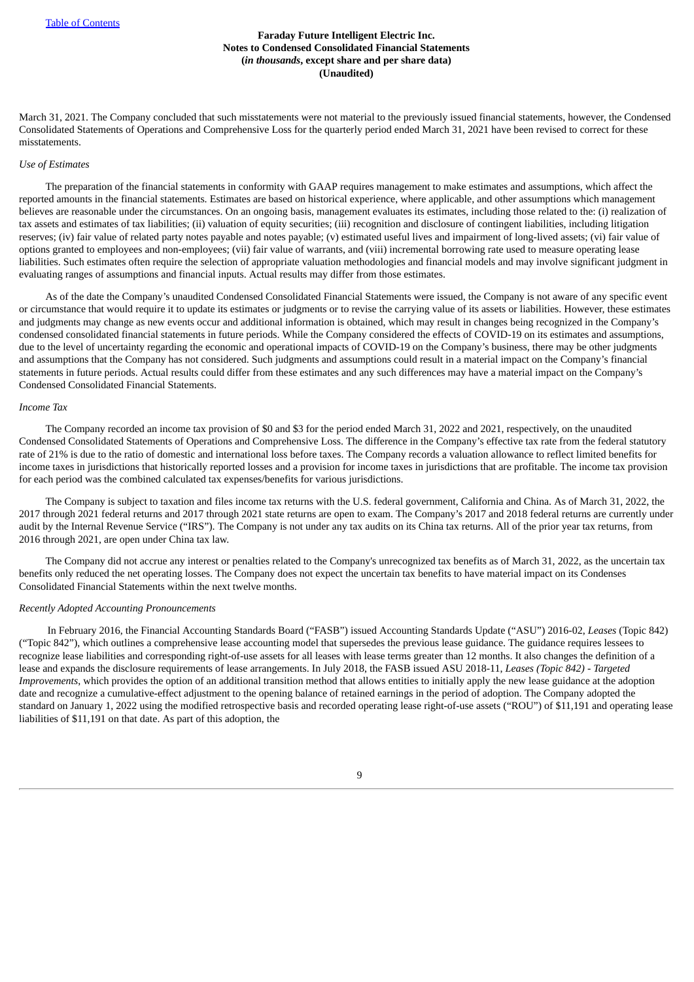March 31, 2021. The Company concluded that such misstatements were not material to the previously issued financial statements, however, the Condensed Consolidated Statements of Operations and Comprehensive Loss for the quarterly period ended March 31, 2021 have been revised to correct for these misstatements.

### *Use of Estimates*

The preparation of the financial statements in conformity with GAAP requires management to make estimates and assumptions, which affect the reported amounts in the financial statements. Estimates are based on historical experience, where applicable, and other assumptions which management believes are reasonable under the circumstances. On an ongoing basis, management evaluates its estimates, including those related to the: (i) realization of tax assets and estimates of tax liabilities; (ii) valuation of equity securities; (iii) recognition and disclosure of contingent liabilities, including litigation reserves; (iv) fair value of related party notes payable and notes payable; (v) estimated useful lives and impairment of long-lived assets; (vi) fair value of options granted to employees and non-employees; (vii) fair value of warrants, and (viii) incremental borrowing rate used to measure operating lease liabilities. Such estimates often require the selection of appropriate valuation methodologies and financial models and may involve significant judgment in evaluating ranges of assumptions and financial inputs. Actual results may differ from those estimates.

As of the date the Company's unaudited Condensed Consolidated Financial Statements were issued, the Company is not aware of any specific event or circumstance that would require it to update its estimates or judgments or to revise the carrying value of its assets or liabilities. However, these estimates and judgments may change as new events occur and additional information is obtained, which may result in changes being recognized in the Company's condensed consolidated financial statements in future periods. While the Company considered the effects of COVID-19 on its estimates and assumptions, due to the level of uncertainty regarding the economic and operational impacts of COVID-19 on the Company's business, there may be other judgments and assumptions that the Company has not considered. Such judgments and assumptions could result in a material impact on the Company's financial statements in future periods. Actual results could differ from these estimates and any such differences may have a material impact on the Company's Condensed Consolidated Financial Statements.

### *Income Tax*

The Company recorded an income tax provision of \$0 and \$3 for the period ended March 31, 2022 and 2021, respectively, on the unaudited Condensed Consolidated Statements of Operations and Comprehensive Loss. The difference in the Company's effective tax rate from the federal statutory rate of 21% is due to the ratio of domestic and international loss before taxes. The Company records a valuation allowance to reflect limited benefits for income taxes in jurisdictions that historically reported losses and a provision for income taxes in jurisdictions that are profitable. The income tax provision for each period was the combined calculated tax expenses/benefits for various jurisdictions.

The Company is subject to taxation and files income tax returns with the U.S. federal government, California and China. As of March 31, 2022, the 2017 through 2021 federal returns and 2017 through 2021 state returns are open to exam. The Company's 2017 and 2018 federal returns are currently under audit by the Internal Revenue Service ("IRS"). The Company is not under any tax audits on its China tax returns. All of the prior year tax returns, from 2016 through 2021, are open under China tax law.

The Company did not accrue any interest or penalties related to the Company's unrecognized tax benefits as of March 31, 2022, as the uncertain tax benefits only reduced the net operating losses. The Company does not expect the uncertain tax benefits to have material impact on its Condenses Consolidated Financial Statements within the next twelve months.

### *Recently Adopted Accounting Pronouncements*

In February 2016, the Financial Accounting Standards Board ("FASB") issued Accounting Standards Update ("ASU") 2016-02, *Leases* (Topic 842) ("Topic 842"), which outlines a comprehensive lease accounting model that supersedes the previous lease guidance. The guidance requires lessees to recognize lease liabilities and corresponding right-of-use assets for all leases with lease terms greater than 12 months. It also changes the definition of a lease and expands the disclosure requirements of lease arrangements. In July 2018, the FASB issued ASU 2018-11, *Leases (Topic 842) - Targeted Improvements*, which provides the option of an additional transition method that allows entities to initially apply the new lease guidance at the adoption date and recognize a cumulative-effect adjustment to the opening balance of retained earnings in the period of adoption. The Company adopted the standard on January 1, 2022 using the modified retrospective basis and recorded operating lease right-of-use assets ("ROU") of \$11,191 and operating lease liabilities of \$11,191 on that date. As part of this adoption, the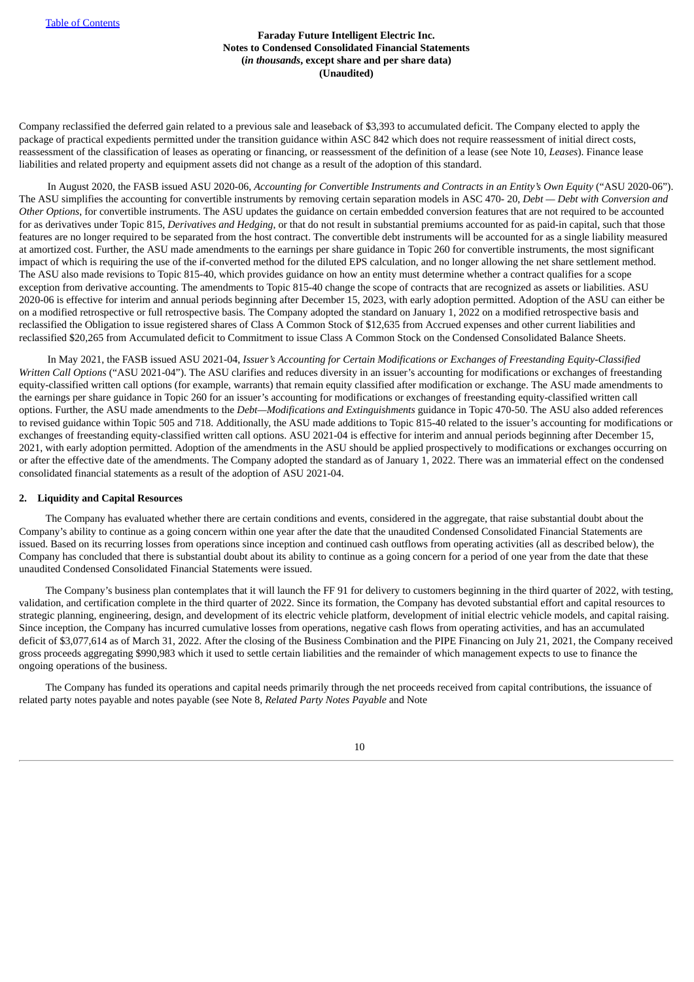Company reclassified the deferred gain related to a previous sale and leaseback of \$3,393 to accumulated deficit. The Company elected to apply the package of practical expedients permitted under the transition guidance within ASC 842 which does not require reassessment of initial direct costs, reassessment of the classification of leases as operating or financing, or reassessment of the definition of a lease (see Note 10, *Leases*). Finance lease liabilities and related property and equipment assets did not change as a result of the adoption of this standard.

In August 2020, the FASB issued ASU 2020-06, *Accounting for Convertible Instruments and Contracts in an Entity's Own Equity* ("ASU 2020-06"). The ASU simplifies the accounting for convertible instruments by removing certain separation models in ASC 470- 20, *Debt — Debt with Conversion and Other Options*, for convertible instruments. The ASU updates the guidance on certain embedded conversion features that are not required to be accounted for as derivatives under Topic 815, *Derivatives and Hedging*, or that do not result in substantial premiums accounted for as paid-in capital, such that those features are no longer required to be separated from the host contract. The convertible debt instruments will be accounted for as a single liability measured at amortized cost. Further, the ASU made amendments to the earnings per share guidance in Topic 260 for convertible instruments, the most significant impact of which is requiring the use of the if-converted method for the diluted EPS calculation, and no longer allowing the net share settlement method. The ASU also made revisions to Topic 815-40, which provides guidance on how an entity must determine whether a contract qualifies for a scope exception from derivative accounting. The amendments to Topic 815-40 change the scope of contracts that are recognized as assets or liabilities. ASU 2020-06 is effective for interim and annual periods beginning after December 15, 2023, with early adoption permitted. Adoption of the ASU can either be on a modified retrospective or full retrospective basis. The Company adopted the standard on January 1, 2022 on a modified retrospective basis and reclassified the Obligation to issue registered shares of Class A Common Stock of \$12,635 from Accrued expenses and other current liabilities and reclassified \$20,265 from Accumulated deficit to Commitment to issue Class A Common Stock on the Condensed Consolidated Balance Sheets.

In May 2021, the FASB issued ASU 2021-04, *Issuer's Accounting for Certain Modifications or Exchanges of Freestanding Equity-Classified Written Call Options* ("ASU 2021-04"). The ASU clarifies and reduces diversity in an issuer's accounting for modifications or exchanges of freestanding equity-classified written call options (for example, warrants) that remain equity classified after modification or exchange. The ASU made amendments to the earnings per share guidance in Topic 260 for an issuer's accounting for modifications or exchanges of freestanding equity-classified written call options. Further, the ASU made amendments to the *Debt—Modifications and Extinguishments* guidance in Topic 470-50. The ASU also added references to revised guidance within Topic 505 and 718. Additionally, the ASU made additions to Topic 815-40 related to the issuer's accounting for modifications or exchanges of freestanding equity-classified written call options. ASU 2021-04 is effective for interim and annual periods beginning after December 15, 2021, with early adoption permitted. Adoption of the amendments in the ASU should be applied prospectively to modifications or exchanges occurring on or after the effective date of the amendments. The Company adopted the standard as of January 1, 2022. There was an immaterial effect on the condensed consolidated financial statements as a result of the adoption of ASU 2021-04.

### **2. Liquidity and Capital Resources**

The Company has evaluated whether there are certain conditions and events, considered in the aggregate, that raise substantial doubt about the Company's ability to continue as a going concern within one year after the date that the unaudited Condensed Consolidated Financial Statements are issued. Based on its recurring losses from operations since inception and continued cash outflows from operating activities (all as described below), the Company has concluded that there is substantial doubt about its ability to continue as a going concern for a period of one year from the date that these unaudited Condensed Consolidated Financial Statements were issued.

The Company's business plan contemplates that it will launch the FF 91 for delivery to customers beginning in the third quarter of 2022, with testing, validation, and certification complete in the third quarter of 2022. Since its formation, the Company has devoted substantial effort and capital resources to strategic planning, engineering, design, and development of its electric vehicle platform, development of initial electric vehicle models, and capital raising. Since inception, the Company has incurred cumulative losses from operations, negative cash flows from operating activities, and has an accumulated deficit of \$3,077,614 as of March 31, 2022. After the closing of the Business Combination and the PIPE Financing on July 21, 2021, the Company received gross proceeds aggregating \$990,983 which it used to settle certain liabilities and the remainder of which management expects to use to finance the ongoing operations of the business.

The Company has funded its operations and capital needs primarily through the net proceeds received from capital contributions, the issuance of related party notes payable and notes payable (see Note 8, *Related Party Notes Payable* and Note

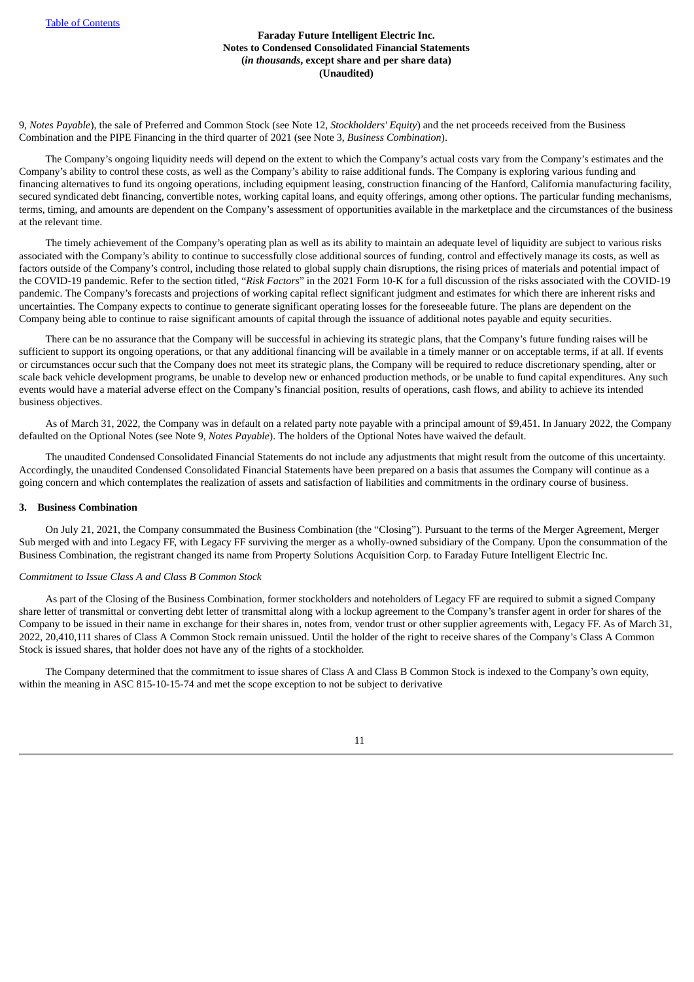9, *Notes Payable*), the sale of Preferred and Common Stock (see Note 12, *Stockholders' Equity*) and the net proceeds received from the Business Combination and the PIPE Financing in the third quarter of 2021 (see Note 3, *Business Combination*).

The Company's ongoing liquidity needs will depend on the extent to which the Company's actual costs vary from the Company's estimates and the Company's ability to control these costs, as well as the Company's ability to raise additional funds. The Company is exploring various funding and financing alternatives to fund its ongoing operations, including equipment leasing, construction financing of the Hanford, California manufacturing facility, secured syndicated debt financing, convertible notes, working capital loans, and equity offerings, among other options. The particular funding mechanisms, terms, timing, and amounts are dependent on the Company's assessment of opportunities available in the marketplace and the circumstances of the business at the relevant time.

The timely achievement of the Company's operating plan as well as its ability to maintain an adequate level of liquidity are subject to various risks associated with the Company's ability to continue to successfully close additional sources of funding, control and effectively manage its costs, as well as factors outside of the Company's control, including those related to global supply chain disruptions, the rising prices of materials and potential impact of the COVID-19 pandemic. Refer to the section titled, "*Risk Factors*" in the 2021 Form 10-K for a full discussion of the risks associated with the COVID-19 pandemic. The Company's forecasts and projections of working capital reflect significant judgment and estimates for which there are inherent risks and uncertainties. The Company expects to continue to generate significant operating losses for the foreseeable future. The plans are dependent on the Company being able to continue to raise significant amounts of capital through the issuance of additional notes payable and equity securities.

There can be no assurance that the Company will be successful in achieving its strategic plans, that the Company's future funding raises will be sufficient to support its ongoing operations, or that any additional financing will be available in a timely manner or on acceptable terms, if at all. If events or circumstances occur such that the Company does not meet its strategic plans, the Company will be required to reduce discretionary spending, alter or scale back vehicle development programs, be unable to develop new or enhanced production methods, or be unable to fund capital expenditures. Any such events would have a material adverse effect on the Company's financial position, results of operations, cash flows, and ability to achieve its intended business objectives.

As of March 31, 2022, the Company was in default on a related party note payable with a principal amount of \$9,451. In January 2022, the Company defaulted on the Optional Notes (see Note 9, *Notes Payable*). The holders of the Optional Notes have waived the default.

The unaudited Condensed Consolidated Financial Statements do not include any adjustments that might result from the outcome of this uncertainty. Accordingly, the unaudited Condensed Consolidated Financial Statements have been prepared on a basis that assumes the Company will continue as a going concern and which contemplates the realization of assets and satisfaction of liabilities and commitments in the ordinary course of business.

### **3. Business Combination**

On July 21, 2021, the Company consummated the Business Combination (the "Closing"). Pursuant to the terms of the Merger Agreement, Merger Sub merged with and into Legacy FF, with Legacy FF surviving the merger as a wholly-owned subsidiary of the Company. Upon the consummation of the Business Combination, the registrant changed its name from Property Solutions Acquisition Corp. to Faraday Future Intelligent Electric Inc.

### *Commitment to Issue Class A and Class B Common Stock*

As part of the Closing of the Business Combination, former stockholders and noteholders of Legacy FF are required to submit a signed Company share letter of transmittal or converting debt letter of transmittal along with a lockup agreement to the Company's transfer agent in order for shares of the Company to be issued in their name in exchange for their shares in, notes from, vendor trust or other supplier agreements with, Legacy FF. As of March 31, 2022, 20,410,111 shares of Class A Common Stock remain unissued. Until the holder of the right to receive shares of the Company's Class A Common Stock is issued shares, that holder does not have any of the rights of a stockholder.

The Company determined that the commitment to issue shares of Class A and Class B Common Stock is indexed to the Company's own equity, within the meaning in ASC 815-10-15-74 and met the scope exception to not be subject to derivative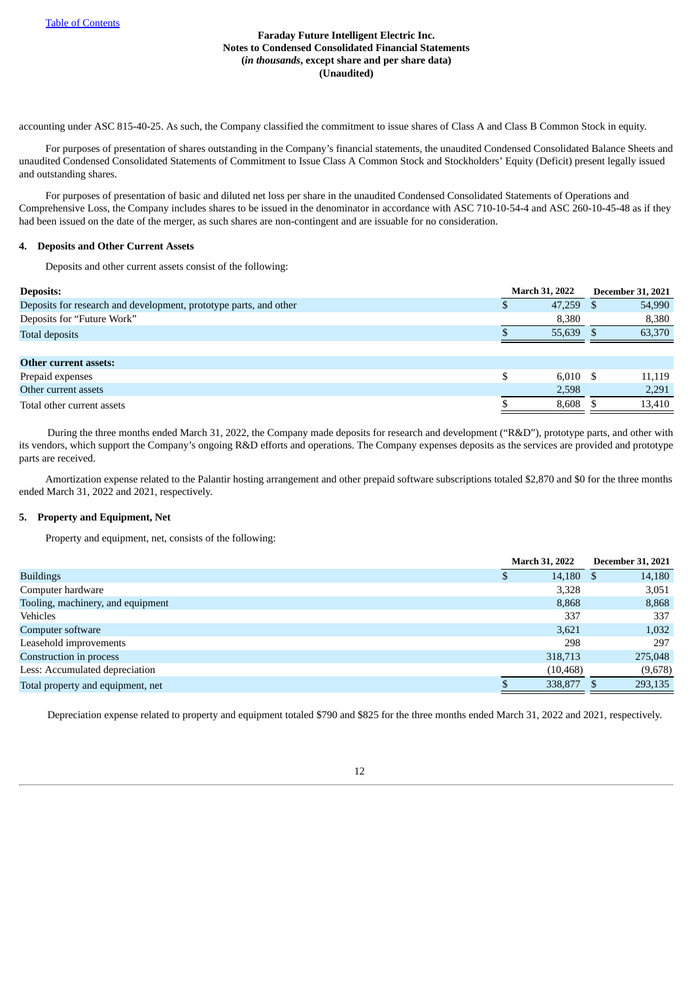accounting under ASC 815-40-25. As such, the Company classified the commitment to issue shares of Class A and Class B Common Stock in equity.

For purposes of presentation of shares outstanding in the Company's financial statements, the unaudited Condensed Consolidated Balance Sheets and unaudited Condensed Consolidated Statements of Commitment to Issue Class A Common Stock and Stockholders' Equity (Deficit) present legally issued and outstanding shares.

For purposes of presentation of basic and diluted net loss per share in the unaudited Condensed Consolidated Statements of Operations and Comprehensive Loss, the Company includes shares to be issued in the denominator in accordance with ASC 710-10-54-4 and ASC 260-10-45-48 as if they had been issued on the date of the merger, as such shares are non-contingent and are issuable for no consideration.

### **4. Deposits and Other Current Assets**

Deposits and other current assets consist of the following:

| <b>Deposits:</b>                                                  | <b>March 31, 2022</b>  |  | <b>December 31, 2021</b> |
|-------------------------------------------------------------------|------------------------|--|--------------------------|
| Deposits for research and development, prototype parts, and other | 47,259 \$              |  | 54,990                   |
| Deposits for "Future Work"                                        | 8,380                  |  | 8,380                    |
| Total deposits                                                    | 55,639 \$              |  | 63,370                   |
|                                                                   |                        |  |                          |
| Other current assets:                                             |                        |  |                          |
| Prepaid expenses                                                  | \$<br>$6.010 \quad$ \$ |  | 11,119                   |
| Other current assets                                              | 2,598                  |  | 2,291                    |
| Total other current assets                                        | 8.608                  |  | 13,410                   |

During the three months ended March 31, 2022, the Company made deposits for research and development ("R&D"), prototype parts, and other with its vendors, which support the Company's ongoing R&D efforts and operations. The Company expenses deposits as the services are provided and prototype parts are received.

Amortization expense related to the Palantir hosting arrangement and other prepaid software subscriptions totaled \$2,870 and \$0 for the three months ended March 31, 2022 and 2021, respectively.

## **5. Property and Equipment, Net**

Property and equipment, net, consists of the following:

| <b>December 31, 2021</b>                                                                                       |
|----------------------------------------------------------------------------------------------------------------|
| 14,180                                                                                                         |
| 3,051                                                                                                          |
| 8,868                                                                                                          |
| 337                                                                                                            |
| 1,032                                                                                                          |
| 297                                                                                                            |
| 275,048                                                                                                        |
| (9,678)                                                                                                        |
| 293,135                                                                                                        |
| <b>March 31, 2022</b><br>14,180 \$<br>3,328<br>8,868<br>337<br>3,621<br>298<br>318,713<br>(10, 468)<br>338,877 |

Depreciation expense related to property and equipment totaled \$790 and \$825 for the three months ended March 31, 2022 and 2021, respectively.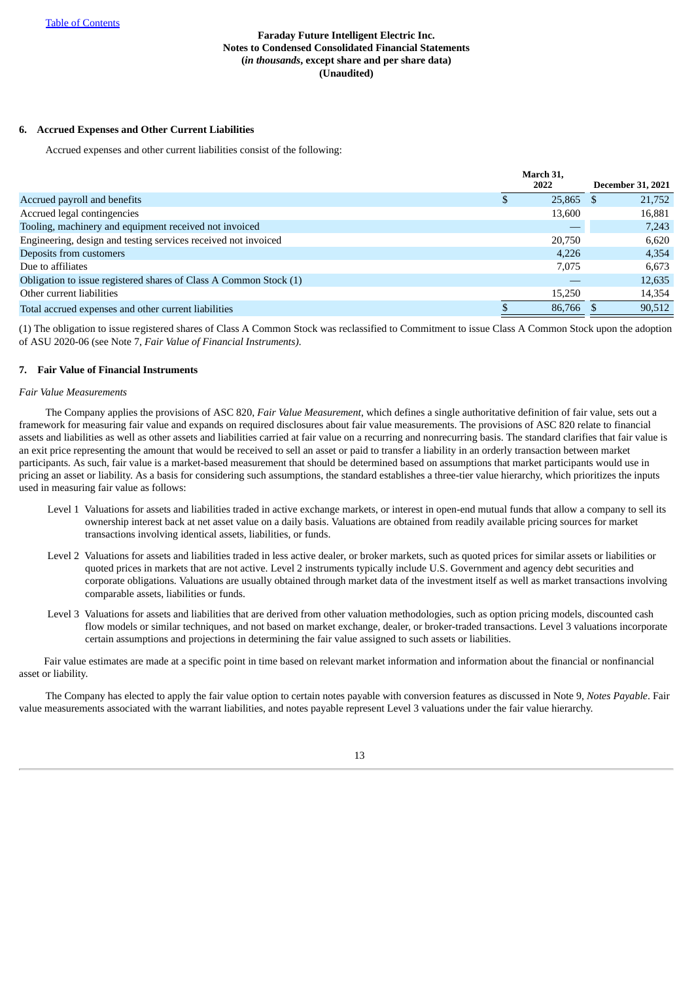## **6. Accrued Expenses and Other Current Liabilities**

Accrued expenses and other current liabilities consist of the following:

| March 31, |                          |
|-----------|--------------------------|
| 2022      | <b>December 31, 2021</b> |
| æ         | 21,752                   |
| 13,600    | 16,881                   |
|           | 7,243                    |
| 20,750    | 6,620                    |
| 4,226     | 4,354                    |
| 7.075     | 6.673                    |
|           | 12,635                   |
| 15,250    | 14,354                   |
|           | 90,512                   |
|           | $25,865$ \$<br>86,766 \$ |

(1) The obligation to issue registered shares of Class A Common Stock was reclassified to Commitment to issue Class A Common Stock upon the adoption of ASU 2020-06 (see Note 7, *Fair Value of Financial Instruments).*

### **7. Fair Value of Financial Instruments**

### *Fair Value Measurements*

The Company applies the provisions of ASC 820, *Fair Value Measurement*, which defines a single authoritative definition of fair value, sets out a framework for measuring fair value and expands on required disclosures about fair value measurements. The provisions of ASC 820 relate to financial assets and liabilities as well as other assets and liabilities carried at fair value on a recurring and nonrecurring basis. The standard clarifies that fair value is an exit price representing the amount that would be received to sell an asset or paid to transfer a liability in an orderly transaction between market participants. As such, fair value is a market-based measurement that should be determined based on assumptions that market participants would use in pricing an asset or liability. As a basis for considering such assumptions, the standard establishes a three-tier value hierarchy, which prioritizes the inputs used in measuring fair value as follows:

- Level 1 Valuations for assets and liabilities traded in active exchange markets, or interest in open-end mutual funds that allow a company to sell its ownership interest back at net asset value on a daily basis. Valuations are obtained from readily available pricing sources for market transactions involving identical assets, liabilities, or funds.
- Level 2 Valuations for assets and liabilities traded in less active dealer, or broker markets, such as quoted prices for similar assets or liabilities or quoted prices in markets that are not active. Level 2 instruments typically include U.S. Government and agency debt securities and corporate obligations. Valuations are usually obtained through market data of the investment itself as well as market transactions involving comparable assets, liabilities or funds.
- Level 3 Valuations for assets and liabilities that are derived from other valuation methodologies, such as option pricing models, discounted cash flow models or similar techniques, and not based on market exchange, dealer, or broker-traded transactions. Level 3 valuations incorporate certain assumptions and projections in determining the fair value assigned to such assets or liabilities.

Fair value estimates are made at a specific point in time based on relevant market information and information about the financial or nonfinancial asset or liability.

The Company has elected to apply the fair value option to certain notes payable with conversion features as discussed in Note 9, *Notes Payable*. Fair value measurements associated with the warrant liabilities, and notes payable represent Level 3 valuations under the fair value hierarchy.

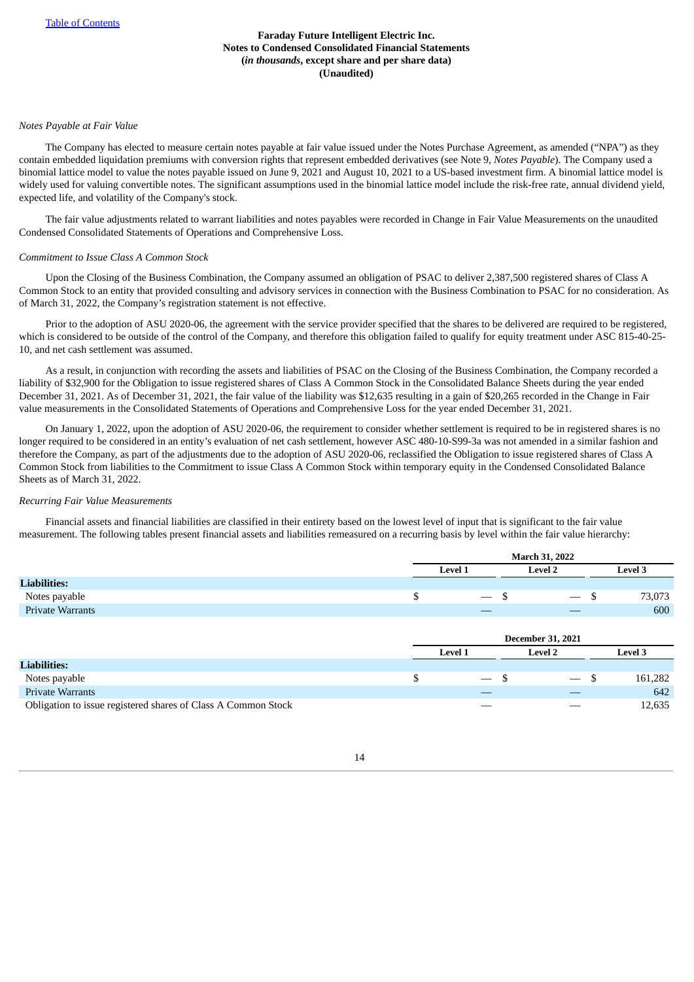### *Notes Payable at Fair Value*

The Company has elected to measure certain notes payable at fair value issued under the Notes Purchase Agreement, as amended ("NPA") as they contain embedded liquidation premiums with conversion rights that represent embedded derivatives (see Note 9, *Notes Payable*). The Company used a binomial lattice model to value the notes payable issued on June 9, 2021 and August 10, 2021 to a US-based investment firm. A binomial lattice model is widely used for valuing convertible notes. The significant assumptions used in the binomial lattice model include the risk-free rate, annual dividend yield, expected life, and volatility of the Company's stock.

The fair value adjustments related to warrant liabilities and notes payables were recorded in Change in Fair Value Measurements on the unaudited Condensed Consolidated Statements of Operations and Comprehensive Loss.

### *Commitment to Issue Class A Common Stock*

Upon the Closing of the Business Combination, the Company assumed an obligation of PSAC to deliver 2,387,500 registered shares of Class A Common Stock to an entity that provided consulting and advisory services in connection with the Business Combination to PSAC for no consideration. As of March 31, 2022, the Company's registration statement is not effective.

Prior to the adoption of ASU 2020-06, the agreement with the service provider specified that the shares to be delivered are required to be registered, which is considered to be outside of the control of the Company, and therefore this obligation failed to qualify for equity treatment under ASC 815-40-25- 10, and net cash settlement was assumed.

As a result, in conjunction with recording the assets and liabilities of PSAC on the Closing of the Business Combination, the Company recorded a liability of \$32,900 for the Obligation to issue registered shares of Class A Common Stock in the Consolidated Balance Sheets during the year ended December 31, 2021. As of December 31, 2021, the fair value of the liability was \$12,635 resulting in a gain of \$20,265 recorded in the Change in Fair value measurements in the Consolidated Statements of Operations and Comprehensive Loss for the year ended December 31, 2021.

On January 1, 2022, upon the adoption of ASU 2020-06, the requirement to consider whether settlement is required to be in registered shares is no longer required to be considered in an entity's evaluation of net cash settlement, however ASC 480-10-S99-3a was not amended in a similar fashion and therefore the Company, as part of the adjustments due to the adoption of ASU 2020-06, reclassified the Obligation to issue registered shares of Class A Common Stock from liabilities to the Commitment to issue Class A Common Stock within temporary equity in the Condensed Consolidated Balance Sheets as of March 31, 2022.

### *Recurring Fair Value Measurements*

Financial assets and financial liabilities are classified in their entirety based on the lowest level of input that is significant to the fair value measurement. The following tables present financial assets and liabilities remeasured on a recurring basis by level within the fair value hierarchy:

|                                                               | <b>March 31, 2022</b> |                |                          |                               |      |                |
|---------------------------------------------------------------|-----------------------|----------------|--------------------------|-------------------------------|------|----------------|
|                                                               |                       | <b>Level 1</b> | <b>Level 2</b>           |                               |      | <b>Level 3</b> |
| <b>Liabilities:</b>                                           |                       |                |                          |                               |      |                |
| Notes payable                                                 | \$                    |                | -\$                      | $\overline{\phantom{0}}$      | - \$ | 73,073         |
| <b>Private Warrants</b>                                       |                       | _              |                          |                               |      | 600            |
|                                                               |                       |                |                          |                               |      |                |
|                                                               |                       |                | <b>December 31, 2021</b> |                               |      |                |
|                                                               |                       | <b>Level 1</b> | <b>Level 2</b>           |                               |      | <b>Level 3</b> |
| <b>Liabilities:</b>                                           |                       |                |                          |                               |      |                |
| Notes payable                                                 | \$                    |                | -\$                      | $\overbrace{\phantom{12333}}$ | - \$ | 161,282        |
| <b>Private Warrants</b>                                       |                       | _              |                          |                               |      | 642            |
| Obligation to issue registered shares of Class A Common Stock |                       |                |                          |                               |      | 12,635         |

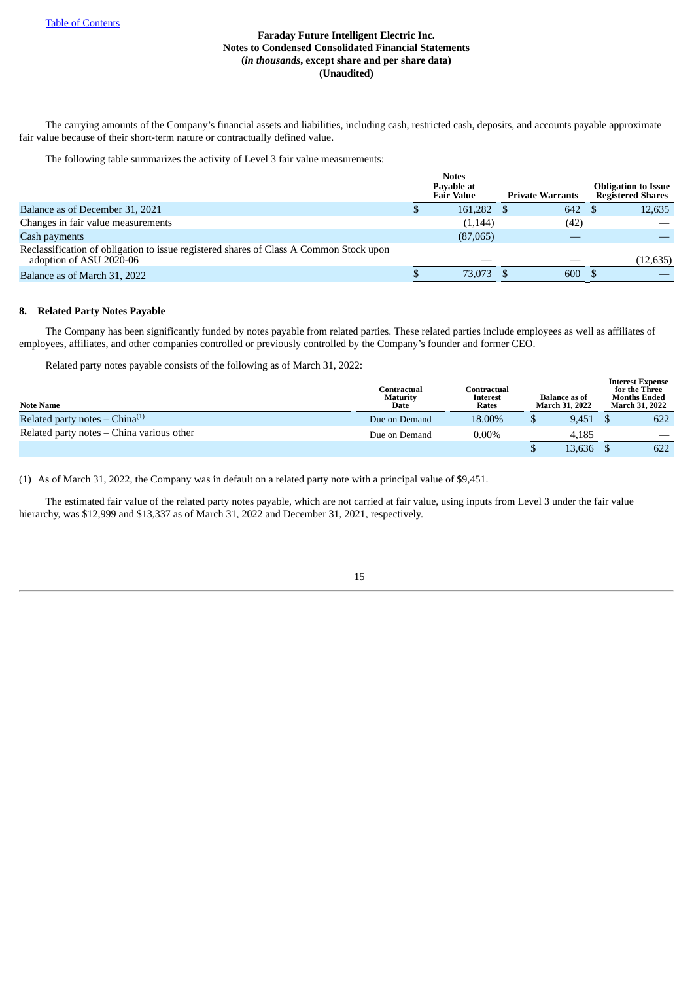The carrying amounts of the Company's financial assets and liabilities, including cash, restricted cash, deposits, and accounts payable approximate fair value because of their short-term nature or contractually defined value.

The following table summarizes the activity of Level 3 fair value measurements:

|                                                                                                                   | <b>Notes</b><br>Payable at<br><b>Fair Value</b> | <b>Private Warrants</b> | <b>Obligation to Issue</b><br><b>Registered Shares</b> |
|-------------------------------------------------------------------------------------------------------------------|-------------------------------------------------|-------------------------|--------------------------------------------------------|
| Balance as of December 31, 2021                                                                                   | 161,282                                         | 642 \$                  | 12,635                                                 |
| Changes in fair value measurements                                                                                | (1,144)                                         | (42)                    |                                                        |
| Cash payments                                                                                                     | (87,065)                                        |                         |                                                        |
| Reclassification of obligation to issue registered shares of Class A Common Stock upon<br>adoption of ASU 2020-06 |                                                 |                         | (12, 635)                                              |
| Balance as of March 31, 2022                                                                                      | 73,073                                          | 600                     |                                                        |

### **8. Related Party Notes Payable**

The Company has been significantly funded by notes payable from related parties. These related parties include employees as well as affiliates of employees, affiliates, and other companies controlled or previously controlled by the Company's founder and former CEO.

Related party notes payable consists of the following as of March 31, 2022:

| <b>Note Name</b>                          | Contractual<br><b>Maturity</b><br>Date | Contractual<br>Interest<br>Rates | <b>Balance as of</b><br><b>March 31, 2022</b> |  | <b>Interest Expense</b><br>for the Three<br>Months Ended<br><b>March 31, 2022</b> |
|-------------------------------------------|----------------------------------------|----------------------------------|-----------------------------------------------|--|-----------------------------------------------------------------------------------|
| Related party notes – China $^{(1)}$      | Due on Demand                          | 18.00%                           | 9.451                                         |  | 622                                                                               |
| Related party notes – China various other | Due on Demand                          | $0.00\%$                         | 4.185                                         |  |                                                                                   |
|                                           |                                        |                                  | 13,636                                        |  | 622                                                                               |

(1) As of March 31, 2022, the Company was in default on a related party note with a principal value of \$9,451.

The estimated fair value of the related party notes payable, which are not carried at fair value, using inputs from Level 3 under the fair value hierarchy, was \$12,999 and \$13,337 as of March 31, 2022 and December 31, 2021, respectively.

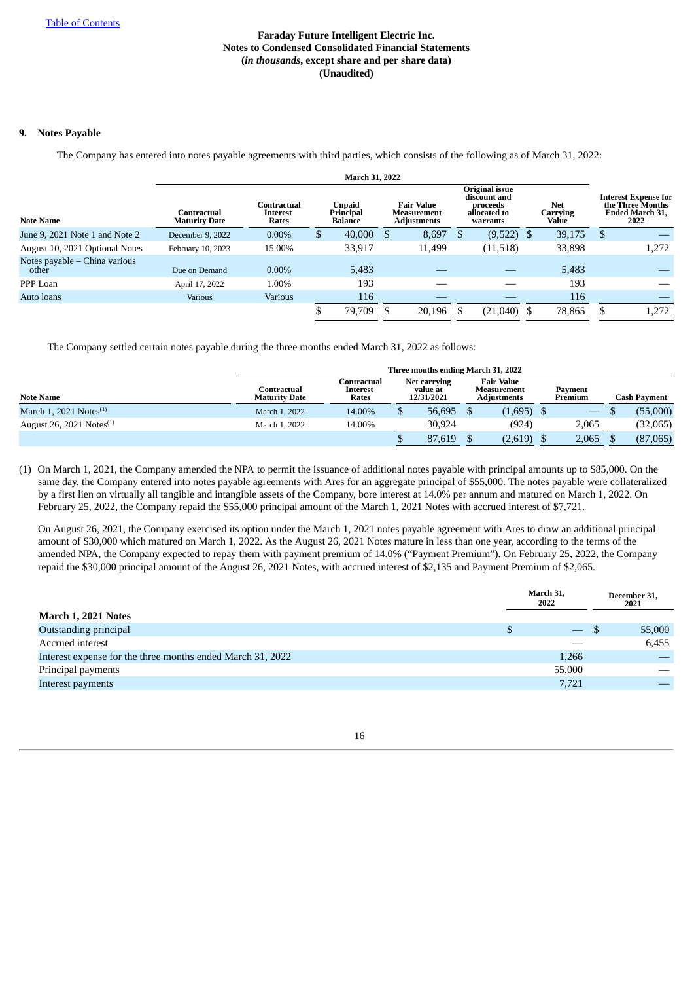## **9. Notes Payable**

The Company has entered into notes payable agreements with third parties, which consists of the following as of March 31, 2022:

|                                        |                                     |                                  |                                              | March 31, 2022 |        |     |              |  |                                                        |    |                                                                                                    |  |  |                                                                                   |
|----------------------------------------|-------------------------------------|----------------------------------|----------------------------------------------|----------------|--------|-----|--------------|--|--------------------------------------------------------|----|----------------------------------------------------------------------------------------------------|--|--|-----------------------------------------------------------------------------------|
| <b>Note Name</b>                       | Contractual<br><b>Maturity Date</b> | Contractual<br>Interest<br>Rates | <b>Unpaid</b><br>Principal<br><b>Balance</b> |                |        |     |              |  | <b>Fair Value</b><br>Measurement<br><b>Adiustments</b> |    | Original issue<br>discount and<br>Net<br>proceeds<br>Carrying<br>allocated to<br>Value<br>warrants |  |  | <b>Interest Expense for</b><br>the Three Months<br><b>Ended March 31,</b><br>2022 |
| June 9, 2021 Note 1 and Note 2         | December 9, 2022                    | $0.00\%$                         | \$                                           | 40,000         | 8,697  | \$. | $(9,522)$ \$ |  | 39,175                                                 | -S |                                                                                                    |  |  |                                                                                   |
| August 10, 2021 Optional Notes         | February 10, 2023                   | 15.00%                           |                                              | 33,917         | 11,499 |     | (11,518)     |  | 33,898                                                 |    | 1,272                                                                                              |  |  |                                                                                   |
| Notes payable – China various<br>other | Due on Demand                       | $0.00\%$                         |                                              | 5,483          |        |     |              |  | 5,483                                                  |    |                                                                                                    |  |  |                                                                                   |
| PPP Loan                               | April 17, 2022                      | 1.00%                            |                                              | 193            |        |     |              |  | 193                                                    |    |                                                                                                    |  |  |                                                                                   |
| Auto loans                             | <b>Various</b>                      | <b>Various</b>                   |                                              | 116            |        |     |              |  | 116                                                    |    |                                                                                                    |  |  |                                                                                   |
|                                        |                                     |                                  |                                              | 79,709         | 20,196 |     | (21,040)     |  | 78,865                                                 |    | 1,272                                                                                              |  |  |                                                                                   |

The Company settled certain notes payable during the three months ended March 31, 2022 as follows:

|                             | Three months ending March 31, 2022  |                                  |  |                                        |  |                                                 |  |                          |  |              |
|-----------------------------|-------------------------------------|----------------------------------|--|----------------------------------------|--|-------------------------------------------------|--|--------------------------|--|--------------|
| <b>Note Name</b>            | Contractual<br><b>Maturity Date</b> | Contractual<br>Interest<br>Rates |  | Net carrying<br>value at<br>12/31/2021 |  | <b>Fair Value</b><br>Measurement<br>Adiustments |  | Payment<br>Premium       |  | Cash Pavment |
| March 1, 2021 Notes $(1)$   | March 1, 2022                       | 14.00%                           |  | 56,695                                 |  | (1,695)                                         |  | $\overline{\phantom{0}}$ |  | (55,000)     |
| August 26, 2021 Notes $(1)$ | March 1, 2022                       | 14.00%                           |  | 30.924                                 |  | (924)                                           |  | 2,065                    |  | (32,065)     |
|                             |                                     |                                  |  | 87.619                                 |  | (2,619)                                         |  | 2,065                    |  | (87,065)     |

(1) On March 1, 2021, the Company amended the NPA to permit the issuance of additional notes payable with principal amounts up to \$85,000. On the same day, the Company entered into notes payable agreements with Ares for an aggregate principal of \$55,000. The notes payable were collateralized by a first lien on virtually all tangible and intangible assets of the Company, bore interest at 14.0% per annum and matured on March 1, 2022. On February 25, 2022, the Company repaid the \$55,000 principal amount of the March 1, 2021 Notes with accrued interest of \$7,721.

On August 26, 2021, the Company exercised its option under the March 1, 2021 notes payable agreement with Ares to draw an additional principal amount of \$30,000 which matured on March 1, 2022. As the August 26, 2021 Notes mature in less than one year, according to the terms of the amended NPA, the Company expected to repay them with payment premium of 14.0% ("Payment Premium"). On February 25, 2022, the Company repaid the \$30,000 principal amount of the August 26, 2021 Notes, with accrued interest of \$2,135 and Payment Premium of \$2,065.

|                                                            |   | March 31,<br>2022 |  | December 31,<br>2021 |
|------------------------------------------------------------|---|-------------------|--|----------------------|
| March 1, 2021 Notes                                        |   |                   |  |                      |
| Outstanding principal                                      | ъ | $-$ S             |  | 55,000               |
| Accrued interest                                           |   |                   |  | 6,455                |
| Interest expense for the three months ended March 31, 2022 |   | 1,266             |  |                      |
| Principal payments                                         |   | 55,000            |  |                      |
| Interest payments                                          |   | 7,721             |  |                      |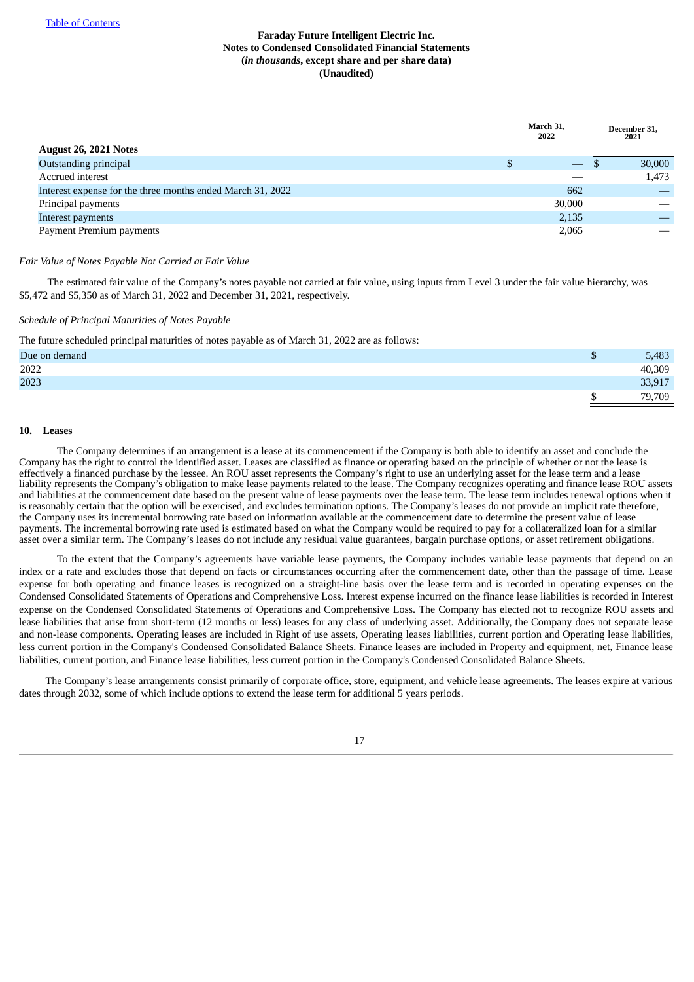|                                                            | March 31,<br>2022              | December 31,<br>2021 |
|------------------------------------------------------------|--------------------------------|----------------------|
| August 26, 2021 Notes                                      |                                |                      |
| Outstanding principal                                      | \$<br>$\overline{\phantom{0}}$ | 30,000               |
| Accrued interest                                           |                                | 1,473                |
| Interest expense for the three months ended March 31, 2022 | 662                            |                      |
| Principal payments                                         | 30,000                         |                      |
| Interest payments                                          | 2,135                          |                      |
| Payment Premium payments                                   | 2,065                          |                      |

### *Fair Value of Notes Payable Not Carried at Fair Value*

The estimated fair value of the Company's notes payable not carried at fair value, using inputs from Level 3 under the fair value hierarchy, was \$5,472 and \$5,350 as of March 31, 2022 and December 31, 2021, respectively.

#### *Schedule of Principal Maturities of Notes Payable*

The future scheduled principal maturities of notes payable as of March 31, 2022 are as follows:

| Due on demand | Ψ    | 5,483                |
|---------------|------|----------------------|
| 2022          |      | 40.309               |
| 2023          |      | 017<br><u>JJ,JI,</u> |
|               | - 12 | 79,709               |
|               |      |                      |

## **10. Leases**

The Company determines if an arrangement is a lease at its commencement if the Company is both able to identify an asset and conclude the Company has the right to control the identified asset. Leases are classified as finance or operating based on the principle of whether or not the lease is effectively a financed purchase by the lessee. An ROU asset represents the Company's right to use an underlying asset for the lease term and a lease liability represents the Company's obligation to make lease payments related to the lease. The Company recognizes operating and finance lease ROU assets and liabilities at the commencement date based on the present value of lease payments over the lease term. The lease term includes renewal options when it is reasonably certain that the option will be exercised, and excludes termination options. The Company's leases do not provide an implicit rate therefore, the Company uses its incremental borrowing rate based on information available at the commencement date to determine the present value of lease payments. The incremental borrowing rate used is estimated based on what the Company would be required to pay for a collateralized loan for a similar asset over a similar term. The Company's leases do not include any residual value guarantees, bargain purchase options, or asset retirement obligations.

To the extent that the Company's agreements have variable lease payments, the Company includes variable lease payments that depend on an index or a rate and excludes those that depend on facts or circumstances occurring after the commencement date, other than the passage of time. Lease expense for both operating and finance leases is recognized on a straight-line basis over the lease term and is recorded in operating expenses on the Condensed Consolidated Statements of Operations and Comprehensive Loss. Interest expense incurred on the finance lease liabilities is recorded in Interest expense on the Condensed Consolidated Statements of Operations and Comprehensive Loss. The Company has elected not to recognize ROU assets and lease liabilities that arise from short-term (12 months or less) leases for any class of underlying asset. Additionally, the Company does not separate lease and non-lease components. Operating leases are included in Right of use assets, Operating leases liabilities, current portion and Operating lease liabilities, less current portion in the Company's Condensed Consolidated Balance Sheets. Finance leases are included in Property and equipment, net, Finance lease liabilities, current portion, and Finance lease liabilities, less current portion in the Company's Condensed Consolidated Balance Sheets.

The Company's lease arrangements consist primarily of corporate office, store, equipment, and vehicle lease agreements. The leases expire at various dates through 2032, some of which include options to extend the lease term for additional 5 years periods.

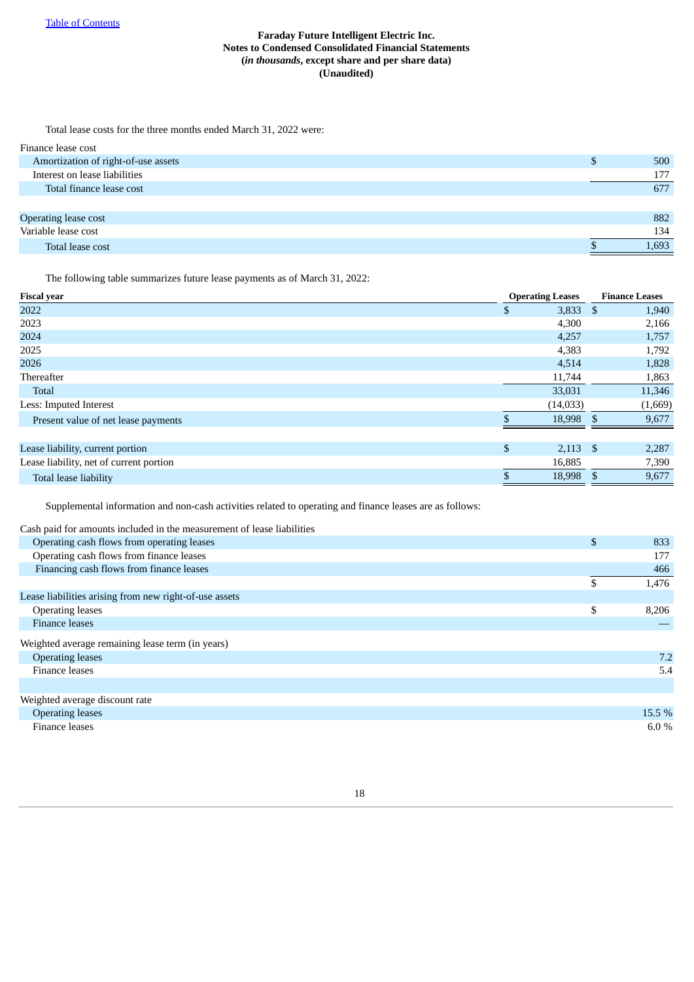Total lease costs for the three months ended March 31, 2022 were:

| Finance lease cost                  |   |       |
|-------------------------------------|---|-------|
| Amortization of right-of-use assets | ъ | 500   |
| Interest on lease liabilities       |   | 177   |
| Total finance lease cost            |   | 677   |
|                                     |   |       |
| Operating lease cost                |   | 882   |
| Variable lease cost                 |   | 134   |
| Total lease cost                    |   | 1,693 |

The following table summarizes future lease payments as of March 31, 2022:

| <b>Fiscal year</b>                      | <b>Operating Leases</b>     | <b>Finance Leases</b> |
|-----------------------------------------|-----------------------------|-----------------------|
| 2022                                    | $3,833$ \$<br><sup>\$</sup> | 1,940                 |
| 2023                                    | 4,300                       | 2,166                 |
| 2024                                    | 4,257                       | 1,757                 |
| 2025                                    | 4,383                       | 1,792                 |
| 2026                                    | 4,514                       | 1,828                 |
| Thereafter                              | 11,744                      | 1,863                 |
| Total                                   | 33,031                      | 11,346                |
| Less: Imputed Interest                  | (14,033)                    | (1,669)               |
| Present value of net lease payments     | 18,998 \$                   | 9,677                 |
|                                         |                             |                       |
| Lease liability, current portion        | $\mathbb{S}$<br>$2,113$ \$  | 2,287                 |
| Lease liability, net of current portion | 16,885                      | 7,390                 |
| Total lease liability                   | \$<br>18,998 \$             | 9,677                 |

Supplemental information and non-cash activities related to operating and finance leases are as follows:

Cash paid for amounts included in the measurement of lease liabilities

| Cash paid for amounts included in the includitement of rease habilities |             |
|-------------------------------------------------------------------------|-------------|
| Operating cash flows from operating leases                              | \$<br>833   |
| Operating cash flows from finance leases                                | 177         |
| Financing cash flows from finance leases                                | 466         |
|                                                                         | \$<br>1,476 |
| Lease liabilities arising from new right-of-use assets                  |             |
| <b>Operating leases</b>                                                 | \$<br>8,206 |
| Finance leases                                                          |             |
| Weighted average remaining lease term (in years)                        |             |
| <b>Operating leases</b>                                                 | 7.2         |
| Finance leases                                                          | 5.4         |
|                                                                         |             |
| Weighted average discount rate                                          |             |
| <b>Operating leases</b>                                                 | 15.5 %      |
| Finance leases                                                          | 6.0 $%$     |
|                                                                         |             |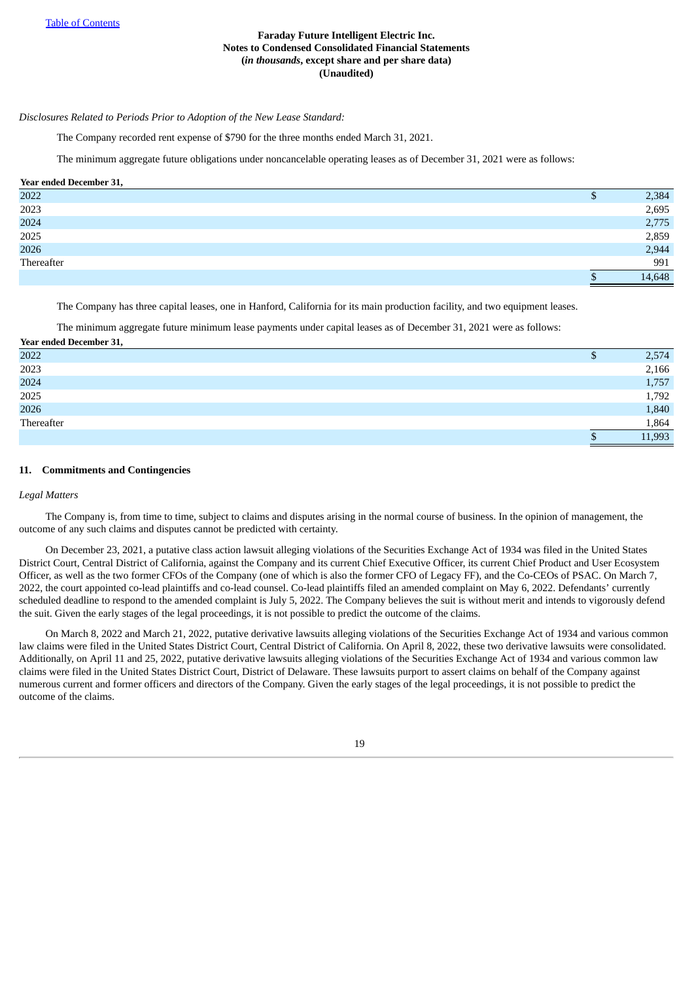### *Disclosures Related to Periods Prior to Adoption of the New Lease Standard:*

The Company recorded rent expense of \$790 for the three months ended March 31, 2021.

### The minimum aggregate future obligations under noncancelable operating leases as of December 31, 2021 were as follows:

| Year ended December 31, |        |
|-------------------------|--------|
| 2022                    | 2,384  |
| 2023                    | 2,695  |
| 2024                    | 2,775  |
| 2025                    | 2,859  |
| 2026                    | 2,944  |
| Thereafter              | 991    |
|                         | 14,648 |

The Company has three capital leases, one in Hanford, California for its main production facility, and two equipment leases.

The minimum aggregate future minimum lease payments under capital leases as of December 31, 2021 were as follows:

| Year ended December 31, |   |        |
|-------------------------|---|--------|
| 2022                    | Ψ | 2,574  |
| 2023                    |   | 2,166  |
| 2024                    |   | 1,757  |
| 2025                    |   | 1,792  |
| 2026                    |   | 1,840  |
| Thereafter              |   | 1,864  |
|                         |   | 11,993 |

## **11. Commitments and Contingencies**

### *Legal Matters*

The Company is, from time to time, subject to claims and disputes arising in the normal course of business. In the opinion of management, the outcome of any such claims and disputes cannot be predicted with certainty.

On December 23, 2021, a putative class action lawsuit alleging violations of the Securities Exchange Act of 1934 was filed in the United States District Court, Central District of California, against the Company and its current Chief Executive Officer, its current Chief Product and User Ecosystem Officer, as well as the two former CFOs of the Company (one of which is also the former CFO of Legacy FF), and the Co-CEOs of PSAC. On March 7, 2022, the court appointed co-lead plaintiffs and co-lead counsel. Co-lead plaintiffs filed an amended complaint on May 6, 2022. Defendants' currently scheduled deadline to respond to the amended complaint is July 5, 2022. The Company believes the suit is without merit and intends to vigorously defend the suit. Given the early stages of the legal proceedings, it is not possible to predict the outcome of the claims.

On March 8, 2022 and March 21, 2022, putative derivative lawsuits alleging violations of the Securities Exchange Act of 1934 and various common law claims were filed in the United States District Court, Central District of California. On April 8, 2022, these two derivative lawsuits were consolidated. Additionally, on April 11 and 25, 2022, putative derivative lawsuits alleging violations of the Securities Exchange Act of 1934 and various common law claims were filed in the United States District Court, District of Delaware. These lawsuits purport to assert claims on behalf of the Company against numerous current and former officers and directors of the Company. Given the early stages of the legal proceedings, it is not possible to predict the outcome of the claims.

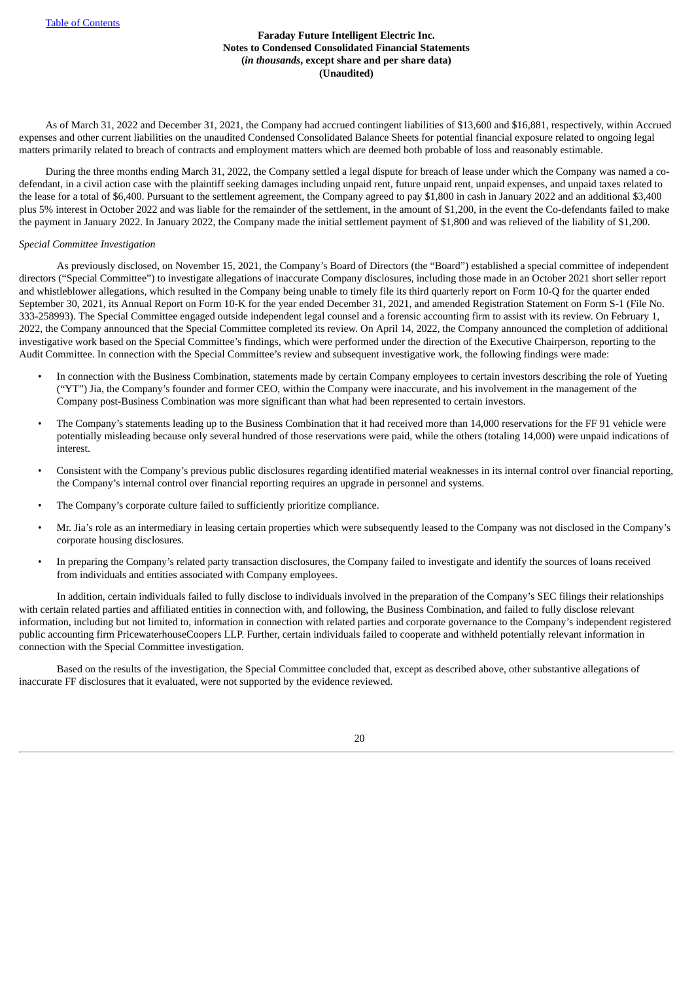As of March 31, 2022 and December 31, 2021, the Company had accrued contingent liabilities of \$13,600 and \$16,881, respectively, within Accrued expenses and other current liabilities on the unaudited Condensed Consolidated Balance Sheets for potential financial exposure related to ongoing legal matters primarily related to breach of contracts and employment matters which are deemed both probable of loss and reasonably estimable.

During the three months ending March 31, 2022, the Company settled a legal dispute for breach of lease under which the Company was named a codefendant, in a civil action case with the plaintiff seeking damages including unpaid rent, future unpaid rent, unpaid expenses, and unpaid taxes related to the lease for a total of \$6,400. Pursuant to the settlement agreement, the Company agreed to pay \$1,800 in cash in January 2022 and an additional \$3,400 plus 5% interest in October 2022 and was liable for the remainder of the settlement, in the amount of \$1,200, in the event the Co-defendants failed to make the payment in January 2022. In January 2022, the Company made the initial settlement payment of \$1,800 and was relieved of the liability of \$1,200.

#### *Special Committee Investigation*

As previously disclosed, on November 15, 2021, the Company's Board of Directors (the "Board") established a special committee of independent directors ("Special Committee") to investigate allegations of inaccurate Company disclosures, including those made in an October 2021 short seller report and whistleblower allegations, which resulted in the Company being unable to timely file its third quarterly report on Form 10-Q for the quarter ended September 30, 2021, its Annual Report on Form 10-K for the year ended December 31, 2021, and amended Registration Statement on Form S-1 (File No. 333-258993). The Special Committee engaged outside independent legal counsel and a forensic accounting firm to assist with its review. On February 1, 2022, the Company announced that the Special Committee completed its review. On April 14, 2022, the Company announced the completion of additional investigative work based on the Special Committee's findings, which were performed under the direction of the Executive Chairperson, reporting to the Audit Committee. In connection with the Special Committee's review and subsequent investigative work, the following findings were made:

- In connection with the Business Combination, statements made by certain Company employees to certain investors describing the role of Yueting ("YT") Jia, the Company's founder and former CEO, within the Company were inaccurate, and his involvement in the management of the Company post-Business Combination was more significant than what had been represented to certain investors.
- The Company's statements leading up to the Business Combination that it had received more than 14,000 reservations for the FF 91 vehicle were potentially misleading because only several hundred of those reservations were paid, while the others (totaling 14,000) were unpaid indications of interest.
- Consistent with the Company's previous public disclosures regarding identified material weaknesses in its internal control over financial reporting, the Company's internal control over financial reporting requires an upgrade in personnel and systems.
- The Company's corporate culture failed to sufficiently prioritize compliance.
- Mr. Jia's role as an intermediary in leasing certain properties which were subsequently leased to the Company was not disclosed in the Company's corporate housing disclosures.
- In preparing the Company's related party transaction disclosures, the Company failed to investigate and identify the sources of loans received from individuals and entities associated with Company employees.

In addition, certain individuals failed to fully disclose to individuals involved in the preparation of the Company's SEC filings their relationships with certain related parties and affiliated entities in connection with, and following, the Business Combination, and failed to fully disclose relevant information, including but not limited to, information in connection with related parties and corporate governance to the Company's independent registered public accounting firm PricewaterhouseCoopers LLP. Further, certain individuals failed to cooperate and withheld potentially relevant information in connection with the Special Committee investigation.

Based on the results of the investigation, the Special Committee concluded that, except as described above, other substantive allegations of inaccurate FF disclosures that it evaluated, were not supported by the evidence reviewed.

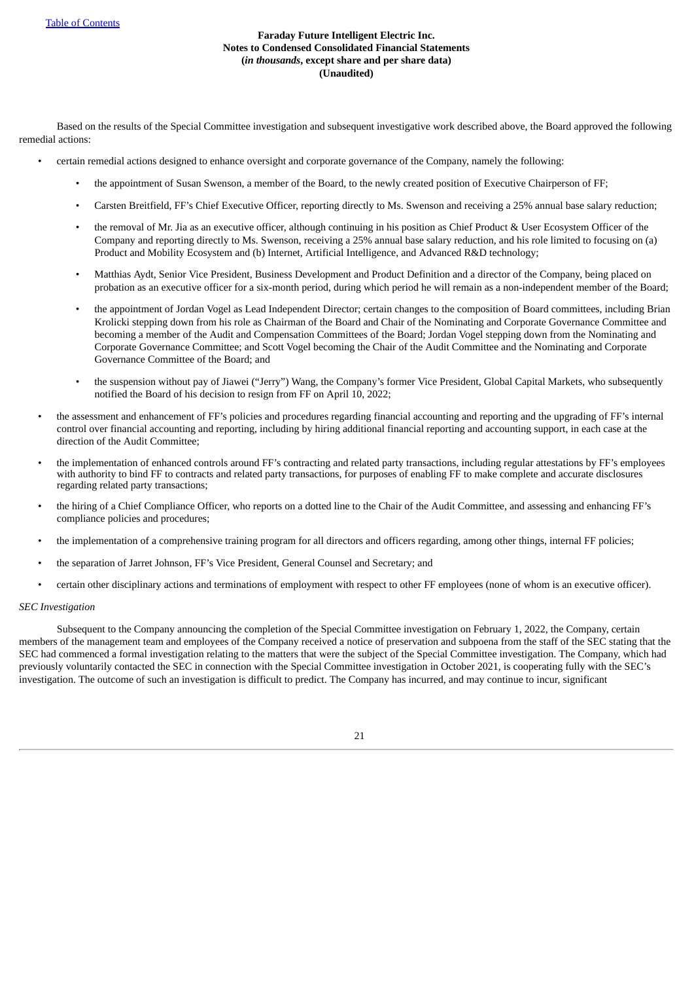Based on the results of the Special Committee investigation and subsequent investigative work described above, the Board approved the following remedial actions:

- certain remedial actions designed to enhance oversight and corporate governance of the Company, namely the following:
	- the appointment of Susan Swenson, a member of the Board, to the newly created position of Executive Chairperson of FF;
	- Carsten Breitfield, FF's Chief Executive Officer, reporting directly to Ms. Swenson and receiving a 25% annual base salary reduction;
	- the removal of Mr. Jia as an executive officer, although continuing in his position as Chief Product & User Ecosystem Officer of the Company and reporting directly to Ms. Swenson, receiving a 25% annual base salary reduction, and his role limited to focusing on (a) Product and Mobility Ecosystem and (b) Internet, Artificial Intelligence, and Advanced R&D technology;
	- Matthias Aydt, Senior Vice President, Business Development and Product Definition and a director of the Company, being placed on probation as an executive officer for a six-month period, during which period he will remain as a non-independent member of the Board;
	- the appointment of Jordan Vogel as Lead Independent Director; certain changes to the composition of Board committees, including Brian Krolicki stepping down from his role as Chairman of the Board and Chair of the Nominating and Corporate Governance Committee and becoming a member of the Audit and Compensation Committees of the Board; Jordan Vogel stepping down from the Nominating and Corporate Governance Committee; and Scott Vogel becoming the Chair of the Audit Committee and the Nominating and Corporate Governance Committee of the Board; and
	- the suspension without pay of Jiawei ("Jerry") Wang, the Company's former Vice President, Global Capital Markets, who subsequently notified the Board of his decision to resign from FF on April 10, 2022;
- the assessment and enhancement of FF's policies and procedures regarding financial accounting and reporting and the upgrading of FF's internal control over financial accounting and reporting, including by hiring additional financial reporting and accounting support, in each case at the direction of the Audit Committee;
- the implementation of enhanced controls around FF's contracting and related party transactions, including regular attestations by FF's employees with authority to bind FF to contracts and related party transactions, for purposes of enabling FF to make complete and accurate disclosures regarding related party transactions;
- the hiring of a Chief Compliance Officer, who reports on a dotted line to the Chair of the Audit Committee, and assessing and enhancing FF's compliance policies and procedures;
- the implementation of a comprehensive training program for all directors and officers regarding, among other things, internal FF policies;
- the separation of Jarret Johnson, FF's Vice President, General Counsel and Secretary; and
- certain other disciplinary actions and terminations of employment with respect to other FF employees (none of whom is an executive officer).

### *SEC Investigation*

Subsequent to the Company announcing the completion of the Special Committee investigation on February 1, 2022, the Company, certain members of the management team and employees of the Company received a notice of preservation and subpoena from the staff of the SEC stating that the SEC had commenced a formal investigation relating to the matters that were the subject of the Special Committee investigation. The Company, which had previously voluntarily contacted the SEC in connection with the Special Committee investigation in October 2021, is cooperating fully with the SEC's investigation. The outcome of such an investigation is difficult to predict. The Company has incurred, and may continue to incur, significant

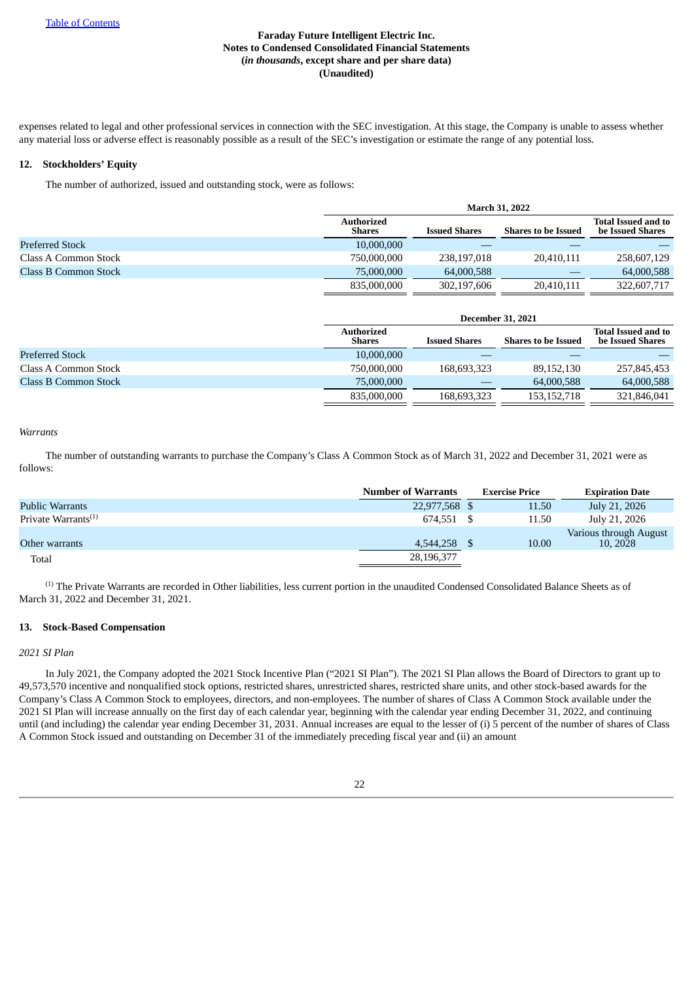expenses related to legal and other professional services in connection with the SEC investigation. At this stage, the Company is unable to assess whether any material loss or adverse effect is reasonably possible as a result of the SEC's investigation or estimate the range of any potential loss.

### **12. Stockholders' Equity**

The number of authorized, issued and outstanding stock, were as follows:

|                      |                      | <b>March 31, 2022</b> |                            |                                         |  |  |
|----------------------|----------------------|-----------------------|----------------------------|-----------------------------------------|--|--|
|                      | Authorized<br>Shares | <b>Issued Shares</b>  | <b>Shares to be Issued</b> | Total Issued and to<br>be Issued Shares |  |  |
| Preferred Stock      | 10,000,000           |                       |                            |                                         |  |  |
| Class A Common Stock | 750,000,000          | 238,197,018           | 20.410.111                 | 258,607,129                             |  |  |
| Class B Common Stock | 75,000,000           | 64,000,588            |                            | 64,000,588                              |  |  |
|                      | 835,000,000          | 302,197,606           | 20,410,111                 | 322,607,717                             |  |  |

|                        |                      | <b>December 31, 2021</b> |                            |                                                |  |  |
|------------------------|----------------------|--------------------------|----------------------------|------------------------------------------------|--|--|
|                        | Authorized<br>Shares | <b>Issued Shares</b>     | <b>Shares to be Issued</b> | <b>Total Issued and to</b><br>be Issued Shares |  |  |
| <b>Preferred Stock</b> | 10,000,000           |                          |                            |                                                |  |  |
| Class A Common Stock   | 750,000,000          | 168,693,323              | 89,152,130                 | 257,845,453                                    |  |  |
| Class B Common Stock   | 75,000,000           |                          | 64,000,588                 | 64,000,588                                     |  |  |
|                        | 835,000,000          | 168,693,323              | 153,152,718                | 321,846,041                                    |  |  |

## *Warrants*

The number of outstanding warrants to purchase the Company's Class A Common Stock as of March 31, 2022 and December 31, 2021 were as follows:

|                                 | <b>Number of Warrants</b> |  | <b>Exercise Price</b> | <b>Expiration Date</b>             |
|---------------------------------|---------------------------|--|-----------------------|------------------------------------|
| <b>Public Warrants</b>          | 22,977,568 \$             |  | 11.50                 | July 21, 2026                      |
| Private Warrants <sup>(1)</sup> | 674.551 \$                |  | 11.50                 | July 21, 2026                      |
| Other warrants                  | 4,544,258 \$              |  | 10.00                 | Various through August<br>10, 2028 |
| Total                           | 28,196,377                |  |                       |                                    |

 $<sup>(1)</sup>$  The Private Warrants are recorded in Other liabilities, less current portion in the unaudited Condensed Consolidated Balance Sheets as of</sup> March 31, 2022 and December 31, 2021.

#### **13. Stock-Based Compensation**

### *2021 SI Plan*

In July 2021, the Company adopted the 2021 Stock Incentive Plan ("2021 SI Plan"). The 2021 SI Plan allows the Board of Directors to grant up to 49,573,570 incentive and nonqualified stock options, restricted shares, unrestricted shares, restricted share units, and other stock-based awards for the Company's Class A Common Stock to employees, directors, and non-employees. The number of shares of Class A Common Stock available under the 2021 SI Plan will increase annually on the first day of each calendar year, beginning with the calendar year ending December 31, 2022, and continuing until (and including) the calendar year ending December 31, 2031. Annual increases are equal to the lesser of (i) 5 percent of the number of shares of Class A Common Stock issued and outstanding on December 31 of the immediately preceding fiscal year and (ii) an amount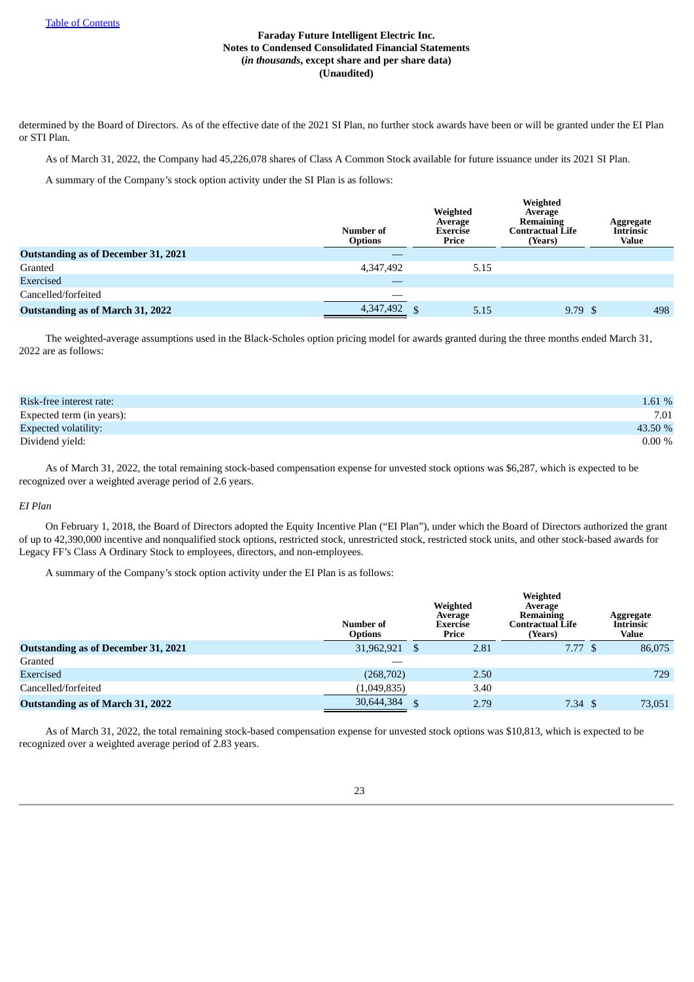determined by the Board of Directors. As of the effective date of the 2021 SI Plan, no further stock awards have been or will be granted under the EI Plan or STI Plan.

As of March 31, 2022, the Company had 45,226,078 shares of Class A Common Stock available for future issuance under its 2021 SI Plan.

A summary of the Company's stock option activity under the SI Plan is as follows:

|                                            | Number of<br><b>Options</b> | Weighted<br>Average<br><b>Exercise</b><br>Price | Weighted<br>Average<br>Remaining<br><b>Contractual Life</b><br>(Years) | Aggregate<br>Intrinsic<br>Value |
|--------------------------------------------|-----------------------------|-------------------------------------------------|------------------------------------------------------------------------|---------------------------------|
| <b>Outstanding as of December 31, 2021</b> |                             |                                                 |                                                                        |                                 |
| Granted                                    | 4,347,492                   | 5.15                                            |                                                                        |                                 |
| Exercised                                  |                             |                                                 |                                                                        |                                 |
| Cancelled/forfeited                        |                             |                                                 |                                                                        |                                 |
| <b>Outstanding as of March 31, 2022</b>    | 4,347,492                   | 5.15                                            | 9.79 <sup>5</sup>                                                      | 498                             |

The weighted-average assumptions used in the Black-Scholes option pricing model for awards granted during the three months ended March 31, 2022 are as follows:

| Risk-free interest rate:    | 1.61 %    |
|-----------------------------|-----------|
| Expected term (in years):   | 7.01      |
| <b>Expected volatility:</b> | 43.50 %   |
| Dividend yield:             | $0.00 \%$ |

As of March 31, 2022, the total remaining stock-based compensation expense for unvested stock options was \$6,287, which is expected to be recognized over a weighted average period of 2.6 years.

## *EI Plan*

On February 1, 2018, the Board of Directors adopted the Equity Incentive Plan ("EI Plan"), under which the Board of Directors authorized the grant of up to 42,390,000 incentive and nonqualified stock options, restricted stock, unrestricted stock, restricted stock units, and other stock-based awards for Legacy FF's Class A Ordinary Stock to employees, directors, and non-employees.

A summary of the Company's stock option activity under the EI Plan is as follows:

|                                            | Number of<br><b>Options</b> |      | Weighted<br>Average<br>Exercise<br>Price | Weighted<br>Average<br><b>Remaining</b><br>Contractual Life<br>(Years) | Aggregate<br><b>Intrinsic</b><br>Value |
|--------------------------------------------|-----------------------------|------|------------------------------------------|------------------------------------------------------------------------|----------------------------------------|
| <b>Outstanding as of December 31, 2021</b> | 31,962,921                  | - \$ | 2.81                                     | 7.77S                                                                  | 86,075                                 |
| Granted                                    |                             |      |                                          |                                                                        |                                        |
| Exercised                                  | (268, 702)                  |      | 2.50                                     |                                                                        | 729                                    |
| Cancelled/forfeited                        | (1,049,835)                 |      | 3.40                                     |                                                                        |                                        |
| <b>Outstanding as of March 31, 2022</b>    | 30,644,384                  |      | 2.79                                     | $7.34 \text{ } $s$                                                     | 73,051                                 |

As of March 31, 2022, the total remaining stock-based compensation expense for unvested stock options was \$10,813, which is expected to be recognized over a weighted average period of 2.83 years.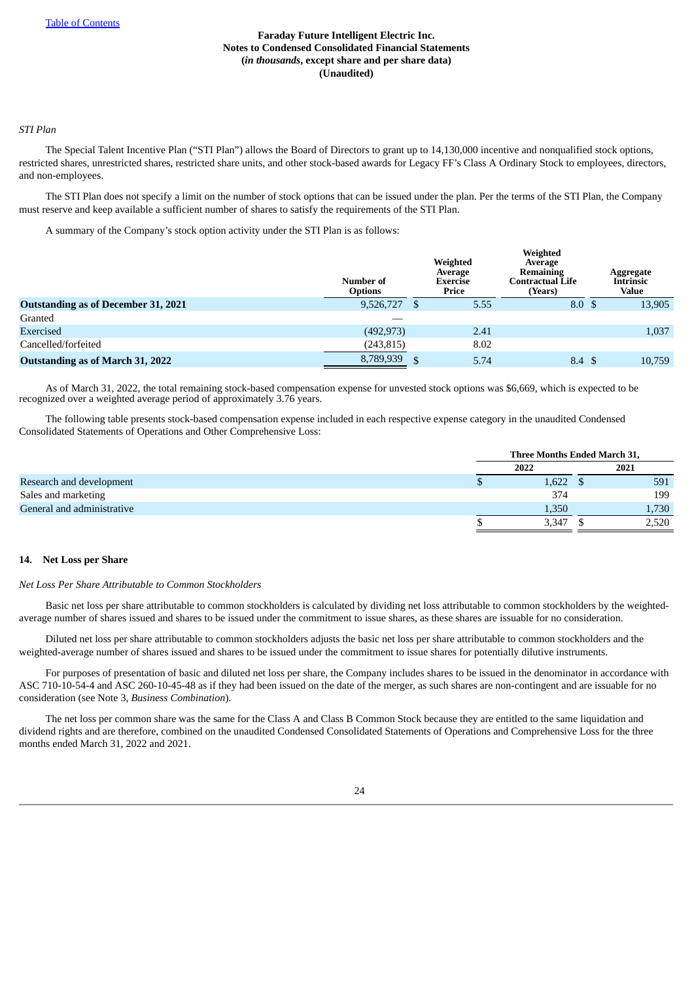### *STI Plan*

The Special Talent Incentive Plan ("STI Plan") allows the Board of Directors to grant up to 14,130,000 incentive and nonqualified stock options, restricted shares, unrestricted shares, restricted share units, and other stock-based awards for Legacy FF's Class A Ordinary Stock to employees, directors, and non-employees.

The STI Plan does not specify a limit on the number of stock options that can be issued under the plan. Per the terms of the STI Plan, the Company must reserve and keep available a sufficient number of shares to satisfy the requirements of the STI Plan.

A summary of the Company's stock option activity under the STI Plan is as follows:

|                                            | Number of<br><b>Options</b> | Weighted<br>Average<br><b>Exercise</b><br>Price | Weighted<br>Average<br><b>Remaining</b><br>Contractual Life<br>(Years) | <b>Aggregate</b><br><b>Intrinsic</b><br>Value |
|--------------------------------------------|-----------------------------|-------------------------------------------------|------------------------------------------------------------------------|-----------------------------------------------|
| <b>Outstanding as of December 31, 2021</b> | 9,526,727                   | 5.55                                            | 8.0 \$                                                                 | 13,905                                        |
| Granted                                    |                             |                                                 |                                                                        |                                               |
| Exercised                                  | (492, 973)                  | 2.41                                            |                                                                        | 1,037                                         |
| Cancelled/forfeited                        | (243, 815)                  | 8.02                                            |                                                                        |                                               |
| <b>Outstanding as of March 31, 2022</b>    | 8,789,939                   | 5.74                                            | 8.4 \$                                                                 | 10.759                                        |

As of March 31, 2022, the total remaining stock-based compensation expense for unvested stock options was \$6,669, which is expected to be recognized over a weighted average period of approximately 3.76 years.

The following table presents stock-based compensation expense included in each respective expense category in the unaudited Condensed Consolidated Statements of Operations and Other Comprehensive Loss:

|                            |      | Three Months Ended March 31, |  |       |  |
|----------------------------|------|------------------------------|--|-------|--|
|                            | 2022 |                              |  | 2021  |  |
| Research and development   |      | 1,622                        |  | 591   |  |
| Sales and marketing        |      | 374                          |  | 199   |  |
| General and administrative |      | 1,350                        |  | 1,730 |  |
|                            |      | 3,347                        |  | 2,520 |  |

## **14. Net Loss per Share**

#### *Net Loss Per Share Attributable to Common Stockholders*

Basic net loss per share attributable to common stockholders is calculated by dividing net loss attributable to common stockholders by the weightedaverage number of shares issued and shares to be issued under the commitment to issue shares, as these shares are issuable for no consideration.

Diluted net loss per share attributable to common stockholders adjusts the basic net loss per share attributable to common stockholders and the weighted-average number of shares issued and shares to be issued under the commitment to issue shares for potentially dilutive instruments.

For purposes of presentation of basic and diluted net loss per share, the Company includes shares to be issued in the denominator in accordance with ASC 710-10-54-4 and ASC 260-10-45-48 as if they had been issued on the date of the merger, as such shares are non-contingent and are issuable for no consideration (see Note 3, *Business Combination*).

The net loss per common share was the same for the Class A and Class B Common Stock because they are entitled to the same liquidation and dividend rights and are therefore, combined on the unaudited Condensed Consolidated Statements of Operations and Comprehensive Loss for the three months ended March 31, 2022 and 2021.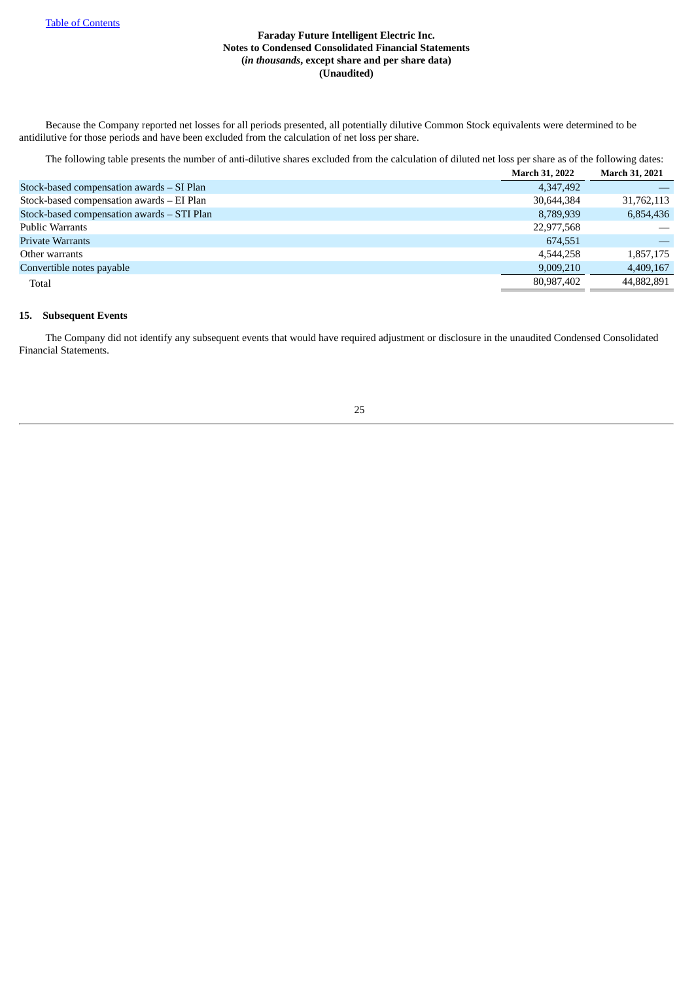Because the Company reported net losses for all periods presented, all potentially dilutive Common Stock equivalents were determined to be antidilutive for those periods and have been excluded from the calculation of net loss per share.

The following table presents the number of anti-dilutive shares excluded from the calculation of diluted net loss per share as of the following dates:

|                                            | March 31, 2022 | March 31, 2021 |
|--------------------------------------------|----------------|----------------|
| Stock-based compensation awards - SI Plan  | 4,347,492      |                |
| Stock-based compensation awards - EI Plan  | 30,644,384     | 31,762,113     |
| Stock-based compensation awards - STI Plan | 8,789,939      | 6,854,436      |
| Public Warrants                            | 22,977,568     |                |
| <b>Private Warrants</b>                    | 674,551        |                |
| Other warrants                             | 4,544,258      | 1,857,175      |
| Convertible notes payable                  | 9,009,210      | 4,409,167      |
| Total                                      | 80,987,402     | 44,882,891     |

### **15. Subsequent Events**

<span id="page-25-0"></span>The Company did not identify any subsequent events that would have required adjustment or disclosure in the unaudited Condensed Consolidated Financial Statements.

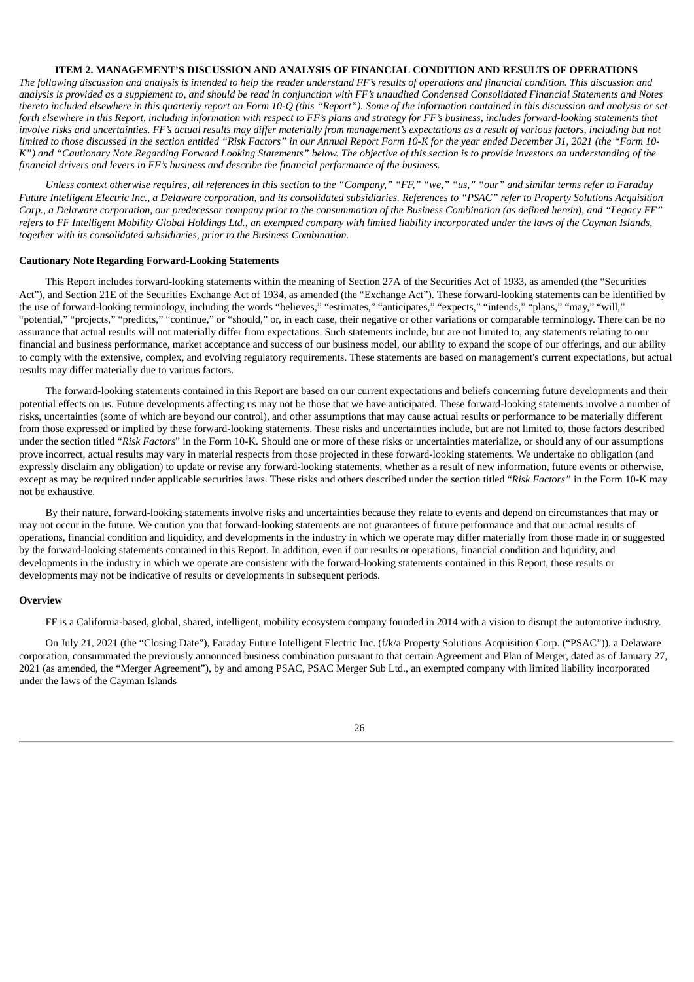## **ITEM 2. MANAGEMENT'S DISCUSSION AND ANALYSIS OF FINANCIAL CONDITION AND RESULTS OF OPERATIONS**

The following discussion and analysis is intended to help the reader understand FF's results of operations and financial condition. This discussion and analysis is provided as a supplement to, and should be read in conjunction with FF's unaudited Condensed Consolidated Financial Statements and Notes thereto included elsewhere in this quarterly report on Form 10-Q (this "Report"). Some of the information contained in this discussion and analysis or set forth elsewhere in this Report, including information with respect to FF's plans and strategy for FF's business, includes forward-looking statements that involve risks and uncertainties. FF's actual results may differ materially from management's expectations as a result of various factors, including but not limited to those discussed in the section entitled "Risk Factors" in our Annual Report Form 10-K for the year ended December 31, 2021 (the "Form 10-K") and "Cautionary Note Regarding Forward Looking Statements" below. The objective of this section is to provide investors an understanding of the *financial drivers and levers in FF's business and describe the financial performance of the business.*

Unless context otherwise requires, all references in this section to the "Company," "FF," "we," "us," "our" and similar terms refer to Faraday Future Intelligent Electric Inc., a Delaware corporation, and its consolidated subsidiaries. References to "PSAC" refer to Property Solutions Acquisition Corp., a Delaware corporation, our predecessor company prior to the consummation of the Business Combination (as defined herein), and "Leaacy FF" refers to FF Intelligent Mobility Global Holdings Ltd., an exempted company with limited liability incorporated under the laws of the Cayman Islands, *together with its consolidated subsidiaries, prior to the Business Combination.*

### **Cautionary Note Regarding Forward-Looking Statements**

This Report includes forward-looking statements within the meaning of Section 27A of the Securities Act of 1933, as amended (the "Securities Act"), and Section 21E of the Securities Exchange Act of 1934, as amended (the "Exchange Act"). These forward-looking statements can be identified by the use of forward-looking terminology, including the words "believes," "estimates," "anticipates," "expects," "intends," "plans," "may," "will," "potential," "projects," "predicts," "continue," or "should," or, in each case, their negative or other variations or comparable terminology. There can be no assurance that actual results will not materially differ from expectations. Such statements include, but are not limited to, any statements relating to our financial and business performance, market acceptance and success of our business model, our ability to expand the scope of our offerings, and our ability to comply with the extensive, complex, and evolving regulatory requirements. These statements are based on management's current expectations, but actual results may differ materially due to various factors.

The forward-looking statements contained in this Report are based on our current expectations and beliefs concerning future developments and their potential effects on us. Future developments affecting us may not be those that we have anticipated. These forward-looking statements involve a number of risks, uncertainties (some of which are beyond our control), and other assumptions that may cause actual results or performance to be materially different from those expressed or implied by these forward-looking statements. These risks and uncertainties include, but are not limited to, those factors described under the section titled "*Risk Factors*" in the Form 10-K. Should one or more of these risks or uncertainties materialize, or should any of our assumptions prove incorrect, actual results may vary in material respects from those projected in these forward-looking statements. We undertake no obligation (and expressly disclaim any obligation) to update or revise any forward-looking statements, whether as a result of new information, future events or otherwise, except as may be required under applicable securities laws. These risks and others described under the section titled "*Risk Factors"* in the Form 10-K may not be exhaustive.

By their nature, forward-looking statements involve risks and uncertainties because they relate to events and depend on circumstances that may or may not occur in the future. We caution you that forward-looking statements are not guarantees of future performance and that our actual results of operations, financial condition and liquidity, and developments in the industry in which we operate may differ materially from those made in or suggested by the forward-looking statements contained in this Report. In addition, even if our results or operations, financial condition and liquidity, and developments in the industry in which we operate are consistent with the forward-looking statements contained in this Report, those results or developments may not be indicative of results or developments in subsequent periods.

### **Overview**

FF is a California-based, global, shared, intelligent, mobility ecosystem company founded in 2014 with a vision to disrupt the automotive industry.

On July 21, 2021 (the "Closing Date"), Faraday Future Intelligent Electric Inc. (f/k/a Property Solutions Acquisition Corp. ("PSAC")), a Delaware corporation, consummated the previously announced business combination pursuant to that certain Agreement and Plan of Merger, dated as of January 27, 2021 (as amended, the "Merger Agreement"), by and among PSAC, PSAC Merger Sub Ltd., an exempted company with limited liability incorporated under the laws of the Cayman Islands

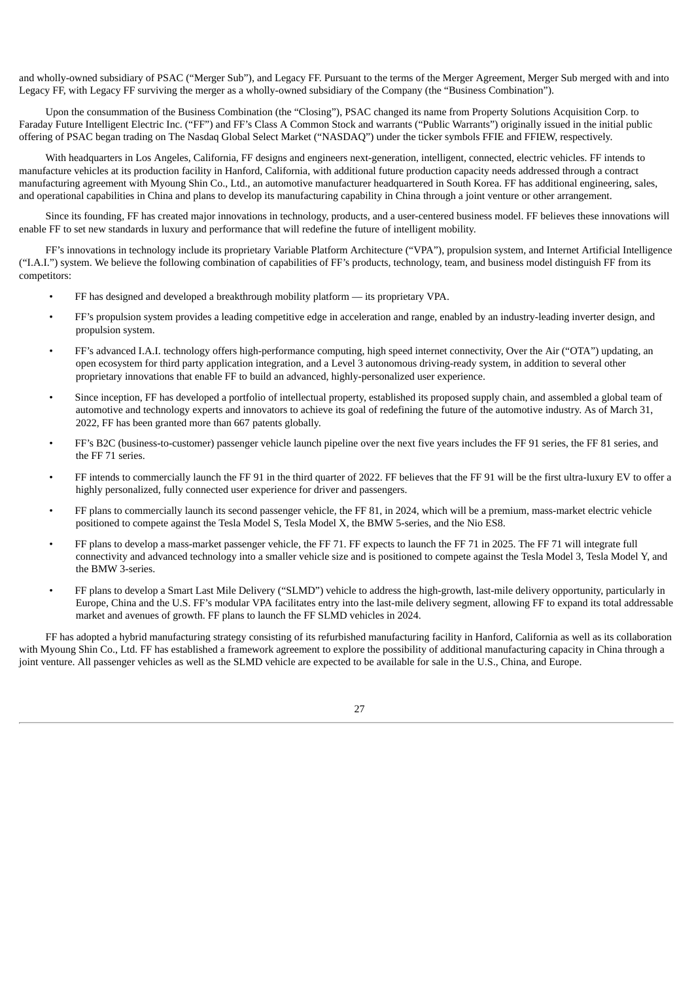and wholly-owned subsidiary of PSAC ("Merger Sub"), and Legacy FF. Pursuant to the terms of the Merger Agreement, Merger Sub merged with and into Legacy FF, with Legacy FF surviving the merger as a wholly-owned subsidiary of the Company (the "Business Combination").

Upon the consummation of the Business Combination (the "Closing"), PSAC changed its name from Property Solutions Acquisition Corp. to Faraday Future Intelligent Electric Inc. ("FF") and FF's Class A Common Stock and warrants ("Public Warrants") originally issued in the initial public offering of PSAC began trading on The Nasdaq Global Select Market ("NASDAQ") under the ticker symbols FFIE and FFIEW, respectively.

With headquarters in Los Angeles, California, FF designs and engineers next-generation, intelligent, connected, electric vehicles. FF intends to manufacture vehicles at its production facility in Hanford, California, with additional future production capacity needs addressed through a contract manufacturing agreement with Myoung Shin Co., Ltd., an automotive manufacturer headquartered in South Korea. FF has additional engineering, sales, and operational capabilities in China and plans to develop its manufacturing capability in China through a joint venture or other arrangement.

Since its founding, FF has created major innovations in technology, products, and a user-centered business model. FF believes these innovations will enable FF to set new standards in luxury and performance that will redefine the future of intelligent mobility.

FF's innovations in technology include its proprietary Variable Platform Architecture ("VPA"), propulsion system, and Internet Artificial Intelligence ("I.A.I.") system. We believe the following combination of capabilities of FF's products, technology, team, and business model distinguish FF from its competitors:

- FF has designed and developed a breakthrough mobility platform its proprietary VPA.
- FF's propulsion system provides a leading competitive edge in acceleration and range, enabled by an industry-leading inverter design, and propulsion system.
- FF's advanced I.A.I. technology offers high-performance computing, high speed internet connectivity, Over the Air ("OTA") updating, an open ecosystem for third party application integration, and a Level 3 autonomous driving-ready system, in addition to several other proprietary innovations that enable FF to build an advanced, highly-personalized user experience.
- Since inception, FF has developed a portfolio of intellectual property, established its proposed supply chain, and assembled a global team of automotive and technology experts and innovators to achieve its goal of redefining the future of the automotive industry. As of March 31, 2022, FF has been granted more than 667 patents globally.
- FF's B2C (business-to-customer) passenger vehicle launch pipeline over the next five years includes the FF 91 series, the FF 81 series, and the FF 71 series.
- FF intends to commercially launch the FF 91 in the third quarter of 2022. FF believes that the FF 91 will be the first ultra-luxury EV to offer a highly personalized, fully connected user experience for driver and passengers.
- FF plans to commercially launch its second passenger vehicle, the FF 81, in 2024, which will be a premium, mass-market electric vehicle positioned to compete against the Tesla Model S, Tesla Model X, the BMW 5-series, and the Nio ES8.
- FF plans to develop a mass-market passenger vehicle, the FF 71. FF expects to launch the FF 71 in 2025. The FF 71 will integrate full connectivity and advanced technology into a smaller vehicle size and is positioned to compete against the Tesla Model 3, Tesla Model Y, and the BMW 3-series.
- FF plans to develop a Smart Last Mile Delivery ("SLMD") vehicle to address the high-growth, last-mile delivery opportunity, particularly in Europe, China and the U.S. FF's modular VPA facilitates entry into the last-mile delivery segment, allowing FF to expand its total addressable market and avenues of growth. FF plans to launch the FF SLMD vehicles in 2024.

FF has adopted a hybrid manufacturing strategy consisting of its refurbished manufacturing facility in Hanford, California as well as its collaboration with Myoung Shin Co., Ltd. FF has established a framework agreement to explore the possibility of additional manufacturing capacity in China through a joint venture. All passenger vehicles as well as the SLMD vehicle are expected to be available for sale in the U.S., China, and Europe.

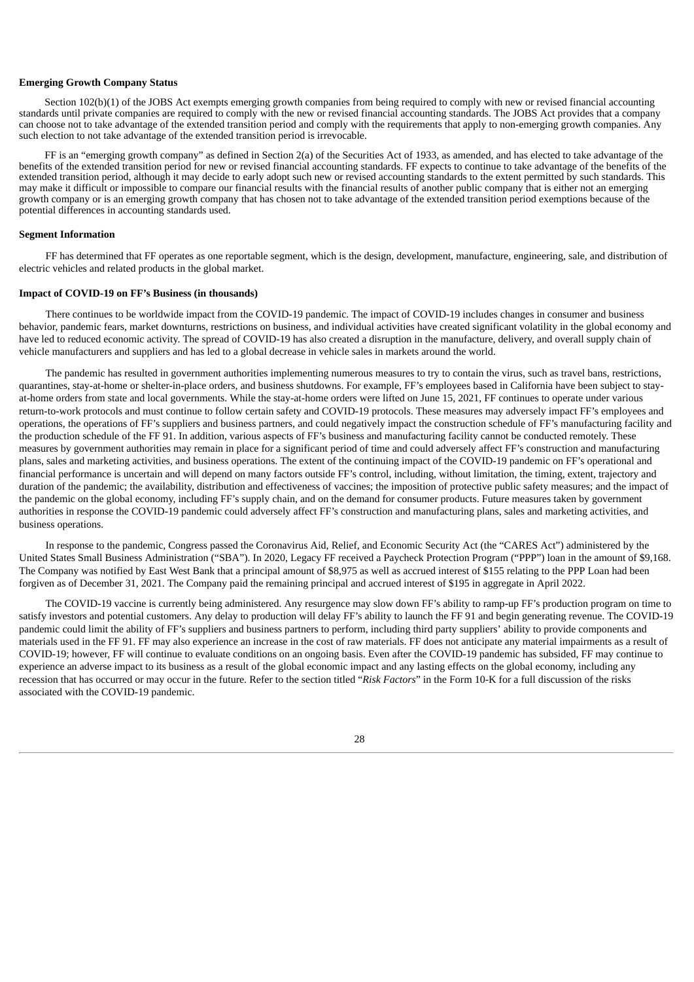### **Emerging Growth Company Status**

Section 102(b)(1) of the JOBS Act exempts emerging growth companies from being required to comply with new or revised financial accounting standards until private companies are required to comply with the new or revised financial accounting standards. The JOBS Act provides that a company can choose not to take advantage of the extended transition period and comply with the requirements that apply to non-emerging growth companies. Any such election to not take advantage of the extended transition period is irrevocable.

FF is an "emerging growth company" as defined in Section 2(a) of the Securities Act of 1933, as amended, and has elected to take advantage of the benefits of the extended transition period for new or revised financial accounting standards. FF expects to continue to take advantage of the benefits of the extended transition period, although it may decide to early adopt such new or revised accounting standards to the extent permitted by such standards. This may make it difficult or impossible to compare our financial results with the financial results of another public company that is either not an emerging growth company or is an emerging growth company that has chosen not to take advantage of the extended transition period exemptions because of the potential differences in accounting standards used.

#### **Segment Information**

FF has determined that FF operates as one reportable segment, which is the design, development, manufacture, engineering, sale, and distribution of electric vehicles and related products in the global market.

#### **Impact of COVID-19 on FF's Business (in thousands)**

There continues to be worldwide impact from the COVID-19 pandemic. The impact of COVID-19 includes changes in consumer and business behavior, pandemic fears, market downturns, restrictions on business, and individual activities have created significant volatility in the global economy and have led to reduced economic activity. The spread of COVID-19 has also created a disruption in the manufacture, delivery, and overall supply chain of vehicle manufacturers and suppliers and has led to a global decrease in vehicle sales in markets around the world.

The pandemic has resulted in government authorities implementing numerous measures to try to contain the virus, such as travel bans, restrictions, quarantines, stay-at-home or shelter-in-place orders, and business shutdowns. For example, FF's employees based in California have been subject to stayat-home orders from state and local governments. While the stay-at-home orders were lifted on June 15, 2021, FF continues to operate under various return-to-work protocols and must continue to follow certain safety and COVID-19 protocols. These measures may adversely impact FF's employees and operations, the operations of FF's suppliers and business partners, and could negatively impact the construction schedule of FF's manufacturing facility and the production schedule of the FF 91. In addition, various aspects of FF's business and manufacturing facility cannot be conducted remotely. These measures by government authorities may remain in place for a significant period of time and could adversely affect FF's construction and manufacturing plans, sales and marketing activities, and business operations. The extent of the continuing impact of the COVID-19 pandemic on FF's operational and financial performance is uncertain and will depend on many factors outside FF's control, including, without limitation, the timing, extent, trajectory and duration of the pandemic; the availability, distribution and effectiveness of vaccines; the imposition of protective public safety measures; and the impact of the pandemic on the global economy, including FF's supply chain, and on the demand for consumer products. Future measures taken by government authorities in response the COVID-19 pandemic could adversely affect FF's construction and manufacturing plans, sales and marketing activities, and business operations.

In response to the pandemic, Congress passed the Coronavirus Aid, Relief, and Economic Security Act (the "CARES Act") administered by the United States Small Business Administration ("SBA"). In 2020, Legacy FF received a Paycheck Protection Program ("PPP") loan in the amount of \$9,168. The Company was notified by East West Bank that a principal amount of \$8,975 as well as accrued interest of \$155 relating to the PPP Loan had been forgiven as of December 31, 2021. The Company paid the remaining principal and accrued interest of \$195 in aggregate in April 2022.

The COVID-19 vaccine is currently being administered. Any resurgence may slow down FF's ability to ramp-up FF's production program on time to satisfy investors and potential customers. Any delay to production will delay FF's ability to launch the FF 91 and begin generating revenue. The COVID-19 pandemic could limit the ability of FF's suppliers and business partners to perform, including third party suppliers' ability to provide components and materials used in the FF 91. FF may also experience an increase in the cost of raw materials. FF does not anticipate any material impairments as a result of COVID-19; however, FF will continue to evaluate conditions on an ongoing basis. Even after the COVID-19 pandemic has subsided, FF may continue to experience an adverse impact to its business as a result of the global economic impact and any lasting effects on the global economy, including any recession that has occurred or may occur in the future. Refer to the section titled "*Risk Factors*" in the Form 10-K for a full discussion of the risks associated with the COVID-19 pandemic.

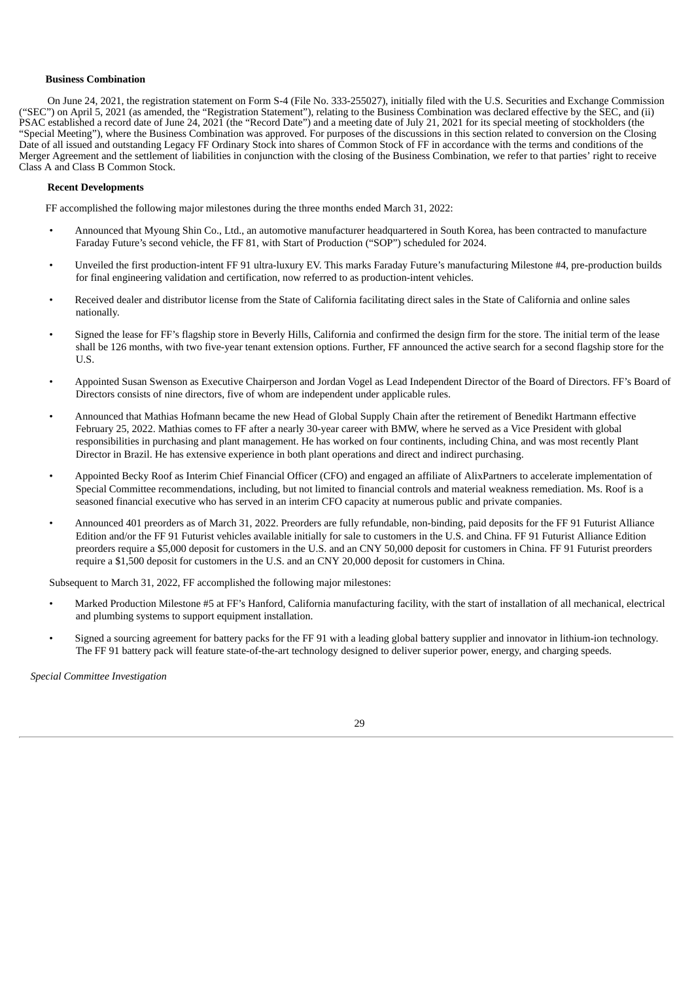### **Business Combination**

On June 24, 2021, the registration statement on Form S-4 (File No. 333-255027), initially filed with the U.S. Securities and Exchange Commission ("SEC") on April 5, 2021 (as amended, the "Registration Statement"), relating to the Business Combination was declared effective by the SEC, and (ii) PSAC established a record date of June 24, 2021 (the "Record Date") and a meeting date of July 21, 2021 for its special meeting of stockholders (the "Special Meeting"), where the Business Combination was approved. For purposes of the discussions in this section related to conversion on the Closing Date of all issued and outstanding Legacy FF Ordinary Stock into shares of Common Stock of FF in accordance with the terms and conditions of the Merger Agreement and the settlement of liabilities in conjunction with the closing of the Business Combination, we refer to that parties' right to receive Class A and Class B Common Stock.

## **Recent Developments**

FF accomplished the following major milestones during the three months ended March 31, 2022:

- *•* Announced that Myoung Shin Co., Ltd., an automotive manufacturer headquartered in South Korea, has been contracted to manufacture Faraday Future's second vehicle, the FF 81, with Start of Production ("SOP") scheduled for 2024.
- Unveiled the first production-intent FF 91 ultra-luxury EV. This marks Faraday Future's manufacturing Milestone #4, pre-production builds for final engineering validation and certification, now referred to as production-intent vehicles.
- Received dealer and distributor license from the State of California facilitating direct sales in the State of California and online sales nationally.
- Signed the lease for FF's flagship store in Beverly Hills, California and confirmed the design firm for the store. The initial term of the lease shall be 126 months, with two five-year tenant extension options. Further, FF announced the active search for a second flagship store for the U.S.
- Appointed Susan Swenson as Executive Chairperson and Jordan Vogel as Lead Independent Director of the Board of Directors. FF's Board of Directors consists of nine directors, five of whom are independent under applicable rules.
- Announced that Mathias Hofmann became the new Head of Global Supply Chain after the retirement of Benedikt Hartmann effective February 25, 2022. Mathias comes to FF after a nearly 30-year career with BMW, where he served as a Vice President with global responsibilities in purchasing and plant management. He has worked on four continents, including China, and was most recently Plant Director in Brazil. He has extensive experience in both plant operations and direct and indirect purchasing.
- Appointed Becky Roof as Interim Chief Financial Officer (CFO) and engaged an affiliate of AlixPartners to accelerate implementation of Special Committee recommendations, including, but not limited to financial controls and material weakness remediation. Ms. Roof is a seasoned financial executive who has served in an interim CFO capacity at numerous public and private companies.
- Announced 401 preorders as of March 31, 2022. Preorders are fully refundable, non-binding, paid deposits for the FF 91 Futurist Alliance Edition and/or the FF 91 Futurist vehicles available initially for sale to customers in the U.S. and China. FF 91 Futurist Alliance Edition preorders require a \$5,000 deposit for customers in the U.S. and an CNY 50,000 deposit for customers in China. FF 91 Futurist preorders require a \$1,500 deposit for customers in the U.S. and an CNY 20,000 deposit for customers in China.

Subsequent to March 31, 2022, FF accomplished the following major milestones:

- Marked Production Milestone #5 at FF's Hanford, California manufacturing facility, with the start of installation of all mechanical, electrical and plumbing systems to support equipment installation.
- Signed a sourcing agreement for battery packs for the FF 91 with a leading global battery supplier and innovator in lithium-ion technology. The FF 91 battery pack will feature state-of-the-art technology designed to deliver superior power, energy, and charging speeds.

*Special Committee Investigation*

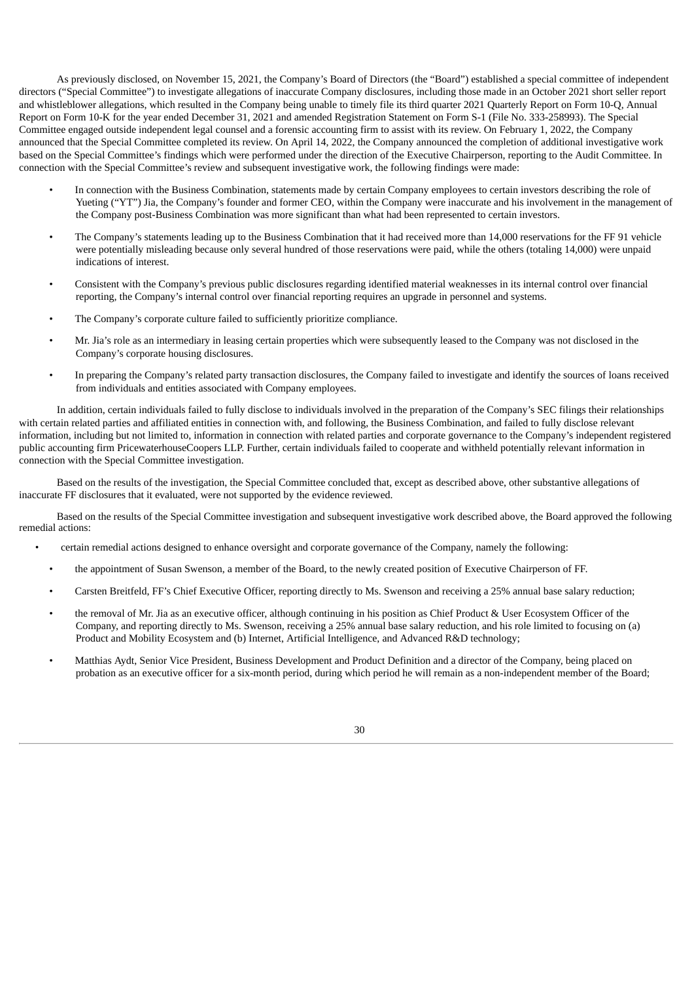As previously disclosed, on November 15, 2021, the Company's Board of Directors (the "Board") established a special committee of independent directors ("Special Committee") to investigate allegations of inaccurate Company disclosures, including those made in an October 2021 short seller report and whistleblower allegations, which resulted in the Company being unable to timely file its third quarter 2021 Quarterly Report on Form 10-Q, Annual Report on Form 10-K for the year ended December 31, 2021 and amended Registration Statement on Form S-1 (File No. 333-258993). The Special Committee engaged outside independent legal counsel and a forensic accounting firm to assist with its review. On February 1, 2022, the Company announced that the Special Committee completed its review. On April 14, 2022, the Company announced the completion of additional investigative work based on the Special Committee's findings which were performed under the direction of the Executive Chairperson, reporting to the Audit Committee. In connection with the Special Committee's review and subsequent investigative work, the following findings were made:

- In connection with the Business Combination, statements made by certain Company employees to certain investors describing the role of Yueting ("YT") Jia, the Company's founder and former CEO, within the Company were inaccurate and his involvement in the management of the Company post-Business Combination was more significant than what had been represented to certain investors.
- The Company's statements leading up to the Business Combination that it had received more than 14,000 reservations for the FF 91 vehicle were potentially misleading because only several hundred of those reservations were paid, while the others (totaling 14,000) were unpaid indications of interest.
- Consistent with the Company's previous public disclosures regarding identified material weaknesses in its internal control over financial reporting, the Company's internal control over financial reporting requires an upgrade in personnel and systems.
- The Company's corporate culture failed to sufficiently prioritize compliance.
- Mr. Jia's role as an intermediary in leasing certain properties which were subsequently leased to the Company was not disclosed in the Company's corporate housing disclosures.
- In preparing the Company's related party transaction disclosures, the Company failed to investigate and identify the sources of loans received from individuals and entities associated with Company employees.

In addition, certain individuals failed to fully disclose to individuals involved in the preparation of the Company's SEC filings their relationships with certain related parties and affiliated entities in connection with, and following, the Business Combination, and failed to fully disclose relevant information, including but not limited to, information in connection with related parties and corporate governance to the Company's independent registered public accounting firm PricewaterhouseCoopers LLP. Further, certain individuals failed to cooperate and withheld potentially relevant information in connection with the Special Committee investigation.

Based on the results of the investigation, the Special Committee concluded that, except as described above, other substantive allegations of inaccurate FF disclosures that it evaluated, were not supported by the evidence reviewed.

Based on the results of the Special Committee investigation and subsequent investigative work described above, the Board approved the following remedial actions:

- certain remedial actions designed to enhance oversight and corporate governance of the Company, namely the following:
- the appointment of Susan Swenson, a member of the Board, to the newly created position of Executive Chairperson of FF.
- Carsten Breitfeld, FF's Chief Executive Officer, reporting directly to Ms. Swenson and receiving a 25% annual base salary reduction;
- the removal of Mr. Jia as an executive officer, although continuing in his position as Chief Product & User Ecosystem Officer of the Company, and reporting directly to Ms. Swenson, receiving a 25% annual base salary reduction, and his role limited to focusing on (a) Product and Mobility Ecosystem and (b) Internet, Artificial Intelligence, and Advanced R&D technology;
- Matthias Aydt, Senior Vice President, Business Development and Product Definition and a director of the Company, being placed on probation as an executive officer for a six-month period, during which period he will remain as a non-independent member of the Board;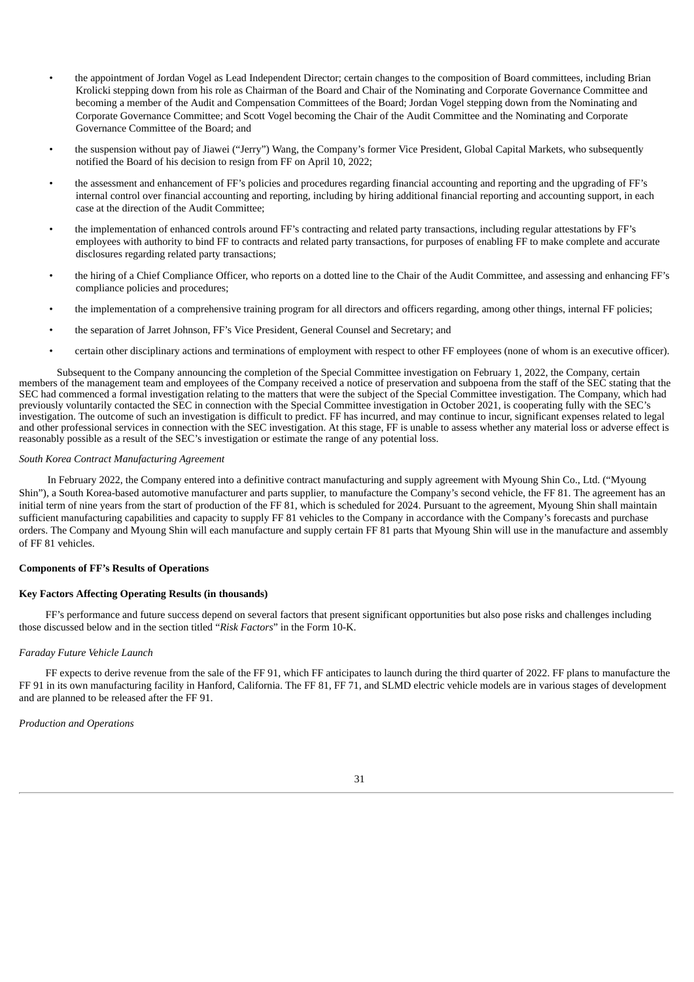- the appointment of Jordan Vogel as Lead Independent Director; certain changes to the composition of Board committees, including Brian Krolicki stepping down from his role as Chairman of the Board and Chair of the Nominating and Corporate Governance Committee and becoming a member of the Audit and Compensation Committees of the Board; Jordan Vogel stepping down from the Nominating and Corporate Governance Committee; and Scott Vogel becoming the Chair of the Audit Committee and the Nominating and Corporate Governance Committee of the Board; and
- the suspension without pay of Jiawei ("Jerry") Wang, the Company's former Vice President, Global Capital Markets, who subsequently notified the Board of his decision to resign from FF on April 10, 2022;
- the assessment and enhancement of FF's policies and procedures regarding financial accounting and reporting and the upgrading of FF's internal control over financial accounting and reporting, including by hiring additional financial reporting and accounting support, in each case at the direction of the Audit Committee;
- the implementation of enhanced controls around FF's contracting and related party transactions, including regular attestations by FF's employees with authority to bind FF to contracts and related party transactions, for purposes of enabling FF to make complete and accurate disclosures regarding related party transactions;
- the hiring of a Chief Compliance Officer, who reports on a dotted line to the Chair of the Audit Committee, and assessing and enhancing FF's compliance policies and procedures;
- the implementation of a comprehensive training program for all directors and officers regarding, among other things, internal FF policies;
- the separation of Jarret Johnson, FF's Vice President, General Counsel and Secretary; and
- certain other disciplinary actions and terminations of employment with respect to other FF employees (none of whom is an executive officer).

Subsequent to the Company announcing the completion of the Special Committee investigation on February 1, 2022, the Company, certain members of the management team and employees of the Company received a notice of preservation and subpoena from the staff of the SEC stating that the SEC had commenced a formal investigation relating to the matters that were the subject of the Special Committee investigation. The Company, which had previously voluntarily contacted the SEC in connection with the Special Committee investigation in October 2021, is cooperating fully with the SEC's investigation. The outcome of such an investigation is difficult to predict. FF has incurred, and may continue to incur, significant expenses related to legal and other professional services in connection with the SEC investigation. At this stage, FF is unable to assess whether any material loss or adverse effect is reasonably possible as a result of the SEC's investigation or estimate the range of any potential loss.

### *South Korea Contract Manufacturing Agreement*

In February 2022, the Company entered into a definitive contract manufacturing and supply agreement with Myoung Shin Co., Ltd. ("Myoung Shin"), a South Korea-based automotive manufacturer and parts supplier, to manufacture the Company's second vehicle, the FF 81. The agreement has an initial term of nine years from the start of production of the FF 81, which is scheduled for 2024. Pursuant to the agreement, Myoung Shin shall maintain sufficient manufacturing capabilities and capacity to supply FF 81 vehicles to the Company in accordance with the Company's forecasts and purchase orders. The Company and Myoung Shin will each manufacture and supply certain FF 81 parts that Myoung Shin will use in the manufacture and assembly of FF 81 vehicles.

### **Components of FF's Results of Operations**

### **Key Factors Affecting Operating Results (in thousands)**

FF's performance and future success depend on several factors that present significant opportunities but also pose risks and challenges including those discussed below and in the section titled "*Risk Factors*" in the Form 10-K.

### *Faraday Future Vehicle Launch*

FF expects to derive revenue from the sale of the FF 91, which FF anticipates to launch during the third quarter of 2022. FF plans to manufacture the FF 91 in its own manufacturing facility in Hanford, California. The FF 81, FF 71, and SLMD electric vehicle models are in various stages of development and are planned to be released after the FF 91.

*Production and Operations*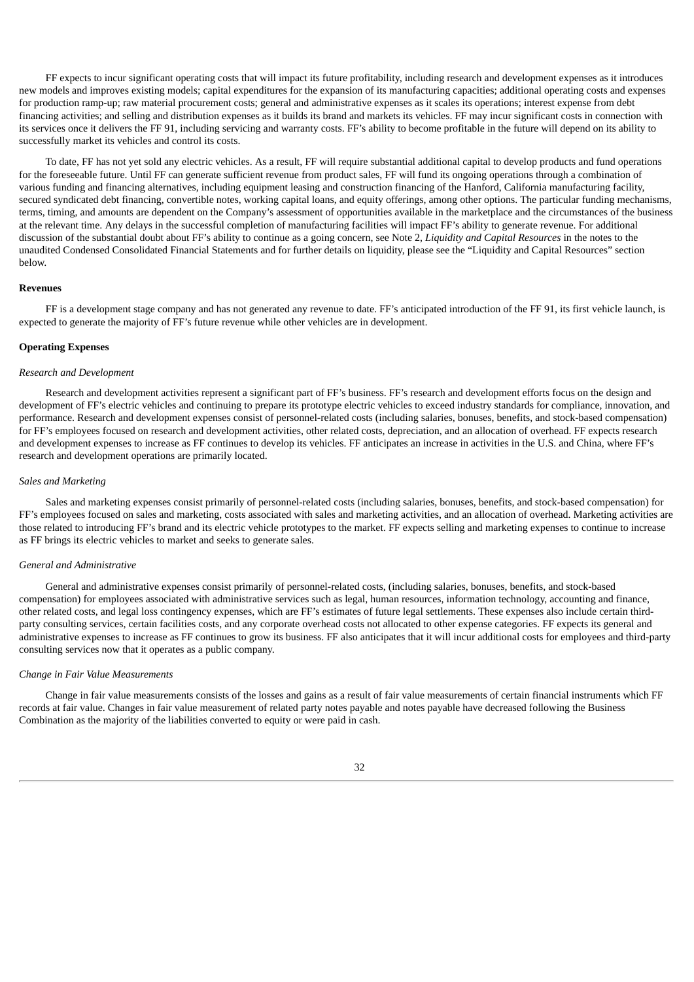FF expects to incur significant operating costs that will impact its future profitability, including research and development expenses as it introduces new models and improves existing models; capital expenditures for the expansion of its manufacturing capacities; additional operating costs and expenses for production ramp-up; raw material procurement costs; general and administrative expenses as it scales its operations; interest expense from debt financing activities; and selling and distribution expenses as it builds its brand and markets its vehicles. FF may incur significant costs in connection with its services once it delivers the FF 91, including servicing and warranty costs. FF's ability to become profitable in the future will depend on its ability to successfully market its vehicles and control its costs.

To date, FF has not yet sold any electric vehicles. As a result, FF will require substantial additional capital to develop products and fund operations for the foreseeable future. Until FF can generate sufficient revenue from product sales, FF will fund its ongoing operations through a combination of various funding and financing alternatives, including equipment leasing and construction financing of the Hanford, California manufacturing facility, secured syndicated debt financing, convertible notes, working capital loans, and equity offerings, among other options. The particular funding mechanisms, terms, timing, and amounts are dependent on the Company's assessment of opportunities available in the marketplace and the circumstances of the business at the relevant time. Any delays in the successful completion of manufacturing facilities will impact FF's ability to generate revenue. For additional discussion of the substantial doubt about FF's ability to continue as a going concern, see Note 2, *Liquidity and Capital Resources* in the notes to the unaudited Condensed Consolidated Financial Statements and for further details on liquidity, please see the "Liquidity and Capital Resources" section below.

### **Revenues**

FF is a development stage company and has not generated any revenue to date. FF's anticipated introduction of the FF 91, its first vehicle launch, is expected to generate the majority of FF's future revenue while other vehicles are in development.

#### **Operating Expenses**

#### *Research and Development*

Research and development activities represent a significant part of FF's business. FF's research and development efforts focus on the design and development of FF's electric vehicles and continuing to prepare its prototype electric vehicles to exceed industry standards for compliance, innovation, and performance. Research and development expenses consist of personnel-related costs (including salaries, bonuses, benefits, and stock-based compensation) for FF's employees focused on research and development activities, other related costs, depreciation, and an allocation of overhead. FF expects research and development expenses to increase as FF continues to develop its vehicles. FF anticipates an increase in activities in the U.S. and China, where FF's research and development operations are primarily located.

### *Sales and Marketing*

Sales and marketing expenses consist primarily of personnel-related costs (including salaries, bonuses, benefits, and stock-based compensation) for FF's employees focused on sales and marketing, costs associated with sales and marketing activities, and an allocation of overhead. Marketing activities are those related to introducing FF's brand and its electric vehicle prototypes to the market. FF expects selling and marketing expenses to continue to increase as FF brings its electric vehicles to market and seeks to generate sales.

#### *General and Administrative*

General and administrative expenses consist primarily of personnel-related costs, (including salaries, bonuses, benefits, and stock-based compensation) for employees associated with administrative services such as legal, human resources, information technology, accounting and finance, other related costs, and legal loss contingency expenses, which are FF's estimates of future legal settlements. These expenses also include certain thirdparty consulting services, certain facilities costs, and any corporate overhead costs not allocated to other expense categories. FF expects its general and administrative expenses to increase as FF continues to grow its business. FF also anticipates that it will incur additional costs for employees and third-party consulting services now that it operates as a public company.

### *Change in Fair Value Measurements*

Change in fair value measurements consists of the losses and gains as a result of fair value measurements of certain financial instruments which FF records at fair value. Changes in fair value measurement of related party notes payable and notes payable have decreased following the Business Combination as the majority of the liabilities converted to equity or were paid in cash.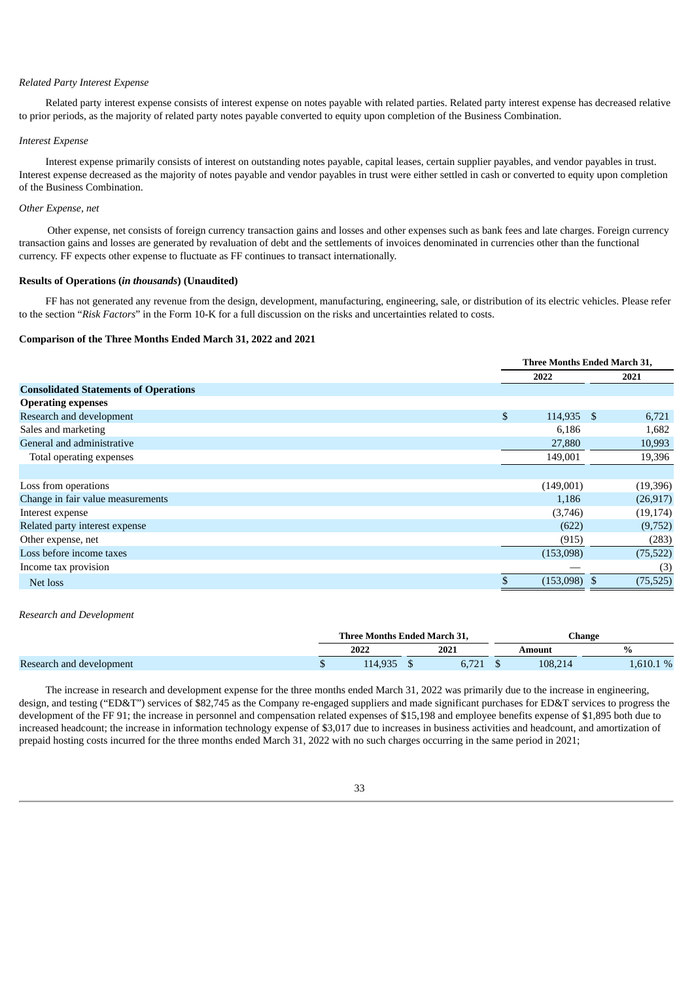## *Related Party Interest Expense*

Related party interest expense consists of interest expense on notes payable with related parties. Related party interest expense has decreased relative to prior periods, as the majority of related party notes payable converted to equity upon completion of the Business Combination.

### *Interest Expense*

Interest expense primarily consists of interest on outstanding notes payable, capital leases, certain supplier payables, and vendor payables in trust. Interest expense decreased as the majority of notes payable and vendor payables in trust were either settled in cash or converted to equity upon completion of the Business Combination.

## *Other Expense, net*

Other expense, net consists of foreign currency transaction gains and losses and other expenses such as bank fees and late charges. Foreign currency transaction gains and losses are generated by revaluation of debt and the settlements of invoices denominated in currencies other than the functional currency. FF expects other expense to fluctuate as FF continues to transact internationally.

#### **Results of Operations (***in thousands***) (Unaudited)**

FF has not generated any revenue from the design, development, manufacturing, engineering, sale, or distribution of its electric vehicles. Please refer to the section "*Risk Factors*" in the Form 10-K for a full discussion on the risks and uncertainties related to costs.

### **Comparison of the Three Months Ended March 31, 2022 and 2021**

|                                              |                | Three Months Ended March 31, |  |           |
|----------------------------------------------|----------------|------------------------------|--|-----------|
|                                              |                | 2022                         |  | 2021      |
| <b>Consolidated Statements of Operations</b> |                |                              |  |           |
| <b>Operating expenses</b>                    |                |                              |  |           |
| Research and development                     | $\mathfrak{S}$ | 114,935 \$                   |  | 6,721     |
| Sales and marketing                          |                | 6,186                        |  | 1,682     |
| General and administrative                   |                | 27,880                       |  | 10,993    |
| Total operating expenses                     |                | 149,001                      |  | 19,396    |
|                                              |                |                              |  |           |
| Loss from operations                         |                | (149,001)                    |  | (19,396)  |
| Change in fair value measurements            |                | 1,186                        |  | (26, 917) |
| Interest expense                             |                | (3,746)                      |  | (19, 174) |
| Related party interest expense               |                | (622)                        |  | (9,752)   |
| Other expense, net                           |                | (915)                        |  | (283)     |
| Loss before income taxes                     |                | (153,098)                    |  | (75, 522) |
| Income tax provision                         |                |                              |  | (3)       |
| Net loss                                     |                | $(153,098)$ \$               |  | (75, 525) |
|                                              |                |                              |  |           |

#### *Research and Development*

|                          | Three Months Ended March 31. |  |                     | hange   |       |  |
|--------------------------|------------------------------|--|---------------------|---------|-------|--|
|                          | 2022                         |  | 2021                | ^ mount | $\%$  |  |
| Research and development | ורח<br>エエー・プレー               |  | $\mathbf{m}$<br>v., | 108,7   | $1\%$ |  |

The increase in research and development expense for the three months ended March 31, 2022 was primarily due to the increase in engineering, design, and testing ("ED&T") services of \$82,745 as the Company re-engaged suppliers and made significant purchases for ED&T services to progress the development of the FF 91; the increase in personnel and compensation related expenses of \$15,198 and employee benefits expense of \$1,895 both due to increased headcount; the increase in information technology expense of \$3,017 due to increases in business activities and headcount, and amortization of prepaid hosting costs incurred for the three months ended March 31, 2022 with no such charges occurring in the same period in 2021;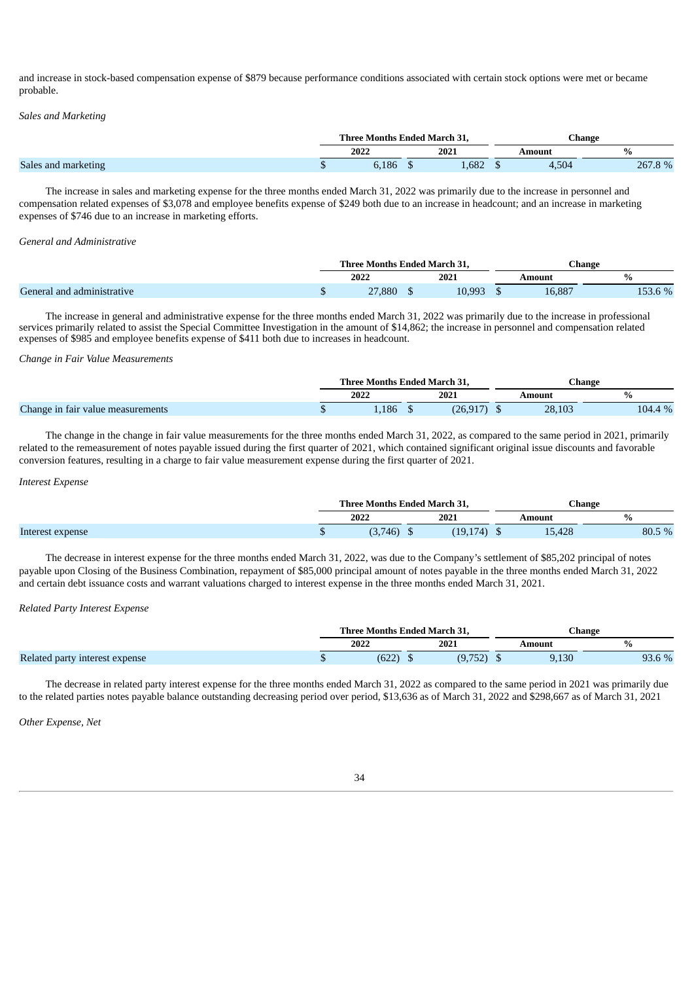and increase in stock-based compensation expense of \$879 because performance conditions associated with certain stock options were met or became probable.

### *Sales and Marketing*

|                     | Three Months Ended March 31. |  |       |      | . hange |         |  |
|---------------------|------------------------------|--|-------|------|---------|---------|--|
|                     | 2022                         |  | 2021  |      | Amount  | %       |  |
| Sales and marketing | 6.186                        |  | 1.682 | - 12 | .504    | 267.8 % |  |

The increase in sales and marketing expense for the three months ended March 31, 2022 was primarily due to the increase in personnel and compensation related expenses of \$3,078 and employee benefits expense of \$249 both due to an increase in headcount; and an increase in marketing expenses of \$746 due to an increase in marketing efforts.

#### *General and Administrative*

|                                               | <b>Three Months Ended March 31.</b> |                    |  | . hange       |         |  |
|-----------------------------------------------|-------------------------------------|--------------------|--|---------------|---------|--|
|                                               | 2022                                | 2021               |  | <b>\mount</b> | $\%$    |  |
| $\sqrt{2}$<br>General and<br>l administrative | 27,880                              | $\Omega$<br>$\sim$ |  | 16.887        | 153.6 % |  |

The increase in general and administrative expense for the three months ended March 31, 2022 was primarily due to the increase in professional services primarily related to assist the Special Committee Investigation in the amount of \$14,862; the increase in personnel and compensation related expenses of \$985 and employee benefits expense of \$411 both due to increases in headcount.

#### *Change in Fair Value Measurements*

|                                   | <b>Three Months Ended March 31.</b> |  |      | . hange |         |  |
|-----------------------------------|-------------------------------------|--|------|---------|---------|--|
|                                   | 2022                                |  | 2021 | Amount  | $\%$    |  |
| Change in fair value measurements | .186                                |  |      | 28,103  | 104.4 % |  |

The change in the change in fair value measurements for the three months ended March 31, 2022, as compared to the same period in 2021, primarily related to the remeasurement of notes payable issued during the first quarter of 2021, which contained significant original issue discounts and favorable conversion features, resulting in a charge to fair value measurement expense during the first quarter of 2021.

### *Interest Expense*

|                  | Three Months Ended March 31. |             |  | Change  |  |        |        |  |
|------------------|------------------------------|-------------|--|---------|--|--------|--------|--|
|                  |                              | 2022        |  | 2021    |  | Amount | $\%$   |  |
| Interest expense |                              | ,746)<br>U. |  | 1, 1, 1 |  | 15,428 | 80.5 % |  |

The decrease in interest expense for the three months ended March 31, 2022, was due to the Company's settlement of \$85,202 principal of notes payable upon Closing of the Business Combination, repayment of \$85,000 principal amount of notes payable in the three months ended March 31, 2022 and certain debt issuance costs and warrant valuations charged to interest expense in the three months ended March 31, 2021.

### *Related Party Interest Expense*

|                                |              | Three Months Ended March 31. |     |    | . hange        |        |  |
|--------------------------------|--------------|------------------------------|-----|----|----------------|--------|--|
|                                | 2021<br>2022 |                              |     |    | $\%$<br>Amount |        |  |
| Related party interest expense |              | (622)                        | (9, | ےں | 9,130          | 93.6 % |  |

The decrease in related party interest expense for the three months ended March 31, 2022 as compared to the same period in 2021 was primarily due to the related parties notes payable balance outstanding decreasing period over period, \$13,636 as of March 31, 2022 and \$298,667 as of March 31, 2021

*Other Expense, Net*

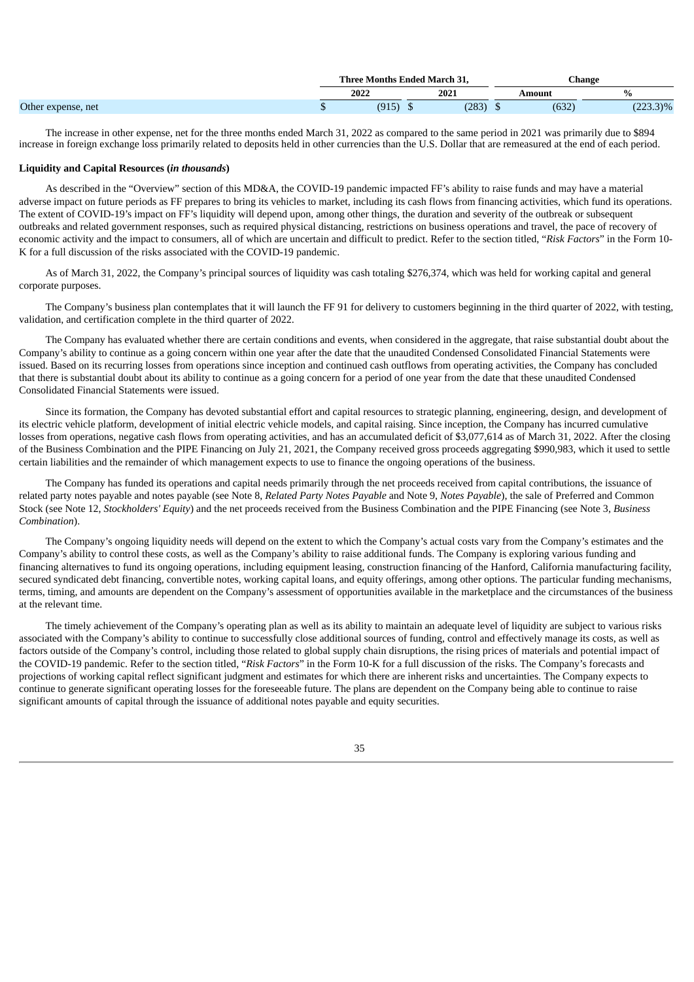|                    |      | Three Months Ended March 31. |       | ∑hange |             |  |
|--------------------|------|------------------------------|-------|--------|-------------|--|
|                    | 2022 |                              | 2021  | Amount | 7ο          |  |
| Other expense, net |      | 7015<br>باب ال               | (283) | (632   | $(223.3)\%$ |  |

The increase in other expense, net for the three months ended March 31, 2022 as compared to the same period in 2021 was primarily due to \$894 increase in foreign exchange loss primarily related to deposits held in other currencies than the U.S. Dollar that are remeasured at the end of each period.

### **Liquidity and Capital Resources (***in thousands***)**

As described in the "Overview" section of this MD&A, the COVID-19 pandemic impacted FF's ability to raise funds and may have a material adverse impact on future periods as FF prepares to bring its vehicles to market, including its cash flows from financing activities, which fund its operations. The extent of COVID-19's impact on FF's liquidity will depend upon, among other things, the duration and severity of the outbreak or subsequent outbreaks and related government responses, such as required physical distancing, restrictions on business operations and travel, the pace of recovery of economic activity and the impact to consumers, all of which are uncertain and difficult to predict. Refer to the section titled, "*Risk Factors*" in the Form 10- K for a full discussion of the risks associated with the COVID-19 pandemic.

As of March 31, 2022, the Company's principal sources of liquidity was cash totaling \$276,374, which was held for working capital and general corporate purposes.

The Company's business plan contemplates that it will launch the FF 91 for delivery to customers beginning in the third quarter of 2022, with testing, validation, and certification complete in the third quarter of 2022.

The Company has evaluated whether there are certain conditions and events, when considered in the aggregate, that raise substantial doubt about the Company's ability to continue as a going concern within one year after the date that the unaudited Condensed Consolidated Financial Statements were issued. Based on its recurring losses from operations since inception and continued cash outflows from operating activities, the Company has concluded that there is substantial doubt about its ability to continue as a going concern for a period of one year from the date that these unaudited Condensed Consolidated Financial Statements were issued.

Since its formation, the Company has devoted substantial effort and capital resources to strategic planning, engineering, design, and development of its electric vehicle platform, development of initial electric vehicle models, and capital raising. Since inception, the Company has incurred cumulative losses from operations, negative cash flows from operating activities, and has an accumulated deficit of \$3,077,614 as of March 31, 2022. After the closing of the Business Combination and the PIPE Financing on July 21, 2021, the Company received gross proceeds aggregating \$990,983, which it used to settle certain liabilities and the remainder of which management expects to use to finance the ongoing operations of the business.

The Company has funded its operations and capital needs primarily through the net proceeds received from capital contributions, the issuance of related party notes payable and notes payable (see Note 8, *Related Party Notes Payable* and Note 9, *Notes Payable*), the sale of Preferred and Common Stock (see Note 12, *Stockholders' Equity*) and the net proceeds received from the Business Combination and the PIPE Financing (see Note 3, *Business Combination*).

The Company's ongoing liquidity needs will depend on the extent to which the Company's actual costs vary from the Company's estimates and the Company's ability to control these costs, as well as the Company's ability to raise additional funds. The Company is exploring various funding and financing alternatives to fund its ongoing operations, including equipment leasing, construction financing of the Hanford, California manufacturing facility, secured syndicated debt financing, convertible notes, working capital loans, and equity offerings, among other options. The particular funding mechanisms, terms, timing, and amounts are dependent on the Company's assessment of opportunities available in the marketplace and the circumstances of the business at the relevant time.

The timely achievement of the Company's operating plan as well as its ability to maintain an adequate level of liquidity are subject to various risks associated with the Company's ability to continue to successfully close additional sources of funding, control and effectively manage its costs, as well as factors outside of the Company's control, including those related to global supply chain disruptions, the rising prices of materials and potential impact of the COVID-19 pandemic. Refer to the section titled, "*Risk Factors*" in the Form 10-K for a full discussion of the risks. The Company's forecasts and projections of working capital reflect significant judgment and estimates for which there are inherent risks and uncertainties. The Company expects to continue to generate significant operating losses for the foreseeable future. The plans are dependent on the Company being able to continue to raise significant amounts of capital through the issuance of additional notes payable and equity securities.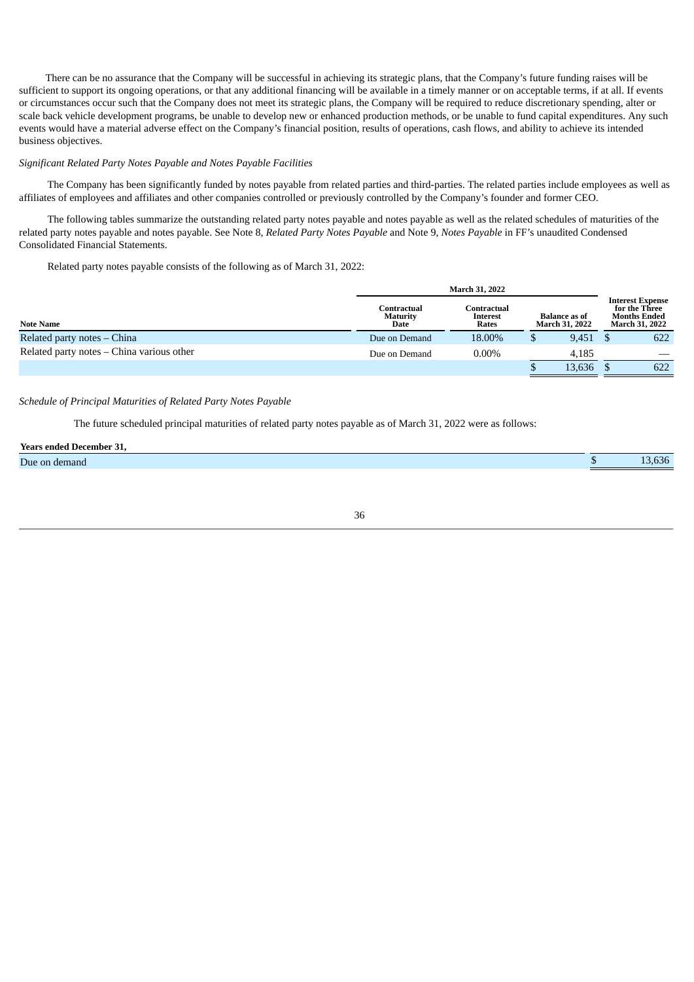There can be no assurance that the Company will be successful in achieving its strategic plans, that the Company's future funding raises will be sufficient to support its ongoing operations, or that any additional financing will be available in a timely manner or on acceptable terms, if at all. If events or circumstances occur such that the Company does not meet its strategic plans, the Company will be required to reduce discretionary spending, alter or scale back vehicle development programs, be unable to develop new or enhanced production methods, or be unable to fund capital expenditures. Any such events would have a material adverse effect on the Company's financial position, results of operations, cash flows, and ability to achieve its intended business objectives.

### *Significant Related Party Notes Payable and Notes Payable Facilities*

The Company has been significantly funded by notes payable from related parties and third-parties. The related parties include employees as well as affiliates of employees and affiliates and other companies controlled or previously controlled by the Company's founder and former CEO.

The following tables summarize the outstanding related party notes payable and notes payable as well as the related schedules of maturities of the related party notes payable and notes payable. See Note 8, *Related Party Notes Payable* and Note 9, *Notes Payable* in FF's unaudited Condensed Consolidated Financial Statements.

Related party notes payable consists of the following as of March 31, 2022:

|                                           | <b>March 31, 2022</b>                  |                                  |                                               |        |                                                                                   |     |
|-------------------------------------------|----------------------------------------|----------------------------------|-----------------------------------------------|--------|-----------------------------------------------------------------------------------|-----|
| <b>Note Name</b>                          | Contractual<br><b>Maturity</b><br>Date | Contractual<br>Interest<br>Rates | <b>Balance as of</b><br><b>March 31, 2022</b> |        | <b>Interest Expense</b><br>for the Three<br><b>Months Ended</b><br>March 31, 2022 |     |
| Related party notes – China               | Due on Demand                          | 18.00%                           |                                               | 9.451  |                                                                                   | 622 |
| Related party notes – China various other | Due on Demand                          | $0.00\%$                         |                                               | 4.185  |                                                                                   |     |
|                                           |                                        |                                  |                                               | 13,636 |                                                                                   | 622 |

## *Schedule of Principal Maturities of Related Party Notes Payable*

The future scheduled principal maturities of related party notes payable as of March 31, 2022 were as follows:

| $-$<br>$\sim$<br>Years ended<br>December<br>. |  |             |
|-----------------------------------------------|--|-------------|
| Due on demand                                 |  | $\sim$<br>ю |
|                                               |  |             |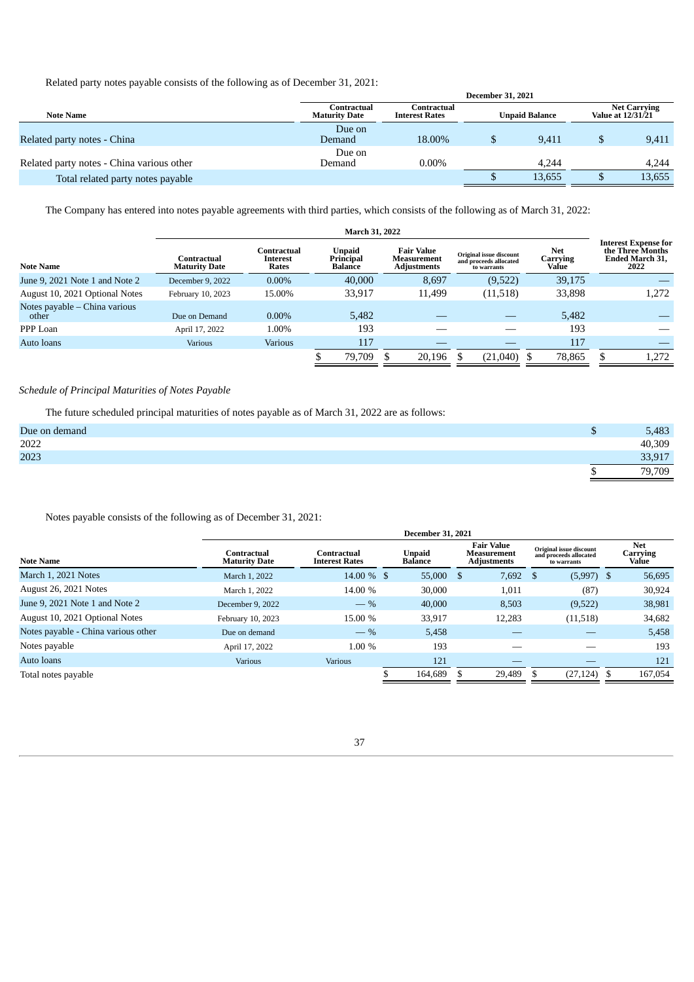Related party notes payable consists of the following as of December 31, 2021:

|                                           | <b>December 31, 2021</b>            |                                      |  |                       |                                          |        |  |  |  |
|-------------------------------------------|-------------------------------------|--------------------------------------|--|-----------------------|------------------------------------------|--------|--|--|--|
| <b>Note Name</b>                          | Contractual<br><b>Maturity Date</b> | Contractual<br><b>Interest Rates</b> |  | <b>Unpaid Balance</b> | <b>Net Carrying</b><br>Value at 12/31/21 |        |  |  |  |
| Related party notes - China               | Due on<br>Demand                    | 18.00%                               |  | 9.411                 |                                          | 9,411  |  |  |  |
| Related party notes - China various other | Due on<br>Demand                    | $0.00\%$                             |  | 4.244                 |                                          | 4.244  |  |  |  |
| Total related party notes payable         |                                     |                                      |  | 13,655                |                                          | 13,655 |  |  |  |

The Company has entered into notes payable agreements with third parties, which consists of the following as of March 31, 2022:

| <b>Note Name</b>                       | Contractual<br><b>Maturity Date</b> | Contractual<br>Interest<br>Rates | <b>Unpaid</b><br>Principal<br>Balance | <b>Fair Value</b><br>Measurement<br><b>Adjustments</b> | Original issue discount<br>and proceeds allocated<br>to warrants | <b>Net</b><br>Carrving<br>Value | <b>Interest Expense for</b><br>the Three Months<br><b>Ended March 31,</b><br>2022 |
|----------------------------------------|-------------------------------------|----------------------------------|---------------------------------------|--------------------------------------------------------|------------------------------------------------------------------|---------------------------------|-----------------------------------------------------------------------------------|
| June 9, 2021 Note 1 and Note 2         | December 9, 2022                    | $0.00\%$                         | 40,000                                | 8,697                                                  | (9,522)                                                          | 39,175                          |                                                                                   |
| August 10, 2021 Optional Notes         | February 10, 2023                   | 15.00%                           | 33,917                                | 11,499                                                 | (11,518)                                                         | 33,898                          | 1,272                                                                             |
| Notes payable – China various<br>other | Due on Demand                       | $0.00\%$                         | 5,482                                 |                                                        |                                                                  | 5,482                           |                                                                                   |
| PPP Loan                               | April 17, 2022                      | $1.00\%$                         | 193                                   |                                                        |                                                                  | 193                             |                                                                                   |
| Auto loans                             | <b>Various</b>                      | <b>Various</b>                   | 117                                   |                                                        |                                                                  | 117                             |                                                                                   |
|                                        |                                     |                                  | 79.709                                | 20.196                                                 | (21,040)                                                         | 78,865                          | 1,272                                                                             |

# *Schedule of Principal Maturities of Notes Payable*

The future scheduled principal maturities of notes payable as of March 31, 2022 are as follows:

| Due on demand | ◡    | 5,483  |
|---------------|------|--------|
| 2022          |      | 40,309 |
| 2023          |      | 33,917 |
|               | - 11 | 79,709 |

Notes payable consists of the following as of December 31, 2021:

|                                     |                                     |                                      | <b>December 31, 2021</b> |     |                                                        |                                                                  |                          |
|-------------------------------------|-------------------------------------|--------------------------------------|--------------------------|-----|--------------------------------------------------------|------------------------------------------------------------------|--------------------------|
| <b>Note Name</b>                    | Contractual<br><b>Maturity Date</b> | Contractual<br><b>Interest Rates</b> | <b>Unpaid</b><br>Balance |     | <b>Fair Value</b><br>Measurement<br><b>Adjustments</b> | Original issue discount<br>and proceeds allocated<br>to warrants | Net<br>Carrying<br>Value |
| March 1, 2021 Notes                 | March 1, 2022                       | 14.00 % \$                           | 55,000                   | -SS | $7,692$ \$                                             | $(5,997)$ \$                                                     | 56,695                   |
| August 26, 2021 Notes               | March 1, 2022                       | 14.00 %                              | 30,000                   |     | 1,011                                                  | (87)                                                             | 30,924                   |
| June 9, 2021 Note 1 and Note 2      | December 9, 2022                    | $-$ %                                | 40,000                   |     | 8,503                                                  | (9,522)                                                          | 38,981                   |
| August 10, 2021 Optional Notes      | February 10, 2023                   | 15.00 %                              | 33,917                   |     | 12,283                                                 | (11,518)                                                         | 34,682                   |
| Notes payable - China various other | Due on demand                       | $-$ %                                | 5,458                    |     |                                                        |                                                                  | 5,458                    |
| Notes payable                       | April 17, 2022                      | 1.00 %                               | 193                      |     |                                                        |                                                                  | 193                      |
| Auto loans                          | <b>Various</b>                      | <b>Various</b>                       | 121                      |     |                                                        |                                                                  | 121                      |
| Total notes payable                 |                                     |                                      | 164,689                  |     | 29,489                                                 | $(27, 124)$ \$                                                   | 167,054                  |
|                                     |                                     |                                      |                          |     |                                                        |                                                                  |                          |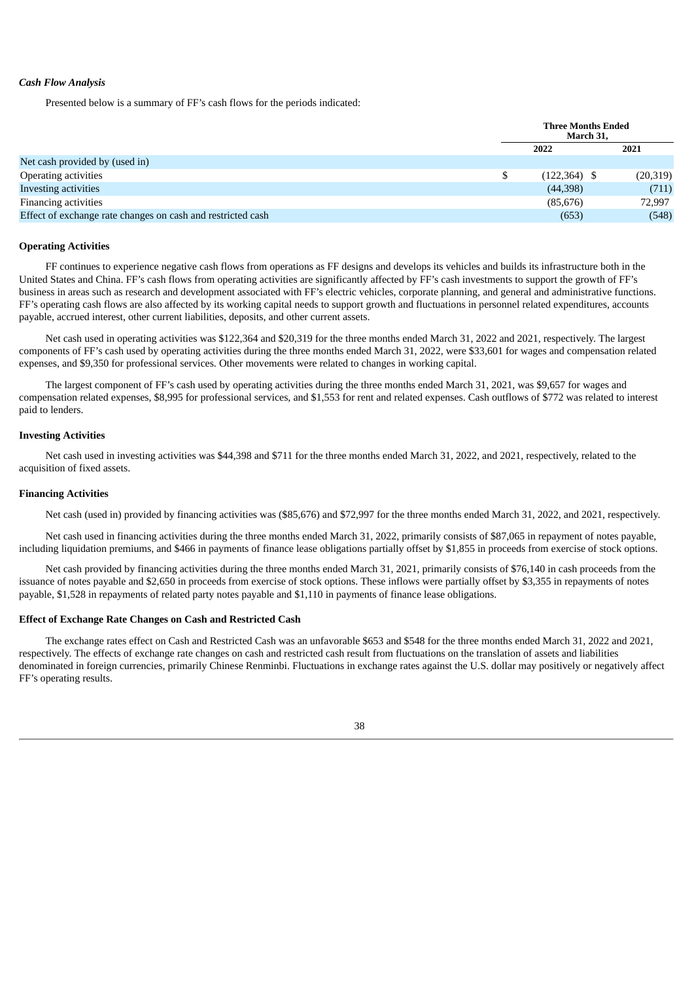### *Cash Flow Analysis*

Presented below is a summary of FF's cash flows for the periods indicated:

|                                                             | <b>Three Months Ended</b><br>March 31. |           |
|-------------------------------------------------------------|----------------------------------------|-----------|
|                                                             | 2022                                   | 2021      |
| Net cash provided by (used in)                              |                                        |           |
| <b>Operating activities</b>                                 | $(122, 364)$ \$                        | (20, 319) |
| Investing activities                                        | (44,398)                               | (711)     |
| <b>Financing activities</b>                                 | (85,676)                               | 72,997    |
| Effect of exchange rate changes on cash and restricted cash | (653)                                  | (548)     |
|                                                             |                                        |           |

## **Operating Activities**

FF continues to experience negative cash flows from operations as FF designs and develops its vehicles and builds its infrastructure both in the United States and China. FF's cash flows from operating activities are significantly affected by FF's cash investments to support the growth of FF's business in areas such as research and development associated with FF's electric vehicles, corporate planning, and general and administrative functions. FF's operating cash flows are also affected by its working capital needs to support growth and fluctuations in personnel related expenditures, accounts payable, accrued interest, other current liabilities, deposits, and other current assets.

Net cash used in operating activities was \$122,364 and \$20,319 for the three months ended March 31, 2022 and 2021, respectively. The largest components of FF's cash used by operating activities during the three months ended March 31, 2022, were \$33,601 for wages and compensation related expenses, and \$9,350 for professional services. Other movements were related to changes in working capital.

The largest component of FF's cash used by operating activities during the three months ended March 31, 2021, was \$9,657 for wages and compensation related expenses, \$8,995 for professional services, and \$1,553 for rent and related expenses. Cash outflows of \$772 was related to interest paid to lenders.

### **Investing Activities**

Net cash used in investing activities was \$44,398 and \$711 for the three months ended March 31, 2022, and 2021, respectively, related to the acquisition of fixed assets.

#### **Financing Activities**

Net cash (used in) provided by financing activities was (\$85,676) and \$72,997 for the three months ended March 31, 2022, and 2021, respectively.

Net cash used in financing activities during the three months ended March 31, 2022, primarily consists of \$87,065 in repayment of notes payable, including liquidation premiums, and \$466 in payments of finance lease obligations partially offset by \$1,855 in proceeds from exercise of stock options.

Net cash provided by financing activities during the three months ended March 31, 2021, primarily consists of \$76,140 in cash proceeds from the issuance of notes payable and \$2,650 in proceeds from exercise of stock options. These inflows were partially offset by \$3,355 in repayments of notes payable, \$1,528 in repayments of related party notes payable and \$1,110 in payments of finance lease obligations.

### **Effect of Exchange Rate Changes on Cash and Restricted Cash**

The exchange rates effect on Cash and Restricted Cash was an unfavorable \$653 and \$548 for the three months ended March 31, 2022 and 2021, respectively. The effects of exchange rate changes on cash and restricted cash result from fluctuations on the translation of assets and liabilities denominated in foreign currencies, primarily Chinese Renminbi. Fluctuations in exchange rates against the U.S. dollar may positively or negatively affect FF's operating results.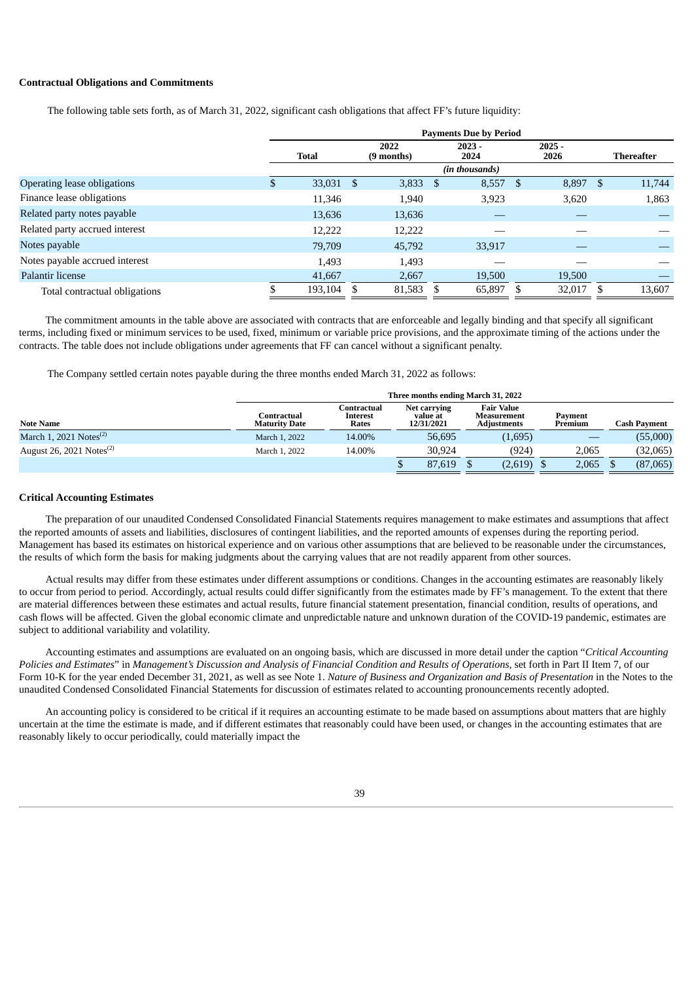## **Contractual Obligations and Commitments**

The following table sets forth, as of March 31, 2022, significant cash obligations that affect FF's future liquidity:

|                                |              |      |                    |      | <b>Payments Due by Period</b> |               |                  |    |                   |
|--------------------------------|--------------|------|--------------------|------|-------------------------------|---------------|------------------|----|-------------------|
|                                | <b>Total</b> |      | 2022<br>(9 months) |      | $2023 -$<br>2024              |               | $2025 -$<br>2026 |    | <b>Thereafter</b> |
|                                |              |      |                    |      | (in thousands)                |               |                  |    |                   |
| Operating lease obligations    | 33,031 \$    |      | 3,833              | - \$ | 8,557                         | <sup>\$</sup> | 8,897            | -S | 11,744            |
| Finance lease obligations      | 11,346       |      | 1,940              |      | 3,923                         |               | 3,620            |    | 1,863             |
| Related party notes payable    | 13,636       |      | 13,636             |      |                               |               |                  |    |                   |
| Related party accrued interest | 12,222       |      | 12,222             |      |                               |               |                  |    |                   |
| Notes payable                  | 79,709       |      | 45,792             |      | 33,917                        |               |                  |    |                   |
| Notes payable accrued interest | 1,493        |      | 1,493              |      |                               |               |                  |    |                   |
| Palantir license               | 41,667       |      | 2,667              |      | 19,500                        |               | 19,500           |    |                   |
| Total contractual obligations  | 193,104      | - \$ | 81,583             |      | 65,897                        |               | 32,017           | -S | 13,607            |

The commitment amounts in the table above are associated with contracts that are enforceable and legally binding and that specify all significant terms, including fixed or minimum services to be used, fixed, minimum or variable price provisions, and the approximate timing of the actions under the contracts. The table does not include obligations under agreements that FF can cancel without a significant penalty.

The Company settled certain notes payable during the three months ended March 31, 2022 as follows:

|                                      |                                     |                                  |                                        | Three months ending March 31, 2022              |                    |              |
|--------------------------------------|-------------------------------------|----------------------------------|----------------------------------------|-------------------------------------------------|--------------------|--------------|
| <b>Note Name</b>                     | Contractual<br><b>Maturity Date</b> | Contractual<br>Interest<br>Rates | Net carrying<br>value at<br>12/31/2021 | <b>Fair Value</b><br>Measurement<br>Adiustments | Payment<br>Premium | Cash Pavment |
| March 1, 2021 Notes <sup>(2)</sup>   | March 1, 2022                       | 14.00%                           | 56,695                                 | (1,695)                                         |                    | (55,000)     |
| August 26, 2021 Notes <sup>(2)</sup> | March 1, 2022                       | 14.00%                           | 30.924                                 | (924)                                           | 2,065              | (32,065)     |
|                                      |                                     |                                  | 87.619                                 | (2,619)                                         | 2,065              | (87,065)     |

### **Critical Accounting Estimates**

The preparation of our unaudited Condensed Consolidated Financial Statements requires management to make estimates and assumptions that affect the reported amounts of assets and liabilities, disclosures of contingent liabilities, and the reported amounts of expenses during the reporting period. Management has based its estimates on historical experience and on various other assumptions that are believed to be reasonable under the circumstances, the results of which form the basis for making judgments about the carrying values that are not readily apparent from other sources.

Actual results may differ from these estimates under different assumptions or conditions. Changes in the accounting estimates are reasonably likely to occur from period to period. Accordingly, actual results could differ significantly from the estimates made by FF's management. To the extent that there are material differences between these estimates and actual results, future financial statement presentation, financial condition, results of operations, and cash flows will be affected. Given the global economic climate and unpredictable nature and unknown duration of the COVID-19 pandemic, estimates are subject to additional variability and volatility.

Accounting estimates and assumptions are evaluated on an ongoing basis, which are discussed in more detail under the caption "*Critical Accounting* Policies and Estimates" in Management's Discussion and Analysis of Financial Condition and Results of Operations, set forth in Part II Item 7, of our Form 10-K for the year ended December 31, 2021, as well as see Note 1. *Nature of Business and Organization and Basis of Presentation* in the Notes to the unaudited Condensed Consolidated Financial Statements for discussion of estimates related to accounting pronouncements recently adopted.

An accounting policy is considered to be critical if it requires an accounting estimate to be made based on assumptions about matters that are highly uncertain at the time the estimate is made, and if different estimates that reasonably could have been used, or changes in the accounting estimates that are reasonably likely to occur periodically, could materially impact the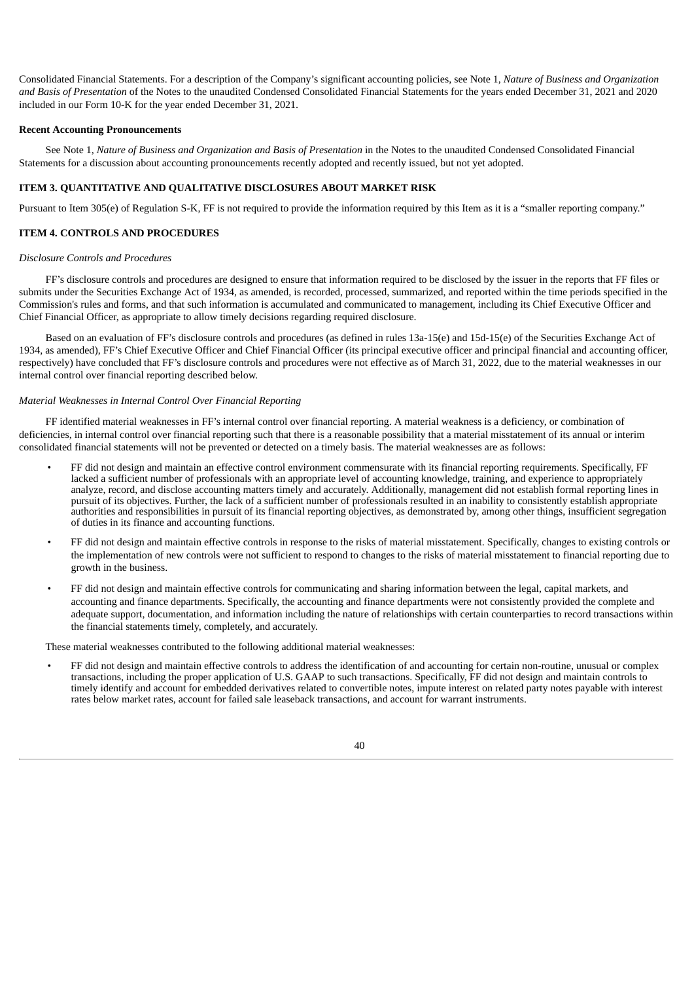Consolidated Financial Statements. For a description of the Company's significant accounting policies, see Note 1, *Nature of Business and Organization and Basis of Presentation* of the Notes to the unaudited Condensed Consolidated Financial Statements for the years ended December 31, 2021 and 2020 included in our Form 10-K for the year ended December 31, 2021.

### **Recent Accounting Pronouncements**

See Note 1, *Nature of Business and Organization and Basis of Presentation* in the Notes to the unaudited Condensed Consolidated Financial Statements for a discussion about accounting pronouncements recently adopted and recently issued, but not yet adopted.

## <span id="page-40-0"></span>**ITEM 3. QUANTITATIVE AND QUALITATIVE DISCLOSURES ABOUT MARKET RISK**

<span id="page-40-1"></span>Pursuant to Item 305(e) of Regulation S-K, FF is not required to provide the information required by this Item as it is a "smaller reporting company."

## **ITEM 4. CONTROLS AND PROCEDURES**

### *Disclosure Controls and Procedures*

FF's disclosure controls and procedures are designed to ensure that information required to be disclosed by the issuer in the reports that FF files or submits under the Securities Exchange Act of 1934, as amended, is recorded, processed, summarized, and reported within the time periods specified in the Commission's rules and forms, and that such information is accumulated and communicated to management, including its Chief Executive Officer and Chief Financial Officer, as appropriate to allow timely decisions regarding required disclosure.

Based on an evaluation of FF's disclosure controls and procedures (as defined in rules 13a-15(e) and 15d-15(e) of the Securities Exchange Act of 1934, as amended), FF's Chief Executive Officer and Chief Financial Officer (its principal executive officer and principal financial and accounting officer, respectively) have concluded that FF's disclosure controls and procedures were not effective as of March 31, 2022, due to the material weaknesses in our internal control over financial reporting described below.

### *Material Weaknesses in Internal Control Over Financial Reporting*

FF identified material weaknesses in FF's internal control over financial reporting. A material weakness is a deficiency, or combination of deficiencies, in internal control over financial reporting such that there is a reasonable possibility that a material misstatement of its annual or interim consolidated financial statements will not be prevented or detected on a timely basis. The material weaknesses are as follows:

- FF did not design and maintain an effective control environment commensurate with its financial reporting requirements. Specifically, FF lacked a sufficient number of professionals with an appropriate level of accounting knowledge, training, and experience to appropriately analyze, record, and disclose accounting matters timely and accurately. Additionally, management did not establish formal reporting lines in pursuit of its objectives. Further, the lack of a sufficient number of professionals resulted in an inability to consistently establish appropriate authorities and responsibilities in pursuit of its financial reporting objectives, as demonstrated by, among other things, insufficient segregation of duties in its finance and accounting functions.
- FF did not design and maintain effective controls in response to the risks of material misstatement. Specifically, changes to existing controls or the implementation of new controls were not sufficient to respond to changes to the risks of material misstatement to financial reporting due to growth in the business.
- FF did not design and maintain effective controls for communicating and sharing information between the legal, capital markets, and accounting and finance departments. Specifically, the accounting and finance departments were not consistently provided the complete and adequate support, documentation, and information including the nature of relationships with certain counterparties to record transactions within the financial statements timely, completely, and accurately.

These material weaknesses contributed to the following additional material weaknesses:

• FF did not design and maintain effective controls to address the identification of and accounting for certain non-routine, unusual or complex transactions, including the proper application of U.S. GAAP to such transactions. Specifically, FF did not design and maintain controls to timely identify and account for embedded derivatives related to convertible notes, impute interest on related party notes payable with interest rates below market rates, account for failed sale leaseback transactions, and account for warrant instruments.

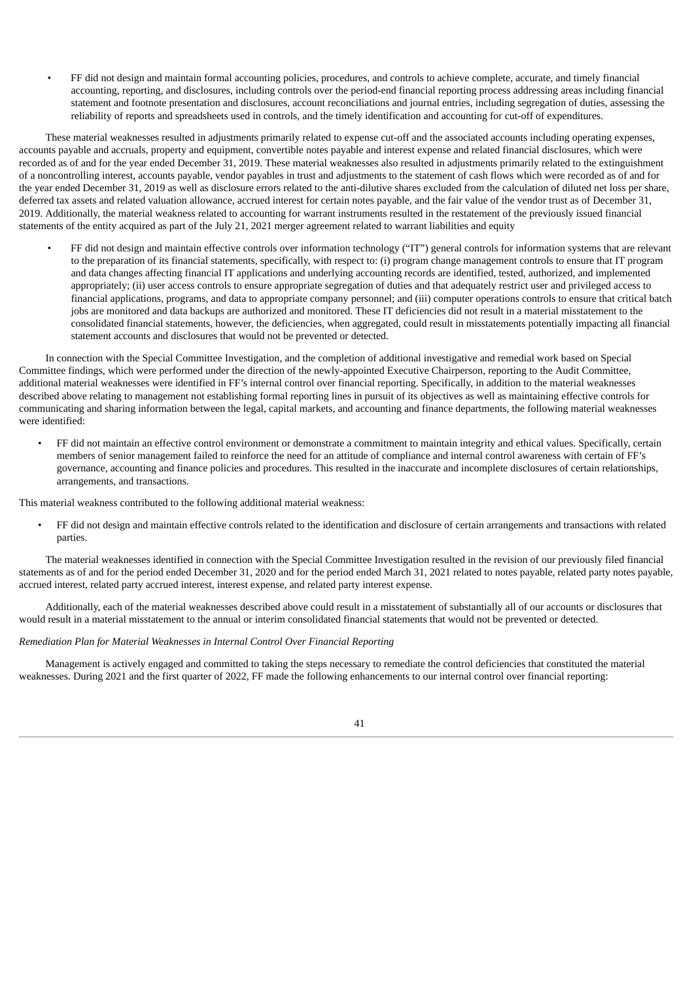• FF did not design and maintain formal accounting policies, procedures, and controls to achieve complete, accurate, and timely financial accounting, reporting, and disclosures, including controls over the period-end financial reporting process addressing areas including financial statement and footnote presentation and disclosures, account reconciliations and journal entries, including segregation of duties, assessing the reliability of reports and spreadsheets used in controls, and the timely identification and accounting for cut-off of expenditures.

These material weaknesses resulted in adjustments primarily related to expense cut-off and the associated accounts including operating expenses, accounts payable and accruals, property and equipment, convertible notes payable and interest expense and related financial disclosures, which were recorded as of and for the year ended December 31, 2019. These material weaknesses also resulted in adjustments primarily related to the extinguishment of a noncontrolling interest, accounts payable, vendor payables in trust and adjustments to the statement of cash flows which were recorded as of and for the year ended December 31, 2019 as well as disclosure errors related to the anti-dilutive shares excluded from the calculation of diluted net loss per share, deferred tax assets and related valuation allowance, accrued interest for certain notes payable, and the fair value of the vendor trust as of December 31, 2019. Additionally, the material weakness related to accounting for warrant instruments resulted in the restatement of the previously issued financial statements of the entity acquired as part of the July 21, 2021 merger agreement related to warrant liabilities and equity

• FF did not design and maintain effective controls over information technology ("IT") general controls for information systems that are relevant to the preparation of its financial statements, specifically, with respect to: (i) program change management controls to ensure that IT program and data changes affecting financial IT applications and underlying accounting records are identified, tested, authorized, and implemented appropriately; (ii) user access controls to ensure appropriate segregation of duties and that adequately restrict user and privileged access to financial applications, programs, and data to appropriate company personnel; and (iii) computer operations controls to ensure that critical batch jobs are monitored and data backups are authorized and monitored. These IT deficiencies did not result in a material misstatement to the consolidated financial statements, however, the deficiencies, when aggregated, could result in misstatements potentially impacting all financial statement accounts and disclosures that would not be prevented or detected.

In connection with the Special Committee Investigation, and the completion of additional investigative and remedial work based on Special Committee findings, which were performed under the direction of the newly-appointed Executive Chairperson, reporting to the Audit Committee, additional material weaknesses were identified in FF's internal control over financial reporting. Specifically, in addition to the material weaknesses described above relating to management not establishing formal reporting lines in pursuit of its objectives as well as maintaining effective controls for communicating and sharing information between the legal, capital markets, and accounting and finance departments, the following material weaknesses were identified:

• FF did not maintain an effective control environment or demonstrate a commitment to maintain integrity and ethical values. Specifically, certain members of senior management failed to reinforce the need for an attitude of compliance and internal control awareness with certain of FF's governance, accounting and finance policies and procedures. This resulted in the inaccurate and incomplete disclosures of certain relationships, arrangements, and transactions.

This material weakness contributed to the following additional material weakness:

• FF did not design and maintain effective controls related to the identification and disclosure of certain arrangements and transactions with related parties.

The material weaknesses identified in connection with the Special Committee Investigation resulted in the revision of our previously filed financial statements as of and for the period ended December 31, 2020 and for the period ended March 31, 2021 related to notes payable, related party notes payable, accrued interest, related party accrued interest, interest expense, and related party interest expense.

Additionally, each of the material weaknesses described above could result in a misstatement of substantially all of our accounts or disclosures that would result in a material misstatement to the annual or interim consolidated financial statements that would not be prevented or detected.

## *Remediation Plan for Material Weaknesses in Internal Control Over Financial Reporting*

Management is actively engaged and committed to taking the steps necessary to remediate the control deficiencies that constituted the material weaknesses. During 2021 and the first quarter of 2022, FF made the following enhancements to our internal control over financial reporting:

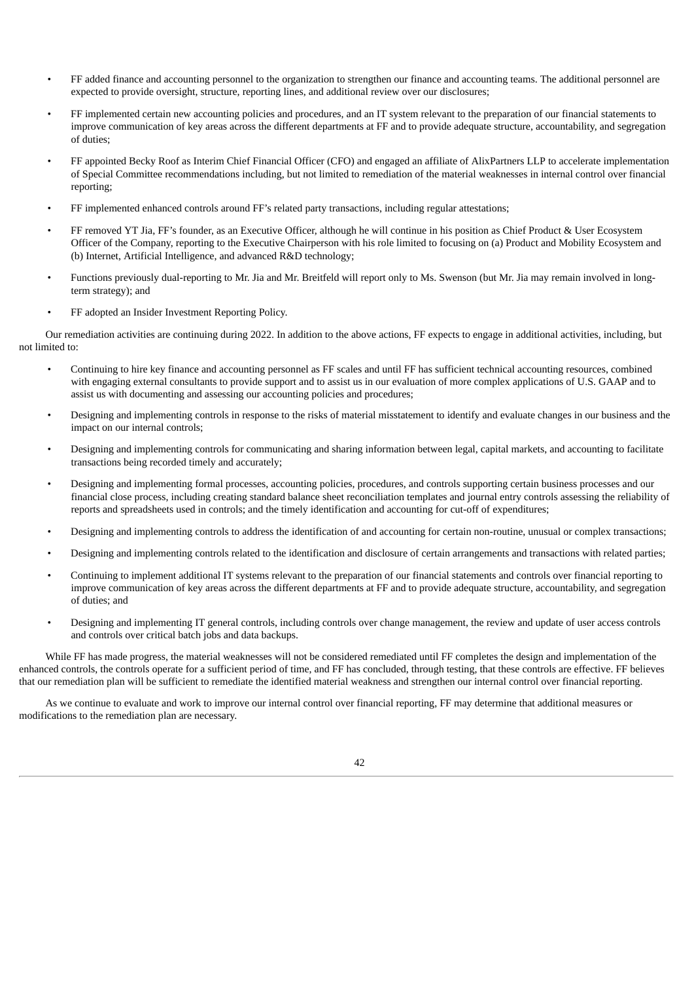- FF added finance and accounting personnel to the organization to strengthen our finance and accounting teams. The additional personnel are expected to provide oversight, structure, reporting lines, and additional review over our disclosures;
- FF implemented certain new accounting policies and procedures, and an IT system relevant to the preparation of our financial statements to improve communication of key areas across the different departments at FF and to provide adequate structure, accountability, and segregation of duties;
- FF appointed Becky Roof as Interim Chief Financial Officer (CFO) and engaged an affiliate of AlixPartners LLP to accelerate implementation of Special Committee recommendations including, but not limited to remediation of the material weaknesses in internal control over financial reporting;
- FF implemented enhanced controls around FF's related party transactions, including regular attestations;
- FF removed YT Jia, FF's founder, as an Executive Officer, although he will continue in his position as Chief Product & User Ecosystem Officer of the Company, reporting to the Executive Chairperson with his role limited to focusing on (a) Product and Mobility Ecosystem and (b) Internet, Artificial Intelligence, and advanced R&D technology;
- Functions previously dual-reporting to Mr. Jia and Mr. Breitfeld will report only to Ms. Swenson (but Mr. Jia may remain involved in longterm strategy); and
- FF adopted an Insider Investment Reporting Policy.

Our remediation activities are continuing during 2022. In addition to the above actions, FF expects to engage in additional activities, including, but not limited to:

- Continuing to hire key finance and accounting personnel as FF scales and until FF has sufficient technical accounting resources, combined with engaging external consultants to provide support and to assist us in our evaluation of more complex applications of U.S. GAAP and to assist us with documenting and assessing our accounting policies and procedures;
- Designing and implementing controls in response to the risks of material misstatement to identify and evaluate changes in our business and the impact on our internal controls;
- Designing and implementing controls for communicating and sharing information between legal, capital markets, and accounting to facilitate transactions being recorded timely and accurately;
- Designing and implementing formal processes, accounting policies, procedures, and controls supporting certain business processes and our financial close process, including creating standard balance sheet reconciliation templates and journal entry controls assessing the reliability of reports and spreadsheets used in controls; and the timely identification and accounting for cut-off of expenditures;
- Designing and implementing controls to address the identification of and accounting for certain non-routine, unusual or complex transactions;
- Designing and implementing controls related to the identification and disclosure of certain arrangements and transactions with related parties;
- Continuing to implement additional IT systems relevant to the preparation of our financial statements and controls over financial reporting to improve communication of key areas across the different departments at FF and to provide adequate structure, accountability, and segregation of duties; and
- Designing and implementing IT general controls, including controls over change management, the review and update of user access controls and controls over critical batch jobs and data backups.

While FF has made progress, the material weaknesses will not be considered remediated until FF completes the design and implementation of the enhanced controls, the controls operate for a sufficient period of time, and FF has concluded, through testing, that these controls are effective. FF believes that our remediation plan will be sufficient to remediate the identified material weakness and strengthen our internal control over financial reporting.

As we continue to evaluate and work to improve our internal control over financial reporting, FF may determine that additional measures or modifications to the remediation plan are necessary.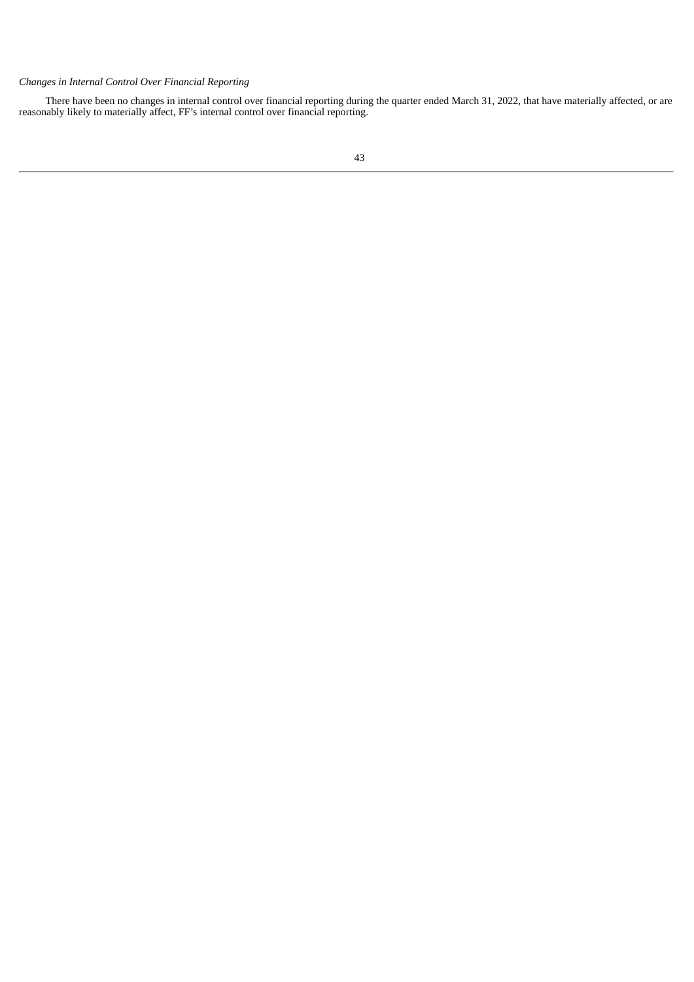*Changes in Internal Control Over Financial Reporting*

<span id="page-43-0"></span>There have been no changes in internal control over financial reporting during the quarter ended March 31, 2022, that have materially affected, or are reasonably likely to materially affect, FF's internal control over financial reporting.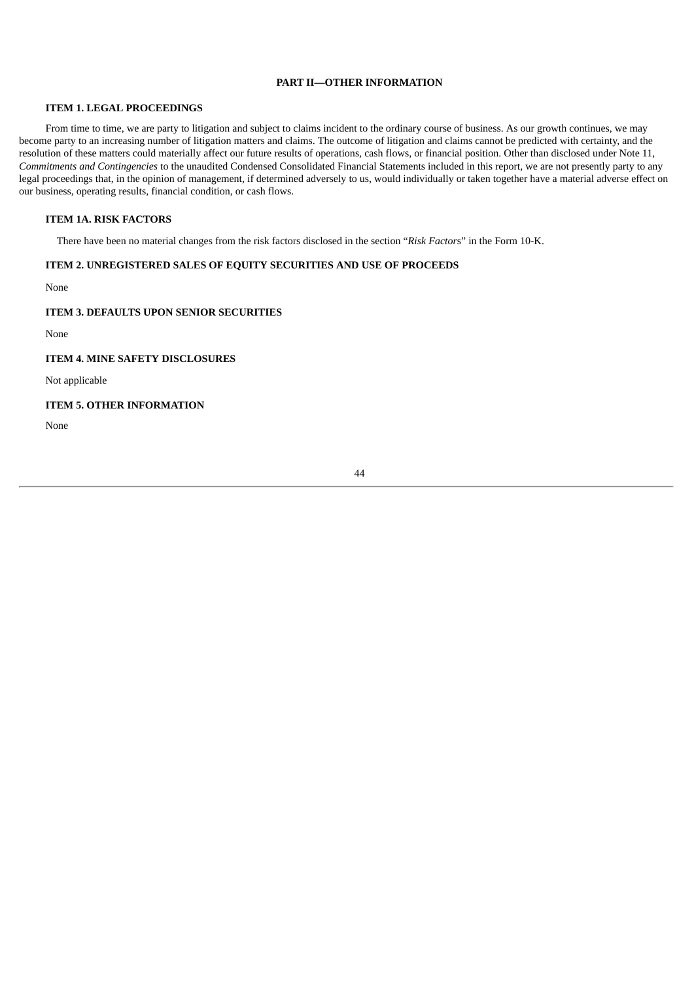## **PART II—OTHER INFORMATION**

## <span id="page-44-0"></span>**ITEM 1. LEGAL PROCEEDINGS**

From time to time, we are party to litigation and subject to claims incident to the ordinary course of business. As our growth continues, we may become party to an increasing number of litigation matters and claims. The outcome of litigation and claims cannot be predicted with certainty, and the resolution of these matters could materially affect our future results of operations, cash flows, or financial position. Other than disclosed under Note 11, *Commitments and Contingencies* to the unaudited Condensed Consolidated Financial Statements included in this report*,* we are not presently party to any legal proceedings that, in the opinion of management, if determined adversely to us, would individually or taken together have a material adverse effect on our business, operating results, financial condition, or cash flows.

### <span id="page-44-1"></span>**ITEM 1A. RISK FACTORS**

There have been no material changes from the risk factors disclosed in the section "*Risk Factor*s" in the Form 10-K.

## <span id="page-44-2"></span>**ITEM 2. UNREGISTERED SALES OF EQUITY SECURITIES AND USE OF PROCEEDS**

None

## <span id="page-44-3"></span>**ITEM 3. DEFAULTS UPON SENIOR SECURITIES**

<span id="page-44-4"></span>None

**ITEM 4. MINE SAFETY DISCLOSURES**

<span id="page-44-5"></span>Not applicable

## **ITEM 5. OTHER INFORMATION**

<span id="page-44-6"></span>None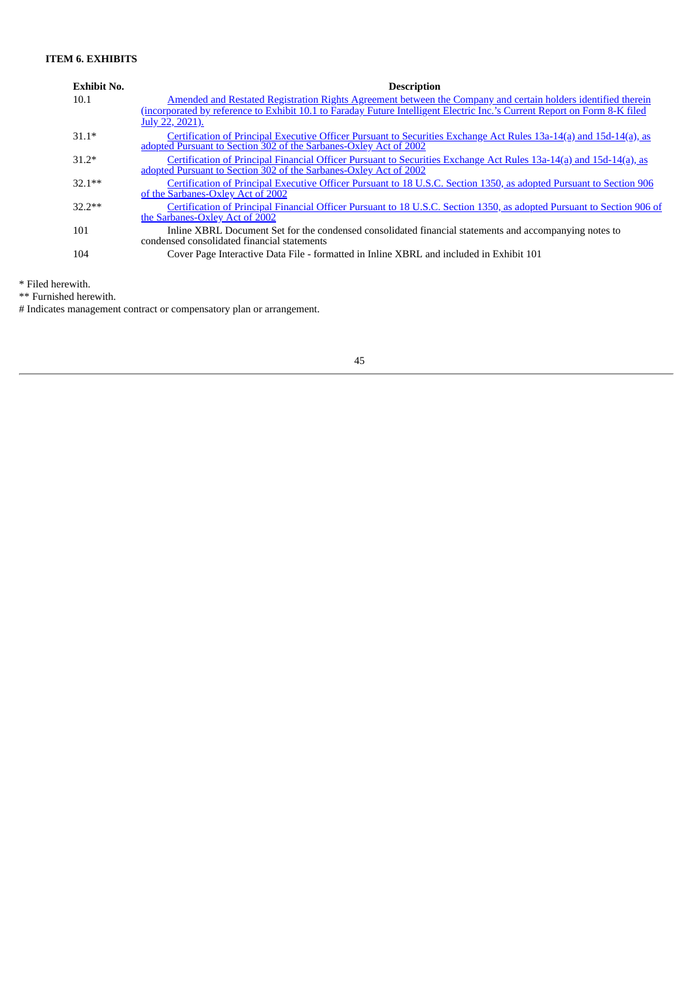# **ITEM 6. EXHIBITS**

| Exhibit No. | <b>Description</b>                                                                                                                                                                      |
|-------------|-----------------------------------------------------------------------------------------------------------------------------------------------------------------------------------------|
| 10.1        | Amended and Restated Registration Rights Agreement between the Company and certain holders identified therein                                                                           |
|             | (incorporated by reference to Exhibit 10.1 to Faraday Future Intelligent Electric Inc.'s Current Report on Form 8-K filed                                                               |
|             | July 22, 2021).                                                                                                                                                                         |
| $31.1*$     | Certification of Principal Executive Officer Pursuant to Securities Exchange Act Rules 13a-14(a) and 15d-14(a), as<br>adopted Pursuant to Section 302 of the Sarbanes-Oxley Act of 2002 |
| $31.2*$     | Certification of Principal Financial Officer Pursuant to Securities Exchange Act Rules 13a-14(a) and 15d-14(a), as<br>adopted Pursuant to Section 302 of the Sarbanes-Oxley Act of 2002 |
| $32.1**$    | Certification of Principal Executive Officer Pursuant to 18 U.S.C. Section 1350, as adopted Pursuant to Section 906<br>of the Sarbanes-Oxley Act of 2002                                |
| $32.2**$    | Certification of Principal Financial Officer Pursuant to 18 U.S.C. Section 1350, as adopted Pursuant to Section 906 of<br>the Sarbanes-Oxley Act of 2002                                |
| 101         | Inline XBRL Document Set for the condensed consolidated financial statements and accompanying notes to<br>condensed consolidated financial statements                                   |
| 104         | Cover Page Interactive Data File - formatted in Inline XBRL and included in Exhibit 101                                                                                                 |

\* Filed herewith.

\*\* Furnished herewith.

<span id="page-45-0"></span># Indicates management contract or compensatory plan or arrangement.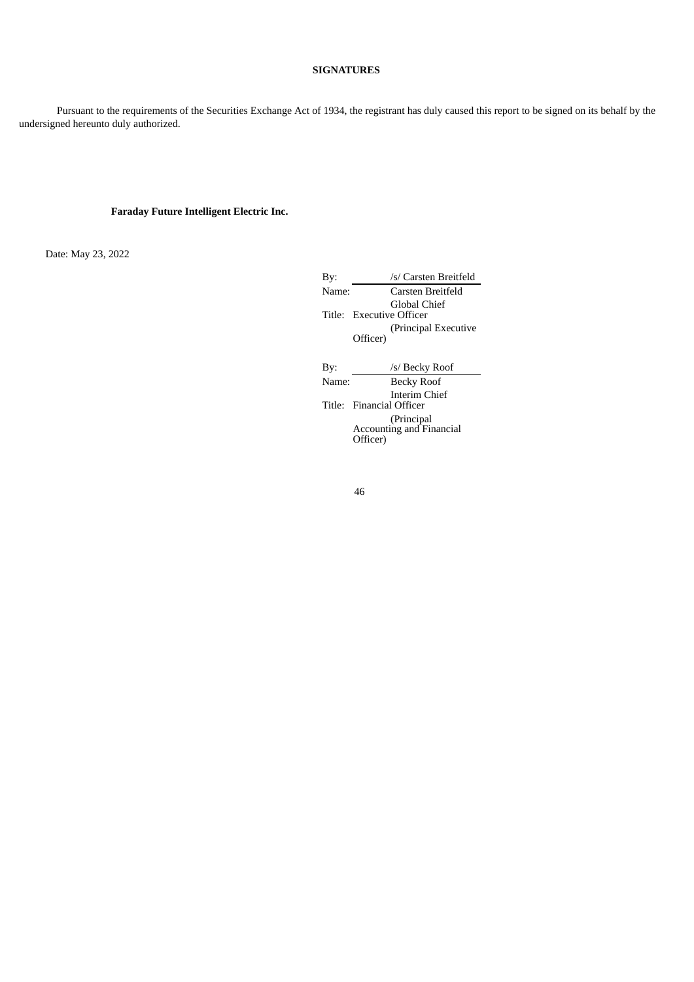# **SIGNATURES**

Pursuant to the requirements of the Securities Exchange Act of 1934, the registrant has duly caused this report to be signed on its behalf by the undersigned hereunto duly authorized.

# **Faraday Future Intelligent Electric Inc.**

Date: May 23, 2022

| Bv:    | /s/ Carsten Breitfeld                     |
|--------|-------------------------------------------|
| Name:  | Carsten Breitfeld                         |
| Title: | Global Chief<br><b>Executive Officer</b>  |
|        | (Principal Executive<br>Officer)          |
|        |                                           |
| By:    | /s/ Becky Roof                            |
| Name:  | <b>Becky Roof</b>                         |
| Title: | Interim Chief<br><b>Financial Officer</b> |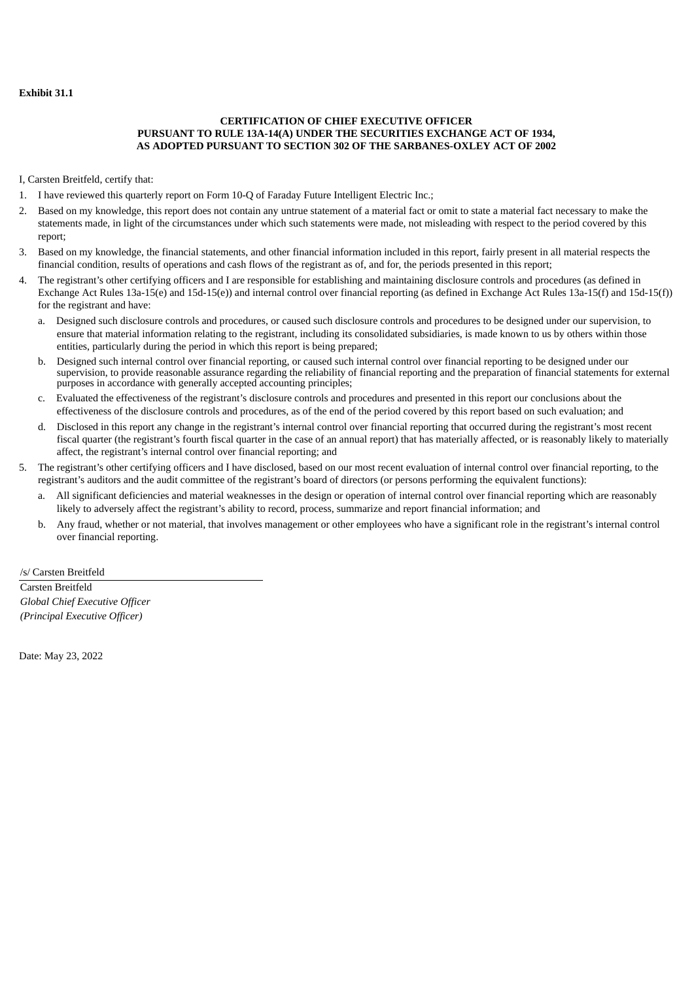### <span id="page-47-0"></span>**Exhibit 31.1**

## **CERTIFICATION OF CHIEF EXECUTIVE OFFICER PURSUANT TO RULE 13A-14(A) UNDER THE SECURITIES EXCHANGE ACT OF 1934, AS ADOPTED PURSUANT TO SECTION 302 OF THE SARBANES-OXLEY ACT OF 2002**

I, Carsten Breitfeld, certify that:

- 1. I have reviewed this quarterly report on Form 10-Q of Faraday Future Intelligent Electric Inc.;
- 2. Based on my knowledge, this report does not contain any untrue statement of a material fact or omit to state a material fact necessary to make the statements made, in light of the circumstances under which such statements were made, not misleading with respect to the period covered by this report;
- 3. Based on my knowledge, the financial statements, and other financial information included in this report, fairly present in all material respects the financial condition, results of operations and cash flows of the registrant as of, and for, the periods presented in this report;
- 4. The registrant's other certifying officers and I are responsible for establishing and maintaining disclosure controls and procedures (as defined in Exchange Act Rules 13a-15(e) and 15d-15(e)) and internal control over financial reporting (as defined in Exchange Act Rules 13a-15(f) and 15d-15(f)) for the registrant and have:
	- a. Designed such disclosure controls and procedures, or caused such disclosure controls and procedures to be designed under our supervision, to ensure that material information relating to the registrant, including its consolidated subsidiaries, is made known to us by others within those entities, particularly during the period in which this report is being prepared;
	- b. Designed such internal control over financial reporting, or caused such internal control over financial reporting to be designed under our supervision, to provide reasonable assurance regarding the reliability of financial reporting and the preparation of financial statements for external purposes in accordance with generally accepted accounting principles;
	- c. Evaluated the effectiveness of the registrant's disclosure controls and procedures and presented in this report our conclusions about the effectiveness of the disclosure controls and procedures, as of the end of the period covered by this report based on such evaluation; and
	- d. Disclosed in this report any change in the registrant's internal control over financial reporting that occurred during the registrant's most recent fiscal quarter (the registrant's fourth fiscal quarter in the case of an annual report) that has materially affected, or is reasonably likely to materially affect, the registrant's internal control over financial reporting; and
- 5. The registrant's other certifying officers and I have disclosed, based on our most recent evaluation of internal control over financial reporting, to the registrant's auditors and the audit committee of the registrant's board of directors (or persons performing the equivalent functions):
	- a. All significant deficiencies and material weaknesses in the design or operation of internal control over financial reporting which are reasonably likely to adversely affect the registrant's ability to record, process, summarize and report financial information; and
	- b. Any fraud, whether or not material, that involves management or other employees who have a significant role in the registrant's internal control over financial reporting.

/s/ Carsten Breitfeld

Carsten Breitfeld *Global Chief Executive Officer (Principal Executive Officer)*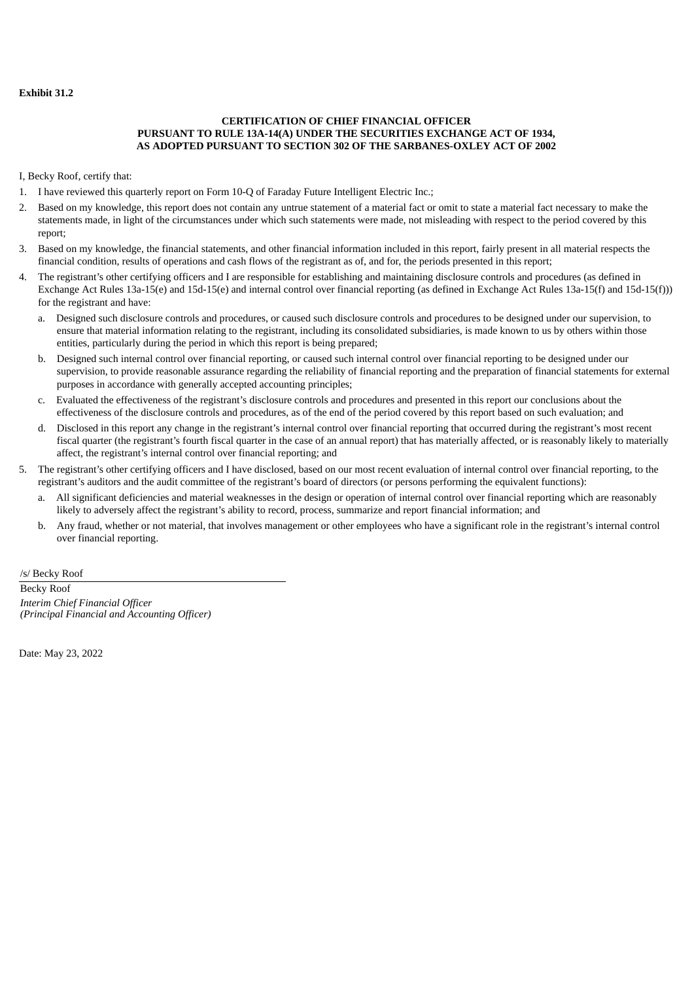## <span id="page-48-0"></span>**Exhibit 31.2**

## **CERTIFICATION OF CHIEF FINANCIAL OFFICER PURSUANT TO RULE 13A-14(A) UNDER THE SECURITIES EXCHANGE ACT OF 1934, AS ADOPTED PURSUANT TO SECTION 302 OF THE SARBANES-OXLEY ACT OF 2002**

I, Becky Roof, certify that:

- 1. I have reviewed this quarterly report on Form 10-Q of Faraday Future Intelligent Electric Inc.;
- 2. Based on my knowledge, this report does not contain any untrue statement of a material fact or omit to state a material fact necessary to make the statements made, in light of the circumstances under which such statements were made, not misleading with respect to the period covered by this report;
- 3. Based on my knowledge, the financial statements, and other financial information included in this report, fairly present in all material respects the financial condition, results of operations and cash flows of the registrant as of, and for, the periods presented in this report;
- 4. The registrant's other certifying officers and I are responsible for establishing and maintaining disclosure controls and procedures (as defined in Exchange Act Rules 13a-15(e) and 15d-15(e) and internal control over financial reporting (as defined in Exchange Act Rules 13a-15(f) and 15d-15(f))) for the registrant and have:
	- a. Designed such disclosure controls and procedures, or caused such disclosure controls and procedures to be designed under our supervision, to ensure that material information relating to the registrant, including its consolidated subsidiaries, is made known to us by others within those entities, particularly during the period in which this report is being prepared;
	- b. Designed such internal control over financial reporting, or caused such internal control over financial reporting to be designed under our supervision, to provide reasonable assurance regarding the reliability of financial reporting and the preparation of financial statements for external purposes in accordance with generally accepted accounting principles;
	- c. Evaluated the effectiveness of the registrant's disclosure controls and procedures and presented in this report our conclusions about the effectiveness of the disclosure controls and procedures, as of the end of the period covered by this report based on such evaluation; and
	- d. Disclosed in this report any change in the registrant's internal control over financial reporting that occurred during the registrant's most recent fiscal quarter (the registrant's fourth fiscal quarter in the case of an annual report) that has materially affected, or is reasonably likely to materially affect, the registrant's internal control over financial reporting; and
- 5. The registrant's other certifying officers and I have disclosed, based on our most recent evaluation of internal control over financial reporting, to the registrant's auditors and the audit committee of the registrant's board of directors (or persons performing the equivalent functions):
	- a. All significant deficiencies and material weaknesses in the design or operation of internal control over financial reporting which are reasonably likely to adversely affect the registrant's ability to record, process, summarize and report financial information; and
	- b. Any fraud, whether or not material, that involves management or other employees who have a significant role in the registrant's internal control over financial reporting.

/s/ Becky Roof

Becky Roof *Interim Chief Financial Officer (Principal Financial and Accounting Officer)*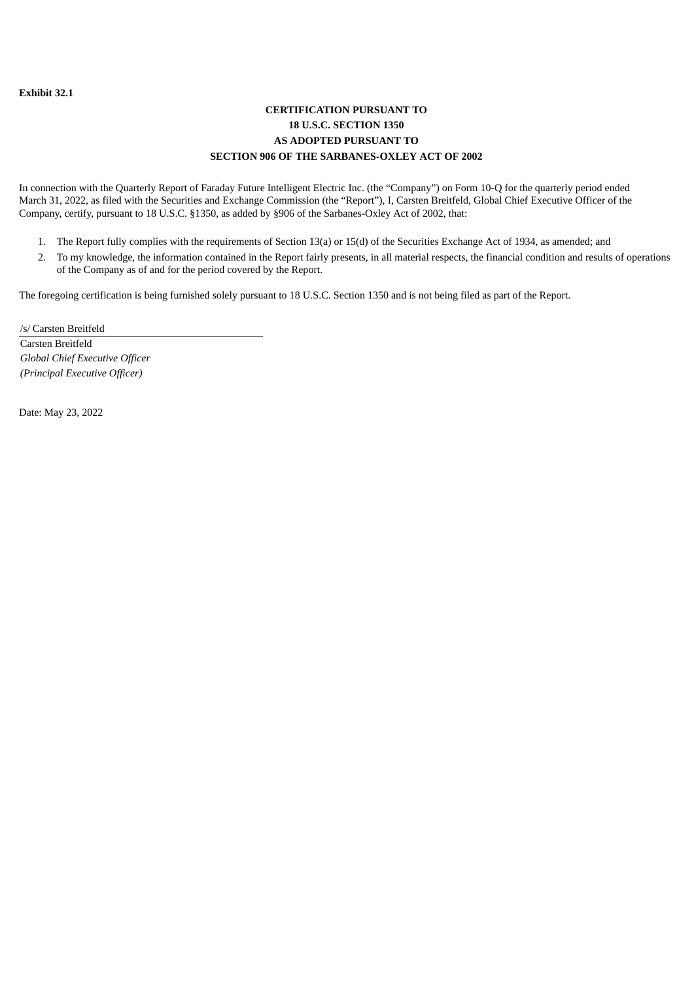## <span id="page-49-0"></span>**Exhibit 32.1**

# **CERTIFICATION PURSUANT TO 18 U.S.C. SECTION 1350 AS ADOPTED PURSUANT TO SECTION 906 OF THE SARBANES-OXLEY ACT OF 2002**

In connection with the Quarterly Report of Faraday Future Intelligent Electric Inc. (the "Company") on Form 10-Q for the quarterly period ended March 31, 2022, as filed with the Securities and Exchange Commission (the "Report"), I, Carsten Breitfeld, Global Chief Executive Officer of the Company, certify, pursuant to 18 U.S.C. §1350, as added by §906 of the Sarbanes-Oxley Act of 2002, that:

- 1. The Report fully complies with the requirements of Section 13(a) or 15(d) of the Securities Exchange Act of 1934, as amended; and
- 2. To my knowledge, the information contained in the Report fairly presents, in all material respects, the financial condition and results of operations of the Company as of and for the period covered by the Report.

The foregoing certification is being furnished solely pursuant to 18 U.S.C. Section 1350 and is not being filed as part of the Report.

/s/ Carsten Breitfeld Carsten Breitfeld *Global Chief Executive Officer (Principal Executive Officer)*